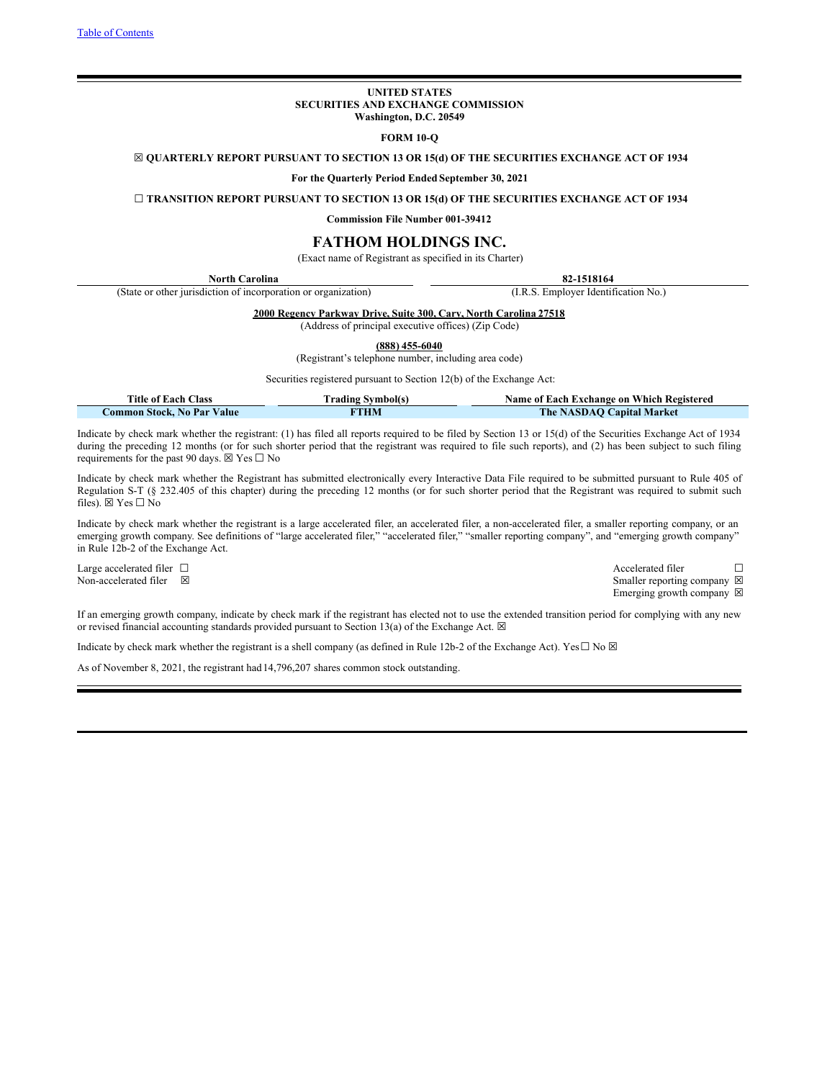### **UNITED STATES SECURITIES AND EXCHANGE COMMISSION Washington, D.C. 20549**

### **FORM 10-Q**

<span id="page-0-0"></span>☒ **QUARTERLY REPORT PURSUANT TO SECTION 13 OR 15(d) OF THE SECURITIES EXCHANGE ACT OF 1934**

**For the Quarterly Period Ended September 30, 2021**

☐ **TRANSITION REPORT PURSUANT TO SECTION 13 OR 15(d) OF THE SECURITIES EXCHANGE ACT OF 1934**

**Commission File Number 001-39412**

# **FATHOM HOLDINGS INC.**

(Exact name of Registrant as specified in its Charter)

| North Carolina                                                    | 82-1518164                           |
|-------------------------------------------------------------------|--------------------------------------|
| (State or other jurisdiction of incorporation or organization)    | (I.R.S. Employer Identification No.) |
| 2000 Regency Parkway Drive, Suite 300, Cary, North Carolina 27518 |                                      |

# (Address of principal executive offices) (Zip Code)

**(888) 455-6040**

(Registrant's telephone number, including area code)

Securities registered pursuant to Section 12(b) of the Exchange Act:

| <b>Title of Each Class</b> | Trading Svmbol(s) | Name of Each Exchange on Which Registered |
|----------------------------|-------------------|-------------------------------------------|
| Common Stock. No Par Value | <b>THM</b>        | <b>The NASDAQ Capital Market</b>          |

Indicate by check mark whether the registrant: (1) has filed all reports required to be filed by Section 13 or 15(d) of the Securities Exchange Act of 1934 during the preceding 12 months (or for such shorter period that the registrant was required to file such reports), and (2) has been subject to such filing requirements for the past 90 days.  $\boxtimes$  Yes  $\square$  No

Indicate by check mark whether the Registrant has submitted electronically every Interactive Data File required to be submitted pursuant to Rule 405 of Regulation S-T (§ 232.405 of this chapter) during the preceding 12 months (or for such shorter period that the Registrant was required to submit such files).  $\boxtimes$  Yes  $\Box$  No

Indicate by check mark whether the registrant is a large accelerated filer, an accelerated filer, a non-accelerated filer, a smaller reporting company, or an emerging growth company. See definitions of "large accelerated filer," "accelerated filer," "smaller reporting company", and "emerging growth company" in Rule 12b-2 of the Exchange Act.

Large accelerated filer □ Accelerated filer □ Accelerated filer □ Non-accelerated filer ⊠ Smaller reporting company ⊠ Emerging growth company  $\boxtimes$ 

If an emerging growth company, indicate by check mark if the registrant has elected not to use the extended transition period for complying with any new or revised financial accounting standards provided pursuant to Section 13(a) of the Exchange Act.  $\boxtimes$ 

Indicate by check mark whether the registrant is a shell company (as defined in Rule 12b-2 of the Exchange Act). Yes $\Box$  No  $\boxtimes$ 

As of November 8, 2021, the registrant had14,796,207 shares common stock outstanding.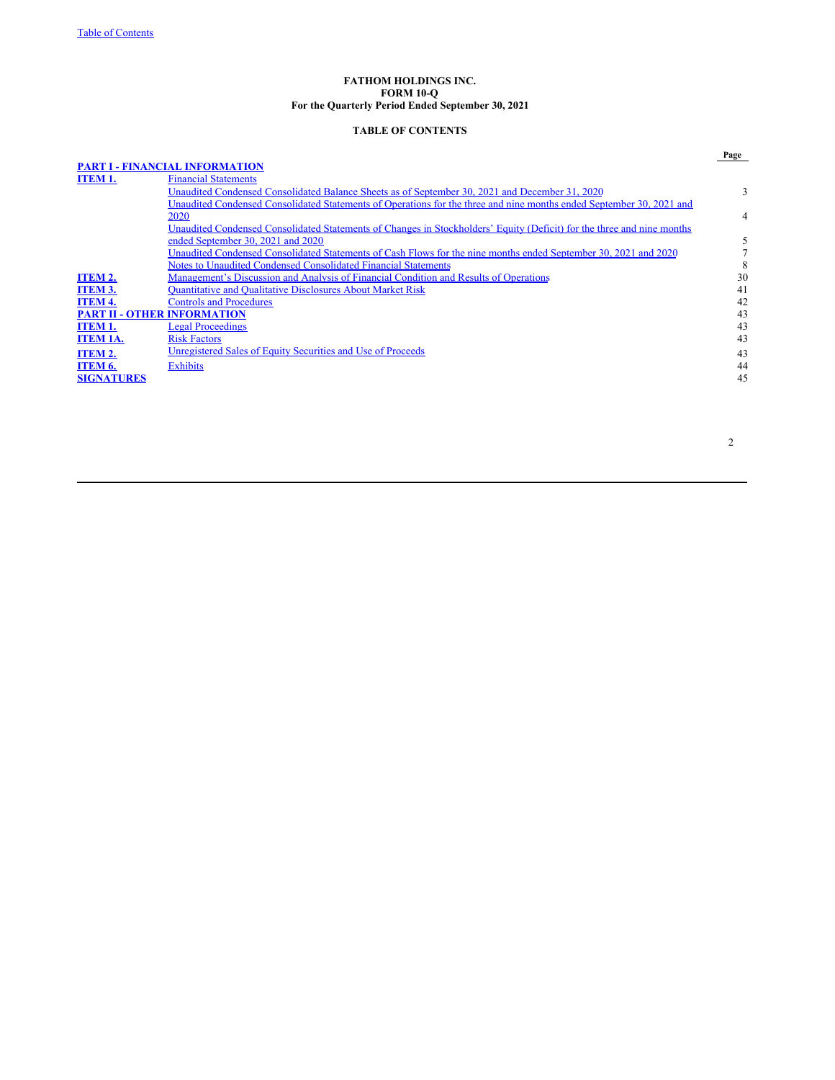### **FATHOM HOLDINGS INC. FORM 10-Q For the Quarterly Period Ended September 30, 2021**

# **TABLE OF CONTENTS**

|                                    | <b>PART I - FINANCIAL INFORMATION</b>                                                                                  | Page |
|------------------------------------|------------------------------------------------------------------------------------------------------------------------|------|
| <b>ITEM 1.</b>                     | <b>Financial Statements</b>                                                                                            |      |
|                                    | Unaudited Condensed Consolidated Balance Sheets as of September 30, 2021 and December 31, 2020                         | 3    |
|                                    | Unaudited Condensed Consolidated Statements of Operations for the three and nine months ended September 30, 2021 and   |      |
|                                    | 2020                                                                                                                   | 4    |
|                                    | Unaudited Condensed Consolidated Statements of Changes in Stockholders' Equity (Deficit) for the three and nine months |      |
|                                    | ended September 30, 2021 and 2020                                                                                      | 5    |
|                                    | Unaudited Condensed Consolidated Statements of Cash Flows for the nine months ended September 30, 2021 and 2020        |      |
|                                    | Notes to Unaudited Condensed Consolidated Financial Statements                                                         |      |
| ITEM 2.                            | Management's Discussion and Analysis of Financial Condition and Results of Operations                                  | 30   |
| <b>ITEM 3.</b>                     | <b>Quantitative and Qualitative Disclosures About Market Risk</b>                                                      | 41   |
| <b>ITEM 4.</b>                     | <b>Controls and Procedures</b>                                                                                         | 42   |
| <b>PART II - OTHER INFORMATION</b> |                                                                                                                        | 43   |
| <b>ITEM 1.</b>                     | <b>Legal Proceedings</b>                                                                                               | 43   |
| <b>ITEM 1A.</b>                    | <b>Risk Factors</b>                                                                                                    | 43   |
| <b>ITEM 2.</b>                     | Unregistered Sales of Equity Securities and Use of Proceeds                                                            | 43   |
| ITEM 6.                            | Exhibits                                                                                                               | 44   |
| <b>SIGNATURES</b>                  |                                                                                                                        | 45   |
|                                    |                                                                                                                        |      |

2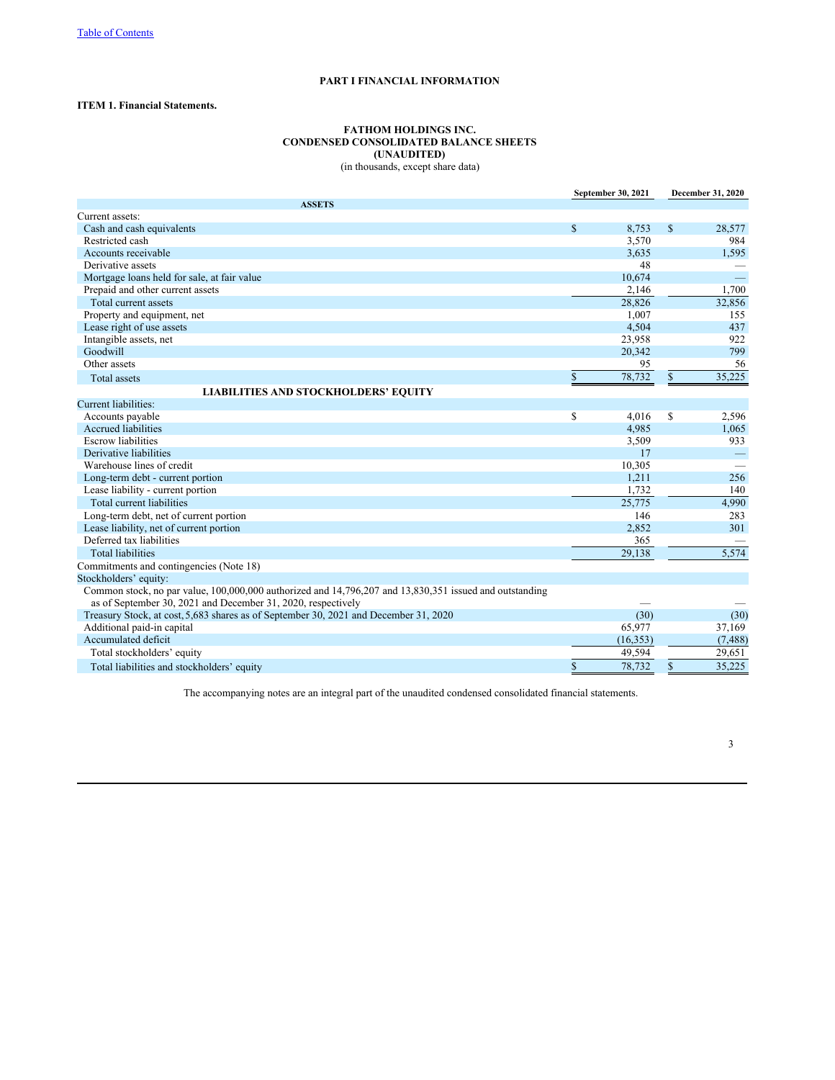# **PART I FINANCIAL INFORMATION**

# **ITEM 1. Financial Statements.**

# **FATHOM HOLDINGS INC. CONDENSED CONSOLIDATED BALANCE SHEETS (UNAUDITED)** (in thousands, except share data)

|                                                                                                                                                                         | September 30, 2021 |           |              | December 31, 2020 |
|-------------------------------------------------------------------------------------------------------------------------------------------------------------------------|--------------------|-----------|--------------|-------------------|
| <b>ASSETS</b>                                                                                                                                                           |                    |           |              |                   |
| Current assets:                                                                                                                                                         |                    |           |              |                   |
| Cash and cash equivalents                                                                                                                                               | \$                 | 8,753     | $\mathbb{S}$ | 28,577            |
| Restricted cash                                                                                                                                                         |                    | 3,570     |              | 984               |
| Accounts receivable                                                                                                                                                     |                    | 3,635     |              | 1,595             |
| Derivative assets                                                                                                                                                       |                    | 48        |              |                   |
| Mortgage loans held for sale, at fair value                                                                                                                             |                    | 10,674    |              |                   |
| Prepaid and other current assets                                                                                                                                        |                    | 2,146     |              | 1,700             |
| Total current assets                                                                                                                                                    |                    | 28.826    |              | 32,856            |
| Property and equipment, net                                                                                                                                             |                    | 1.007     |              | 155               |
| Lease right of use assets                                                                                                                                               |                    | 4,504     |              | 437               |
| Intangible assets, net                                                                                                                                                  |                    | 23,958    |              | 922               |
| Goodwill                                                                                                                                                                |                    | 20.342    |              | 799               |
| Other assets                                                                                                                                                            |                    | 95        |              | 56                |
| Total assets                                                                                                                                                            | \$                 | 78,732    | $\$$         | 35,225            |
| <b>LIABILITIES AND STOCKHOLDERS' EQUITY</b>                                                                                                                             |                    |           |              |                   |
| <b>Current liabilities:</b>                                                                                                                                             |                    |           |              |                   |
| Accounts payable                                                                                                                                                        | \$                 | 4.016     | $\mathbb{S}$ | 2,596             |
| <b>Accrued liabilities</b>                                                                                                                                              |                    | 4,985     |              | 1,065             |
| <b>Escrow</b> liabilities                                                                                                                                               |                    | 3,509     |              | 933               |
| Derivative liabilities                                                                                                                                                  |                    | 17        |              |                   |
| Warehouse lines of credit                                                                                                                                               |                    | 10,305    |              |                   |
| Long-term debt - current portion                                                                                                                                        |                    | 1,211     |              | 256               |
| Lease liability - current portion                                                                                                                                       |                    | 1,732     |              | 140               |
| Total current liabilities                                                                                                                                               |                    | 25,775    |              | 4,990             |
| Long-term debt, net of current portion                                                                                                                                  |                    | 146       |              | 283               |
| Lease liability, net of current portion                                                                                                                                 |                    | 2,852     |              | 301               |
| Deferred tax liabilities                                                                                                                                                |                    | 365       |              |                   |
| <b>Total liabilities</b>                                                                                                                                                |                    | 29.138    |              | 5,574             |
| Commitments and contingencies (Note 18)                                                                                                                                 |                    |           |              |                   |
| Stockholders' equity:                                                                                                                                                   |                    |           |              |                   |
| Common stock, no par value, 100,000,000 authorized and 14,796,207 and 13,830,351 issued and outstanding<br>as of September 30, 2021 and December 31, 2020, respectively |                    |           |              |                   |
| Treasury Stock, at cost, 5,683 shares as of September 30, 2021 and December 31, 2020                                                                                    |                    | (30)      |              | (30)              |
| Additional paid-in capital                                                                                                                                              |                    | 65,977    |              | 37,169            |
| Accumulated deficit                                                                                                                                                     |                    | (16, 353) |              | (7, 488)          |
| Total stockholders' equity                                                                                                                                              |                    | 49,594    |              | 29,651            |
| Total liabilities and stockholders' equity                                                                                                                              | \$                 | 78,732    | \$           | 35,225            |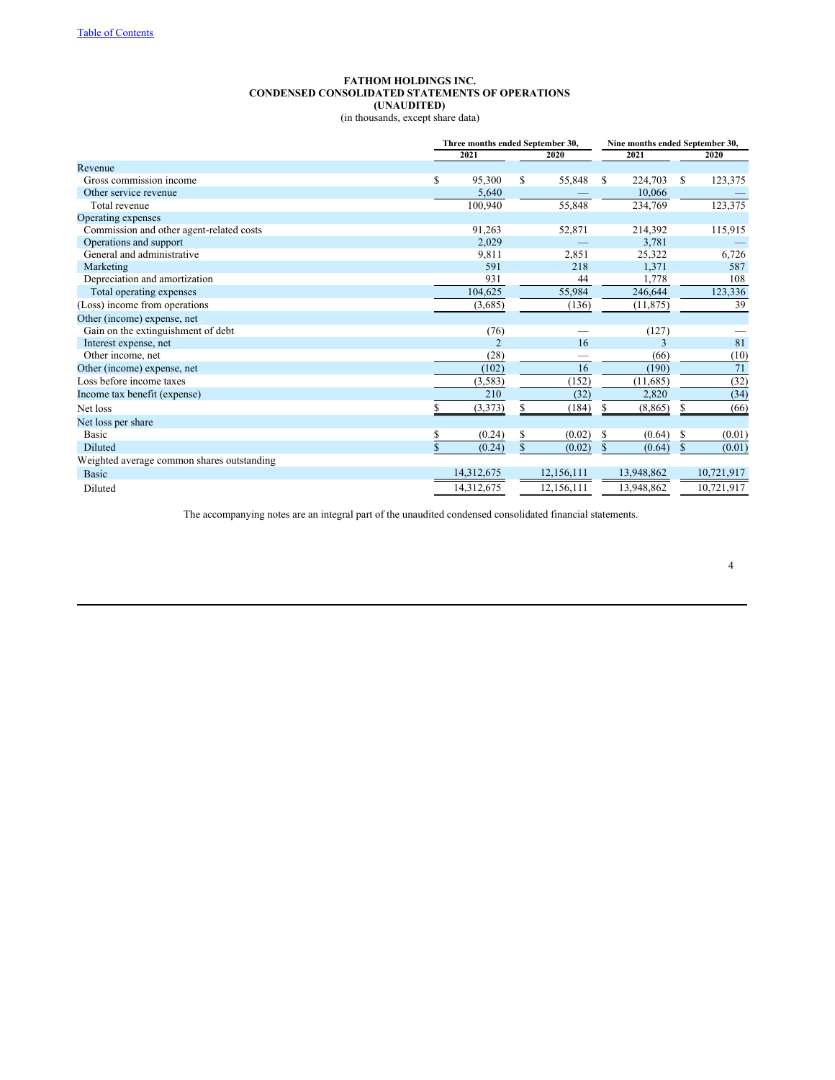# **FATHOM HOLDINGS INC. CONDENSED CONSOLIDATED STATEMENTS OF OPERATIONS (UNAUDITED)**

(in thousands, except share data)

|                                            |             | Three months ended September 30, |             |            |             | Nine months ended September 30, |              |            |  |  |
|--------------------------------------------|-------------|----------------------------------|-------------|------------|-------------|---------------------------------|--------------|------------|--|--|
|                                            |             | 2021                             |             | 2020       |             | 2021                            |              | 2020       |  |  |
| Revenue                                    |             |                                  |             |            |             |                                 |              |            |  |  |
| Gross commission income                    | \$          | 95,300                           | \$          | 55,848     | \$          | 224,703                         | \$           | 123,375    |  |  |
| Other service revenue                      |             | 5,640                            |             |            |             | 10,066                          |              |            |  |  |
| Total revenue                              |             | 100,940                          |             | 55,848     |             | 234,769                         |              | 123,375    |  |  |
| Operating expenses                         |             |                                  |             |            |             |                                 |              |            |  |  |
| Commission and other agent-related costs   |             | 91,263                           |             | 52,871     |             | 214,392                         |              | 115,915    |  |  |
| Operations and support                     |             | 2,029                            |             |            |             | 3,781                           |              |            |  |  |
| General and administrative                 |             | 9,811                            |             | 2,851      |             | 25,322                          |              | 6,726      |  |  |
| Marketing                                  |             | 591                              |             | 218        |             | 1,371                           |              | 587        |  |  |
| Depreciation and amortization              |             | 931                              |             | 44         |             | 1,778                           |              | 108        |  |  |
| Total operating expenses                   |             | 104,625                          |             | 55,984     |             | 246,644                         |              | 123,336    |  |  |
| (Loss) income from operations              |             | (3,685)                          |             | (136)      |             | (11, 875)                       |              | 39         |  |  |
| Other (income) expense, net                |             |                                  |             |            |             |                                 |              |            |  |  |
| Gain on the extinguishment of debt         |             | (76)                             |             |            |             | (127)                           |              |            |  |  |
| Interest expense, net                      |             | $\overline{\mathcal{L}}$         |             | 16         |             | 3                               |              | 81         |  |  |
| Other income, net                          |             | (28)                             |             | -          |             | (66)                            |              | (10)       |  |  |
| Other (income) expense, net                |             | (102)                            |             | 16         |             | (190)                           |              | 71         |  |  |
| Loss before income taxes                   |             | (3, 583)                         |             | (152)      |             | (11,685)                        |              | (32)       |  |  |
| Income tax benefit (expense)               |             | 210                              |             | (32)       |             | 2,820                           |              | (34)       |  |  |
| Net loss                                   | S.          | (3,373)                          | \$          | (184)      | \$          | (8, 865)                        | \$           | (66)       |  |  |
| Net loss per share                         |             |                                  |             |            |             |                                 |              |            |  |  |
| Basic                                      | \$          | (0.24)                           | \$          | (0.02)     | \$          | (0.64)                          | \$           | (0.01)     |  |  |
| Diluted                                    | $\mathbf S$ | (0.24)                           | $\mathbf S$ | (0.02)     | $\mathbf S$ | (0.64)                          | $\mathbb{S}$ | (0.01)     |  |  |
| Weighted average common shares outstanding |             |                                  |             |            |             |                                 |              |            |  |  |
| <b>Basic</b>                               |             | 14,312,675                       |             | 12,156,111 |             | 13,948,862                      |              | 10,721,917 |  |  |
| Diluted                                    |             | 14,312,675                       |             | 12,156,111 |             | 13,948,862                      |              | 10,721,917 |  |  |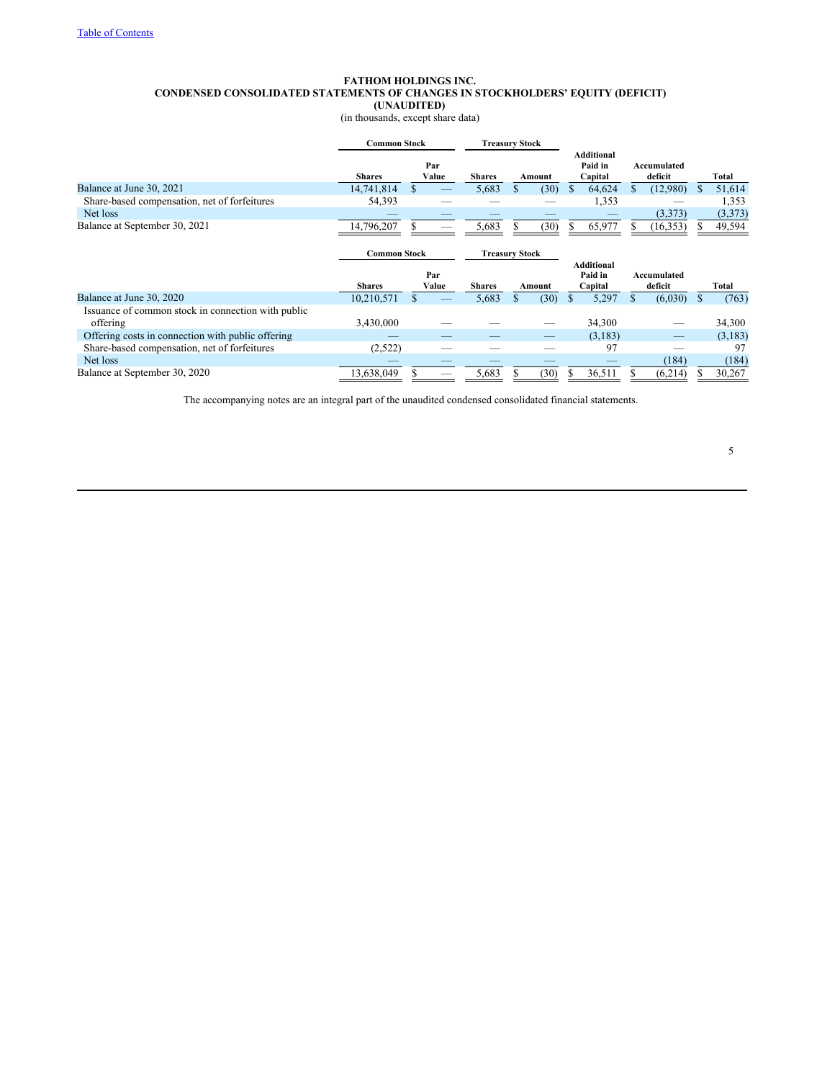# **FATHOM HOLDINGS INC. CONDENSED CONSOLIDATED STATEMENTS OF CHANGES IN STOCKHOLDERS' EQUITY (DEFICIT) (UNAUDITED)**

(in thousands, except share data)

|                                                    | <b>Common Stock</b> |              |               |       | <b>Treasury Stock</b> |      |     |                                         |     |                        |    |         |
|----------------------------------------------------|---------------------|--------------|---------------|-------|-----------------------|------|-----|-----------------------------------------|-----|------------------------|----|---------|
|                                                    | <b>Shares</b>       | Par<br>Value | <b>Shares</b> |       | Amount                |      |     | <b>Additional</b><br>Paid in<br>Capital |     | Accumulated<br>deficit |    | Total   |
| Balance at June 30, 2021                           | 14,741,814          |              |               | 5,683 |                       | (30) | \$. | 64,624                                  |     | (12,980)               | S  | 51,614  |
| Share-based compensation, net of forfeitures       | 54,393              |              |               |       |                       |      |     | 1,353                                   |     |                        |    | 1,353   |
| Net loss                                           |                     |              |               |       |                       |      |     |                                         |     | (3,373)                |    | (3,373) |
| Balance at September 30, 2021                      | 14,796,207          |              |               | 5,683 |                       | (30) | S.  | 65,977                                  |     | (16, 353)              |    | 49,594  |
|                                                    |                     |              |               |       |                       |      |     |                                         |     |                        |    |         |
|                                                    | <b>Common Stock</b> |              |               |       | <b>Treasury Stock</b> |      |     |                                         |     |                        |    |         |
|                                                    |                     |              |               |       |                       |      |     | <b>Additional</b>                       |     |                        |    |         |
|                                                    | <b>Shares</b>       | Par<br>Value | <b>Shares</b> |       | Amount                |      |     | Paid in<br>Capital                      |     | Accumulated<br>deficit |    | Total   |
| Balance at June 30, 2020                           | 10,210,571          |              |               | 5,683 |                       | (30) | S.  | 5,297                                   | \$. | (6,030)                | S. | (763)   |
| Issuance of common stock in connection with public |                     |              |               |       |                       |      |     |                                         |     |                        |    |         |
| offering                                           | 3,430,000           |              |               |       |                       |      |     | 34,300                                  |     |                        |    | 34,300  |
| Offering costs in connection with public offering  |                     |              |               |       |                       |      |     | (3,183)                                 |     |                        |    | (3,183) |
| Share-based compensation, net of forfeitures       | (2,522)             |              |               |       |                       |      |     | 97                                      |     |                        |    | 97      |
| Net loss                                           |                     |              |               |       |                       |      |     |                                         |     | (184)                  |    | (184)   |
| Balance at September 30, 2020                      | 13,638,049          |              |               | 5,683 |                       | (30) |     | 36,511                                  |     | (6,214)                |    | 30,267  |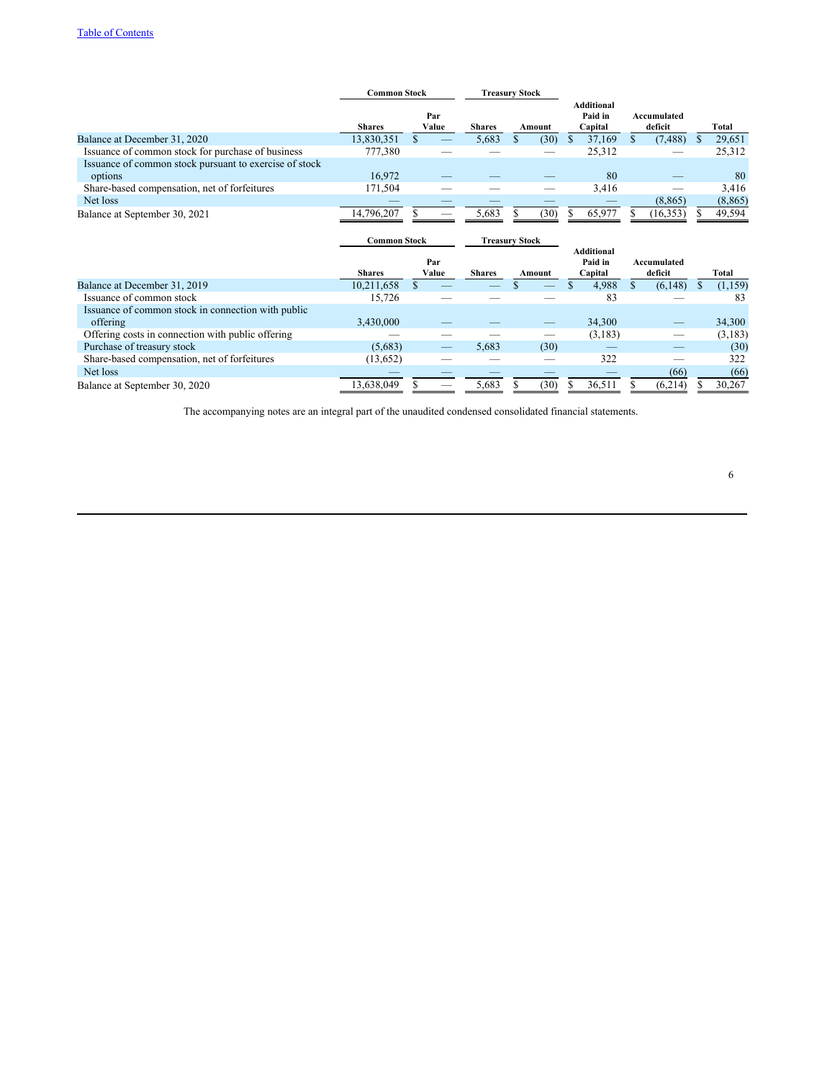|                                                                   | Common Stock  |              | <b>Treasury Stock</b> |        |                                  |                        |          |
|-------------------------------------------------------------------|---------------|--------------|-----------------------|--------|----------------------------------|------------------------|----------|
|                                                                   | <b>Shares</b> | Par<br>Value | <b>Shares</b>         | Amount | Additional<br>Paid in<br>Capital | Accumulated<br>deficit | Total    |
| Balance at December 31, 2020                                      | 13,830,351    |              | 5.683                 | (30)   | 37.169                           | (7, 488)               | 29,651   |
| Issuance of common stock for purchase of business                 | 777,380       |              |                       | _      | 25,312                           |                        | 25,312   |
| Issuance of common stock pursuant to exercise of stock<br>options | 16.972        |              |                       |        | 80                               |                        | 80       |
| Share-based compensation, net of forfeitures                      | 171,504       |              |                       | --     | 3.416                            | _                      | 3,416    |
| Net loss                                                          |               |              |                       |        |                                  | (8, 865)               | (8, 865) |
| Balance at September 30, 2021                                     | 14.796.207    |              | 5.683                 | (30)   | 65.977                           | (16, 353)              | 49,594   |

|                                                    | <b>Common Stock</b> |              |               | <b>Treasury Stock</b> |        |                                         |                        |   |          |
|----------------------------------------------------|---------------------|--------------|---------------|-----------------------|--------|-----------------------------------------|------------------------|---|----------|
|                                                    | <b>Shares</b>       | Par<br>Value | <b>Shares</b> |                       | Amount | <b>Additional</b><br>Paid in<br>Capital | Accumulated<br>deficit |   | Total    |
| Balance at December 31, 2019                       | 10,211,658          |              |               |                       |        | 4.988                                   | (6, 148)               | Ф | (1, 159) |
| Issuance of common stock                           | 15,726              |              |               |                       |        | 83                                      |                        |   | 83       |
| Issuance of common stock in connection with public |                     |              |               |                       |        |                                         |                        |   |          |
| offering                                           | 3.430,000           |              |               |                       | _      | 34,300                                  |                        |   | 34,300   |
| Offering costs in connection with public offering  |                     |              |               |                       | --     | (3,183)                                 |                        |   | (3, 183) |
| Purchase of treasury stock                         | (5,683)             |              | 5.683         |                       | (30)   | _                                       |                        |   | (30)     |
| Share-based compensation, net of forfeitures       | (13, 652)           |              |               |                       |        | 322                                     |                        |   | 322      |
| Net loss                                           |                     |              |               |                       |        | _                                       | (66)                   |   | (66)     |
| Balance at September 30, 2020                      | 13.638.049          |              | 5,683         |                       | (30    | 36,511                                  | (6,214)                |   | 30,267   |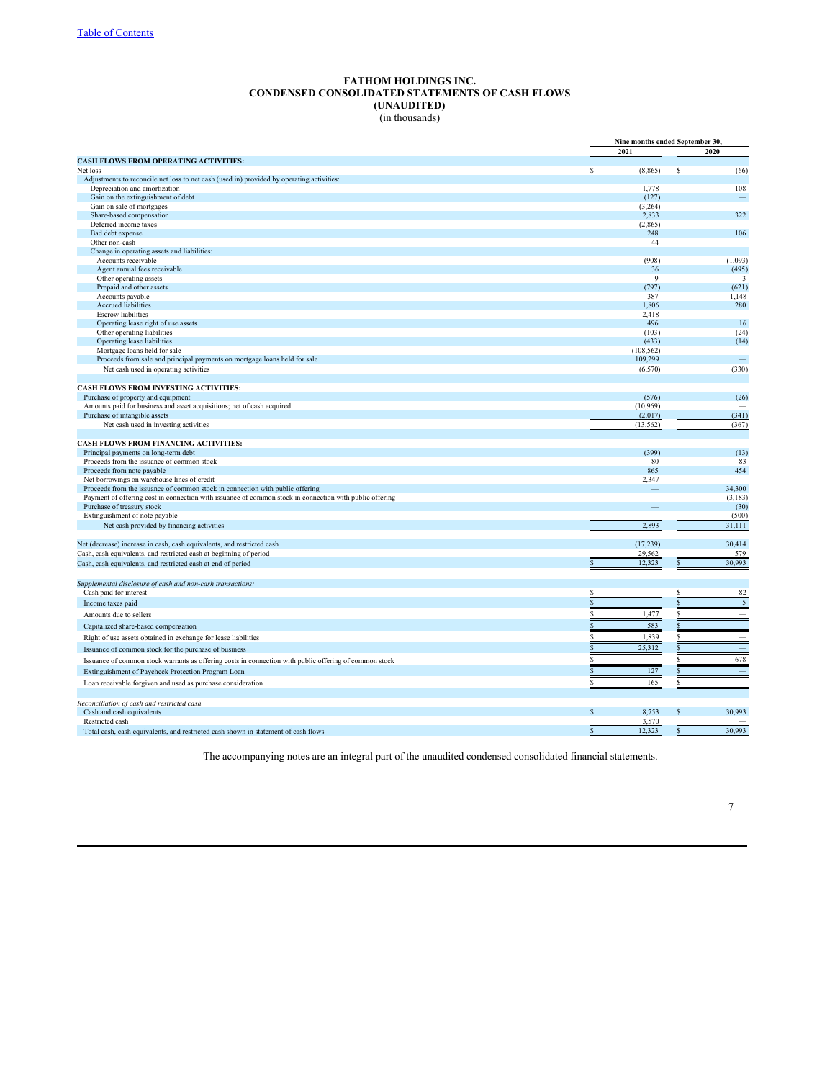# **FATHOM HOLDINGS INC. CONDENSED CONSOLIDATED STATEMENTS OF CASH FLOWS (UNAUDITED)** (in thousands)

|                                                                                                         | Nine months ended September 30, |                               |
|---------------------------------------------------------------------------------------------------------|---------------------------------|-------------------------------|
|                                                                                                         | 2021                            | 2020                          |
| <b>CASH FLOWS FROM OPERATING ACTIVITIES:</b>                                                            |                                 |                               |
| Net loss                                                                                                | s<br>(8, 865)                   | \$<br>(66)                    |
| Adjustments to reconcile net loss to net cash (used in) provided by operating activities:               |                                 |                               |
| Depreciation and amortization<br>Gain on the extinguishment of debt                                     | 1,778<br>(127)                  | 108                           |
| Gain on sale of mortgages                                                                               | (3,264)                         | $\overline{\phantom{a}}$      |
| Share-based compensation                                                                                | 2,833                           | 322                           |
| Deferred income taxes                                                                                   | (2,865)                         |                               |
| Bad debt expense                                                                                        | 248                             | 106                           |
| Other non-cash                                                                                          | 44                              |                               |
| Change in operating assets and liabilities:                                                             |                                 |                               |
| Accounts receivable                                                                                     | (908)                           | (1,093)                       |
| Agent annual fees receivable                                                                            | 36                              | (495)                         |
| Other operating assets                                                                                  | $\mathbf Q$                     | 3                             |
| Prepaid and other assets                                                                                | (797)                           | (621)                         |
| Accounts payable                                                                                        | 387                             | 1,148                         |
| <b>Accrued liabilities</b>                                                                              | 1,806                           | 280                           |
| <b>Escrow</b> liabilities                                                                               | 2,418                           | $\overline{\phantom{a}}$      |
| Operating lease right of use assets                                                                     | 496                             | 16                            |
| Other operating liabilities                                                                             | (103)                           | (24)                          |
| Operating lease liabilities                                                                             | (433)                           | (14)                          |
| Mortgage loans held for sale                                                                            | (108, 562)                      |                               |
| Proceeds from sale and principal payments on mortgage loans held for sale                               | 109,299                         |                               |
| Net cash used in operating activities                                                                   | (6, 570)                        | (330)                         |
|                                                                                                         |                                 |                               |
| CASH FLOWS FROM INVESTING ACTIVITIES:                                                                   |                                 |                               |
| Purchase of property and equipment                                                                      | (576)                           | (26)                          |
| Amounts paid for business and asset acquisitions; net of cash acquired                                  | (10, 969)                       |                               |
| Purchase of intangible assets                                                                           | (2,017)                         | (341)                         |
| Net cash used in investing activities                                                                   | (13, 562)                       | (367)                         |
| <b>CASH FLOWS FROM FINANCING ACTIVITIES:</b>                                                            |                                 |                               |
| Principal payments on long-term debt                                                                    | (399)                           | (13)                          |
| Proceeds from the issuance of common stock                                                              | 80                              | 83                            |
| Proceeds from note payable                                                                              | 865                             | 454                           |
| Net borrowings on warehouse lines of credit                                                             | 2,347                           |                               |
| Proceeds from the issuance of common stock in connection with public offering                           |                                 | 34,300                        |
| Payment of offering cost in connection with issuance of common stock in connection with public offering |                                 | (3, 183)                      |
| Purchase of treasury stock                                                                              |                                 | (30)                          |
| Extinguishment of note payable                                                                          |                                 | (500)                         |
| Net cash provided by financing activities                                                               | 2,893                           | 31,111                        |
|                                                                                                         |                                 |                               |
| Net (decrease) increase in cash, cash equivalents, and restricted cash                                  | (17, 239)                       | 30,414                        |
| Cash, cash equivalents, and restricted cash at beginning of period                                      | 29,562                          | 579                           |
| Cash, cash equivalents, and restricted cash at end of period                                            | 12,323<br>S                     | 30,993                        |
|                                                                                                         |                                 |                               |
| Supplemental disclosure of cash and non-cash transactions:                                              |                                 |                               |
| Cash paid for interest                                                                                  | S                               | 82                            |
| Income taxes paid                                                                                       | \$.                             | $\overline{5}$                |
|                                                                                                         | 1,477<br>S                      | $\overline{\phantom{0}}$<br>S |
| Amounts due to sellers                                                                                  |                                 |                               |
| Capitalized share-based compensation                                                                    | 583                             | $\overline{\phantom{a}}$      |
| Right of use assets obtained in exchange for lease liabilities                                          | 1,839                           |                               |
| Issuance of common stock for the purchase of business                                                   | 25,312                          |                               |
| Issuance of common stock warrants as offering costs in connection with public offering of common stock  |                                 | 678                           |
|                                                                                                         | 127<br>S                        | <b>Contract</b>               |
| Extinguishment of Paycheck Protection Program Loan                                                      |                                 |                               |
| Loan receivable forgiven and used as purchase consideration                                             | 165<br>S                        | $\overline{\phantom{a}}$      |
| Reconciliation of cash and restricted cash                                                              |                                 |                               |
| Cash and cash equivalents                                                                               | S<br>8,753                      | 30,993<br>\$.                 |
| Restricted cash                                                                                         | 3,570                           |                               |
| Total cash, cash equivalents, and restricted cash shown in statement of cash flows                      | 12,323<br>\$                    | 30,993                        |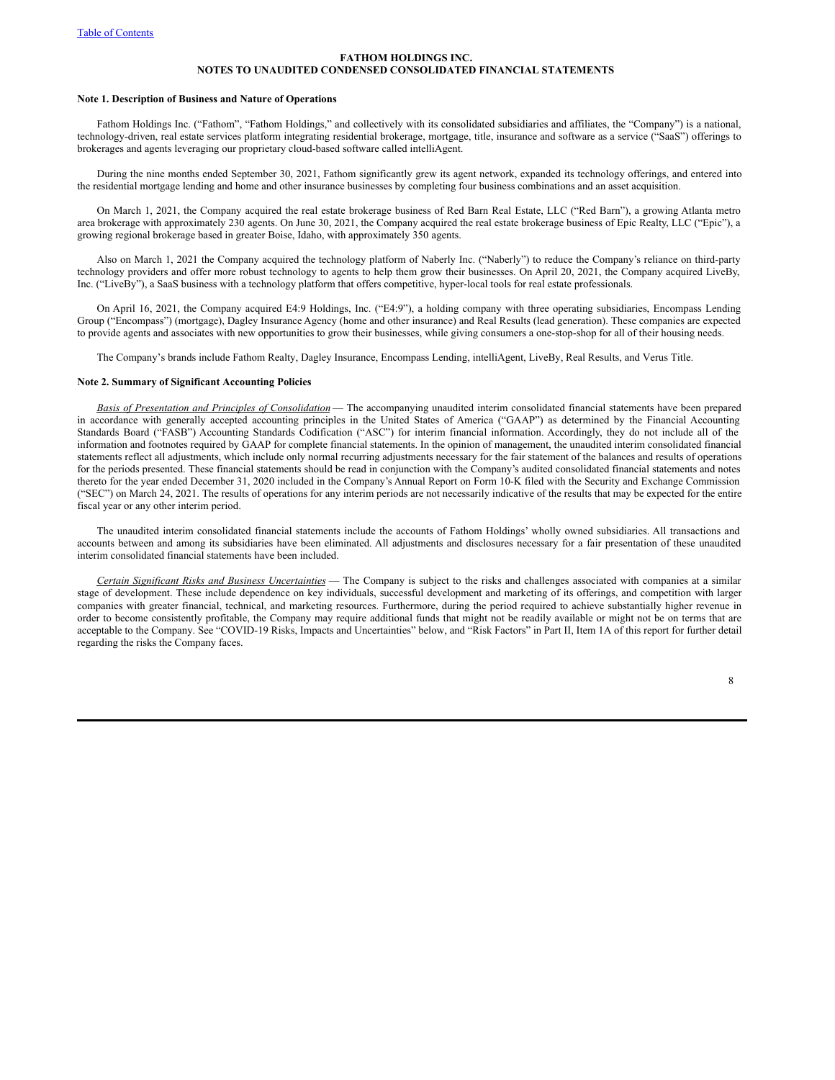#### **Note 1. Description of Business and Nature of Operations**

Fathom Holdings Inc. ("Fathom", "Fathom Holdings," and collectively with its consolidated subsidiaries and affiliates, the "Company") is a national, technology-driven, real estate services platform integrating residential brokerage, mortgage, title, insurance and software as a service ("SaaS") offerings to brokerages and agents leveraging our proprietary cloud-based software called intelliAgent.

During the nine months ended September 30, 2021, Fathom significantly grew its agent network, expanded its technology offerings, and entered into the residential mortgage lending and home and other insurance businesses by completing four business combinations and an asset acquisition.

On March 1, 2021, the Company acquired the real estate brokerage business of Red Barn Real Estate, LLC ("Red Barn"), a growing Atlanta metro area brokerage with approximately 230 agents. On June 30, 2021, the Company acquired the real estate brokerage business of Epic Realty, LLC ("Epic"), a growing regional brokerage based in greater Boise, Idaho, with approximately 350 agents.

Also on March 1, 2021 the Company acquired the technology platform of Naberly Inc. ("Naberly") to reduce the Company's reliance on third-party technology providers and offer more robust technology to agents to help them grow their businesses. On April 20, 2021, the Company acquired LiveBy, Inc. ("LiveBy"), a SaaS business with a technology platform that offers competitive, hyper-local tools for real estate professionals.

On April 16, 2021, the Company acquired E4:9 Holdings, Inc. ("E4:9"), a holding company with three operating subsidiaries, Encompass Lending Group ("Encompass") (mortgage), Dagley Insurance Agency (home and other insurance) and Real Results (lead generation). These companies are expected to provide agents and associates with new opportunities to grow their businesses, while giving consumers a one-stop-shop for all of their housing needs.

The Company's brands include Fathom Realty, Dagley Insurance, Encompass Lending, intelliAgent, LiveBy, Real Results, and Verus Title.

## **Note 2. Summary of Significant Accounting Policies**

*Basis of Presentation and Principles of Consolidation* — The accompanying unaudited interim consolidated financial statements have been prepared in accordance with generally accepted accounting principles in the United States of America ("GAAP") as determined by the Financial Accounting Standards Board ("FASB") Accounting Standards Codification ("ASC") for interim financial information. Accordingly, they do not include all of the information and footnotes required by GAAP for complete financial statements. In the opinion of management, the unaudited interim consolidated financial statements reflect all adjustments, which include only normal recurring adjustments necessary for the fair statement of the balances and results of operations for the periods presented. These financial statements should be read in conjunction with the Company's audited consolidated financial statements and notes thereto for the year ended December 31, 2020 included in the Company's Annual Report on Form 10-K filed with the Security and Exchange Commission ("SEC") on March 24, 2021. The results of operations for any interim periods are not necessarily indicative of the results that may be expected for the entire fiscal year or any other interim period.

The unaudited interim consolidated financial statements include the accounts of Fathom Holdings' wholly owned subsidiaries. All transactions and accounts between and among its subsidiaries have been eliminated. All adjustments and disclosures necessary for a fair presentation of these unaudited interim consolidated financial statements have been included.

*Certain Significant Risks and Business Uncertainties* — The Company is subject to the risks and challenges associated with companies at a similar stage of development. These include dependence on key individuals, successful development and marketing of its offerings, and competition with larger companies with greater financial, technical, and marketing resources. Furthermore, during the period required to achieve substantially higher revenue in order to become consistently profitable, the Company may require additional funds that might not be readily available or might not be on terms that are acceptable to the Company. See "COVID-19 Risks, Impacts and Uncertainties" below, and "Risk Factors" in Part II, Item 1A of this report for further detail regarding the risks the Company faces.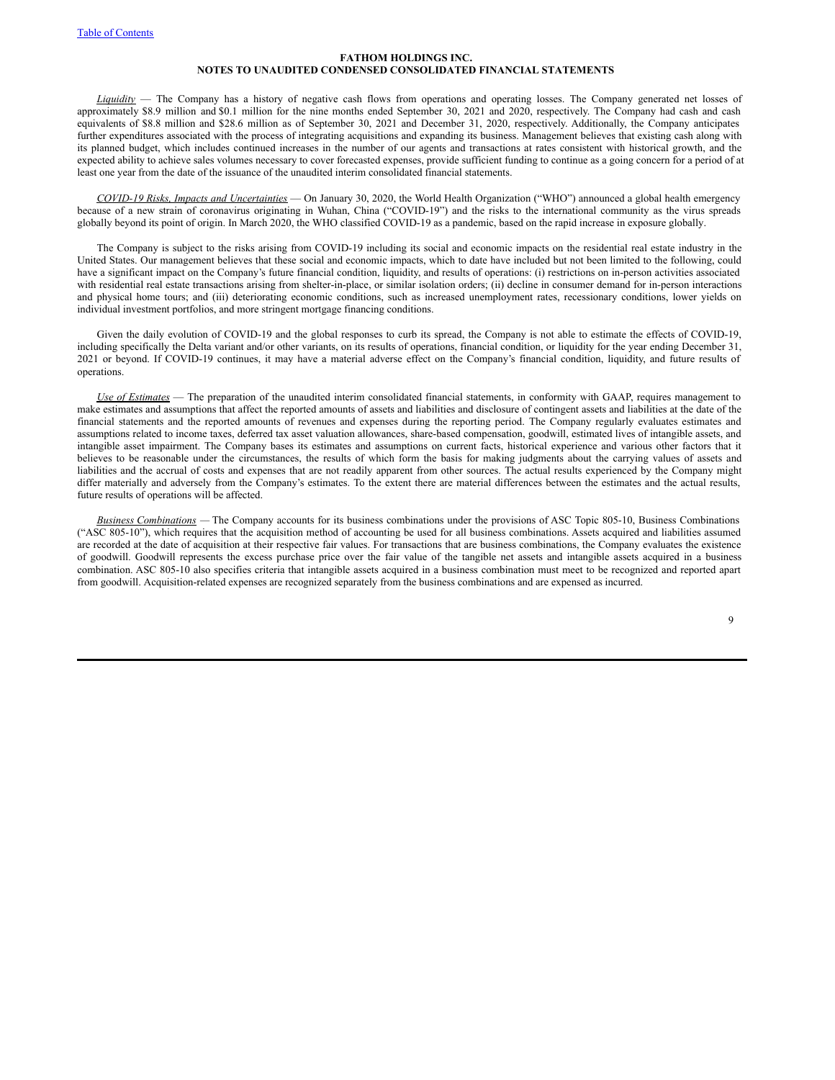*Liquidity* — The Company has a history of negative cash flows from operations and operating losses. The Company generated net losses of approximately \$8.9 million and \$0.1 million for the nine months ended September 30, 2021 and 2020, respectively. The Company had cash and cash equivalents of \$8.8 million and \$28.6 million as of September 30, 2021 and December 31, 2020, respectively. Additionally, the Company anticipates further expenditures associated with the process of integrating acquisitions and expanding its business. Management believes that existing cash along with its planned budget, which includes continued increases in the number of our agents and transactions at rates consistent with historical growth, and the expected ability to achieve sales volumes necessary to cover forecasted expenses, provide sufficient funding to continue as a going concern for a period of at least one year from the date of the issuance of the unaudited interim consolidated financial statements.

*COVID-19 Risks, Impacts and Uncertainties* — On January 30, 2020, the World Health Organization ("WHO") announced a global health emergency because of a new strain of coronavirus originating in Wuhan, China ("COVID-19") and the risks to the international community as the virus spreads globally beyond its point of origin. In March 2020, the WHO classified COVID-19 as a pandemic, based on the rapid increase in exposure globally.

The Company is subject to the risks arising from COVID-19 including its social and economic impacts on the residential real estate industry in the United States. Our management believes that these social and economic impacts, which to date have included but not been limited to the following, could have a significant impact on the Company's future financial condition, liquidity, and results of operations: (i) restrictions on in-person activities associated with residential real estate transactions arising from shelter-in-place, or similar isolation orders; (ii) decline in consumer demand for in-person interactions and physical home tours; and (iii) deteriorating economic conditions, such as increased unemployment rates, recessionary conditions, lower yields on individual investment portfolios, and more stringent mortgage financing conditions.

Given the daily evolution of COVID-19 and the global responses to curb its spread, the Company is not able to estimate the effects of COVID-19, including specifically the Delta variant and/or other variants, on its results of operations, financial condition, or liquidity for the year ending December 31, 2021 or beyond. If COVID-19 continues, it may have a material adverse effect on the Company's financial condition, liquidity, and future results of operations.

*Use of Estimates* — The preparation of the unaudited interim consolidated financial statements, in conformity with GAAP, requires management to make estimates and assumptions that affect the reported amounts of assets and liabilities and disclosure of contingent assets and liabilities at the date of the financial statements and the reported amounts of revenues and expenses during the reporting period. The Company regularly evaluates estimates and assumptions related to income taxes, deferred tax asset valuation allowances, share-based compensation, goodwill, estimated lives of intangible assets, and intangible asset impairment. The Company bases its estimates and assumptions on current facts, historical experience and various other factors that it believes to be reasonable under the circumstances, the results of which form the basis for making judgments about the carrying values of assets and liabilities and the accrual of costs and expenses that are not readily apparent from other sources. The actual results experienced by the Company might differ materially and adversely from the Company's estimates. To the extent there are material differences between the estimates and the actual results, future results of operations will be affected.

*Business Combinations —* The Company accounts for its business combinations under the provisions of ASC Topic 805-10, Business Combinations ("ASC 805-10"), which requires that the acquisition method of accounting be used for all business combinations. Assets acquired and liabilities assumed are recorded at the date of acquisition at their respective fair values. For transactions that are business combinations, the Company evaluates the existence of goodwill. Goodwill represents the excess purchase price over the fair value of the tangible net assets and intangible assets acquired in a business combination. ASC 805-10 also specifies criteria that intangible assets acquired in a business combination must meet to be recognized and reported apart from goodwill. Acquisition-related expenses are recognized separately from the business combinations and are expensed as incurred.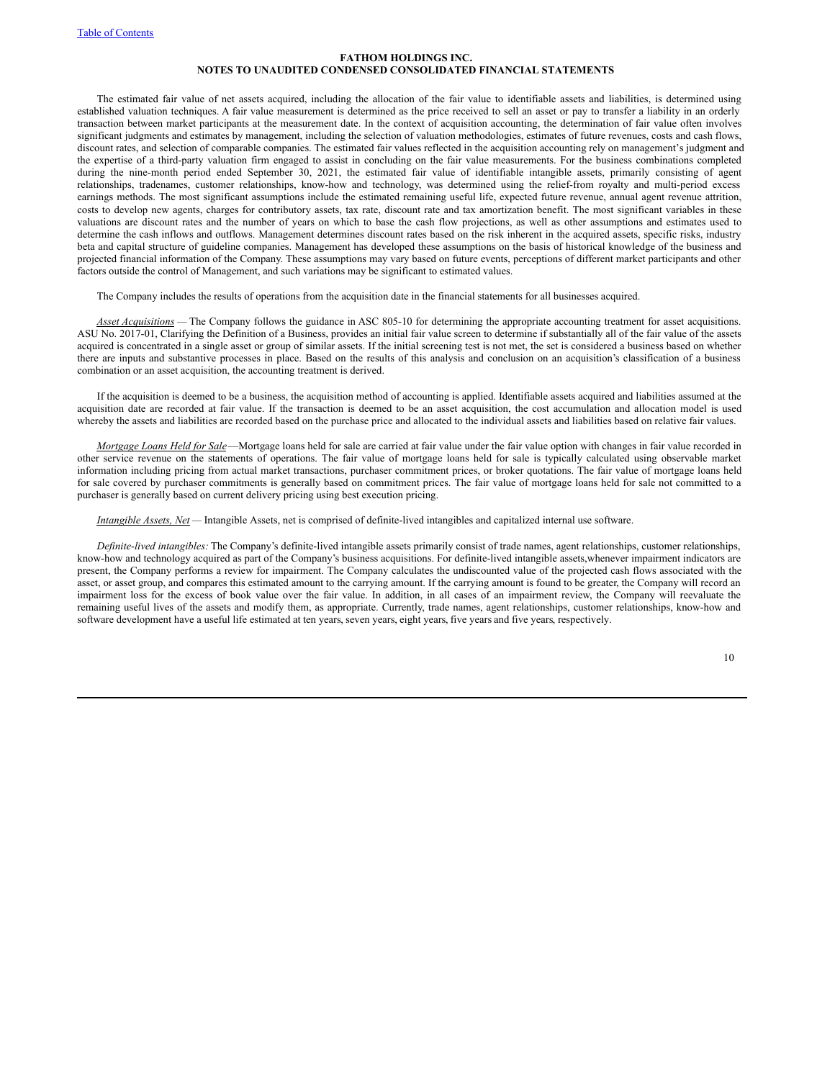The estimated fair value of net assets acquired, including the allocation of the fair value to identifiable assets and liabilities, is determined using established valuation techniques. A fair value measurement is determined as the price received to sell an asset or pay to transfer a liability in an orderly transaction between market participants at the measurement date. In the context of acquisition accounting, the determination of fair value often involves significant judgments and estimates by management, including the selection of valuation methodologies, estimates of future revenues, costs and cash flows, discount rates, and selection of comparable companies. The estimated fair values reflected in the acquisition accounting rely on management's judgment and the expertise of a third-party valuation firm engaged to assist in concluding on the fair value measurements. For the business combinations completed during the nine-month period ended September 30, 2021, the estimated fair value of identifiable intangible assets, primarily consisting of agent relationships, tradenames, customer relationships, know-how and technology, was determined using the relief-from royalty and multi-period excess earnings methods. The most significant assumptions include the estimated remaining useful life, expected future revenue, annual agent revenue attrition, costs to develop new agents, charges for contributory assets, tax rate, discount rate and tax amortization benefit. The most significant variables in these valuations are discount rates and the number of years on which to base the cash flow projections, as well as other assumptions and estimates used to determine the cash inflows and outflows. Management determines discount rates based on the risk inherent in the acquired assets, specific risks, industry beta and capital structure of guideline companies. Management has developed these assumptions on the basis of historical knowledge of the business and projected financial information of the Company. These assumptions may vary based on future events, perceptions of different market participants and other factors outside the control of Management, and such variations may be significant to estimated values.

The Company includes the results of operations from the acquisition date in the financial statements for all businesses acquired.

*Asset Acquisitions —* The Company follows the guidance in ASC 805-10 for determining the appropriate accounting treatment for asset acquisitions. ASU No. 2017-01, Clarifying the Definition of a Business, provides an initial fair value screen to determine if substantially all of the fair value of the assets acquired is concentrated in a single asset or group of similar assets. If the initial screening test is not met, the set is considered a business based on whether there are inputs and substantive processes in place. Based on the results of this analysis and conclusion on an acquisition's classification of a business combination or an asset acquisition, the accounting treatment is derived.

If the acquisition is deemed to be a business, the acquisition method of accounting is applied. Identifiable assets acquired and liabilities assumed at the acquisition date are recorded at fair value. If the transaction is deemed to be an asset acquisition, the cost accumulation and allocation model is used whereby the assets and liabilities are recorded based on the purchase price and allocated to the individual assets and liabilities based on relative fair values.

*Mortgage Loans Held for Sale*—Mortgage loans held for sale are carried at fair value under the fair value option with changes in fair value recorded in other service revenue on the statements of operations. The fair value of mortgage loans held for sale is typically calculated using observable market information including pricing from actual market transactions, purchaser commitment prices, or broker quotations. The fair value of mortgage loans held for sale covered by purchaser commitments is generally based on commitment prices. The fair value of mortgage loans held for sale not committed to a purchaser is generally based on current delivery pricing using best execution pricing.

*Intangible Assets, Net —* Intangible Assets, net is comprised of definite-lived intangibles and capitalized internal use software.

*Definite-lived intangibles:* The Company's definite-lived intangible assets primarily consist of trade names, agent relationships, customer relationships, know-how and technology acquired as part of the Company's business acquisitions. For definite-lived intangible assets,whenever impairment indicators are present, the Company performs a review for impairment. The Company calculates the undiscounted value of the projected cash flows associated with the asset, or asset group, and compares this estimated amount to the carrying amount. If the carrying amount is found to be greater, the Company will record an impairment loss for the excess of book value over the fair value. In addition, in all cases of an impairment review, the Company will reevaluate the remaining useful lives of the assets and modify them, as appropriate. Currently, trade names, agent relationships, customer relationships, know-how and software development have a useful life estimated at ten years, seven years, eight years, five years and five years, respectively.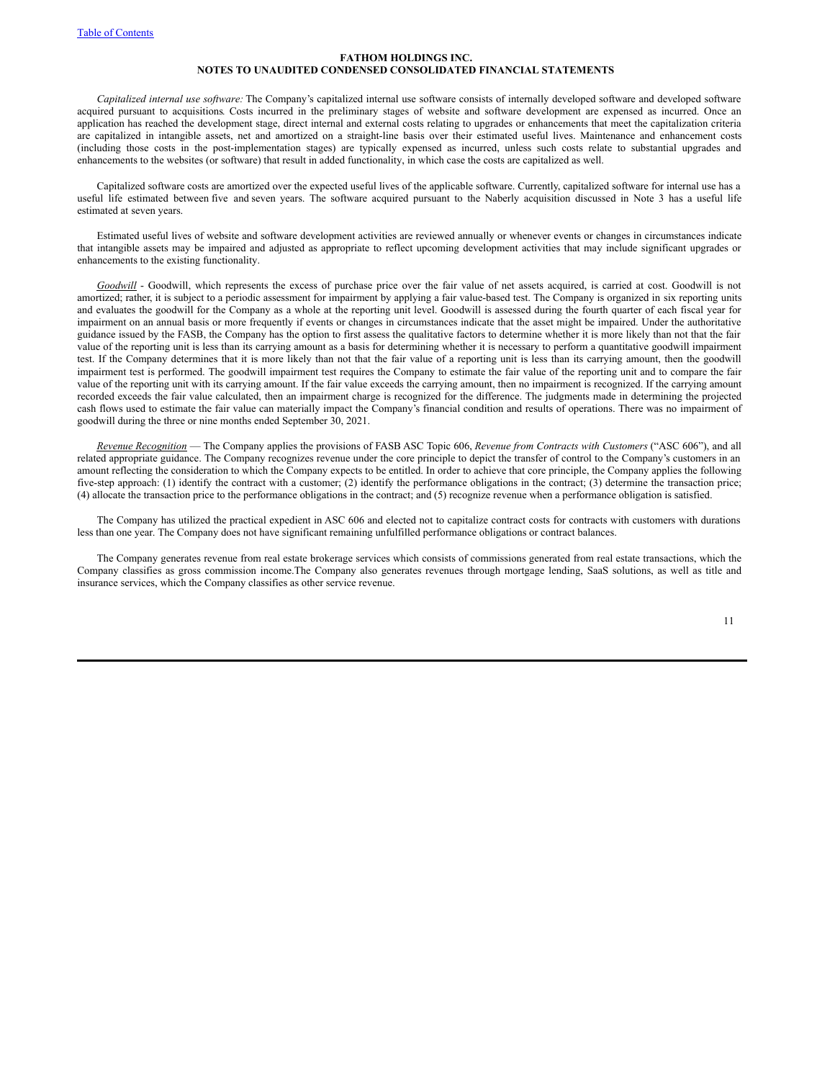*Capitalized internal use software:* The Company's capitalized internal use software consists of internally developed software and developed software acquired pursuant to acquisitions*.* Costs incurred in the preliminary stages of website and software development are expensed as incurred. Once an application has reached the development stage, direct internal and external costs relating to upgrades or enhancements that meet the capitalization criteria are capitalized in intangible assets, net and amortized on a straight-line basis over their estimated useful lives. Maintenance and enhancement costs (including those costs in the post-implementation stages) are typically expensed as incurred, unless such costs relate to substantial upgrades and enhancements to the websites (or software) that result in added functionality, in which case the costs are capitalized as well.

Capitalized software costs are amortized over the expected useful lives of the applicable software. Currently, capitalized software for internal use has a useful life estimated between five and seven years. The software acquired pursuant to the Naberly acquisition discussed in Note 3 has a useful life estimated at seven years.

Estimated useful lives of website and software development activities are reviewed annually or whenever events or changes in circumstances indicate that intangible assets may be impaired and adjusted as appropriate to reflect upcoming development activities that may include significant upgrades or enhancements to the existing functionality.

*Goodwill* - Goodwill, which represents the excess of purchase price over the fair value of net assets acquired, is carried at cost. Goodwill is not amortized; rather, it is subject to a periodic assessment for impairment by applying a fair value-based test. The Company is organized in six reporting units and evaluates the goodwill for the Company as a whole at the reporting unit level. Goodwill is assessed during the fourth quarter of each fiscal year for impairment on an annual basis or more frequently if events or changes in circumstances indicate that the asset might be impaired. Under the authoritative guidance issued by the FASB, the Company has the option to first assess the qualitative factors to determine whether it is more likely than not that the fair value of the reporting unit is less than its carrying amount as a basis for determining whether it is necessary to perform a quantitative goodwill impairment test. If the Company determines that it is more likely than not that the fair value of a reporting unit is less than its carrying amount, then the goodwill impairment test is performed. The goodwill impairment test requires the Company to estimate the fair value of the reporting unit and to compare the fair value of the reporting unit with its carrying amount. If the fair value exceeds the carrying amount, then no impairment is recognized. If the carrying amount recorded exceeds the fair value calculated, then an impairment charge is recognized for the difference. The judgments made in determining the projected cash flows used to estimate the fair value can materially impact the Company's financial condition and results of operations. There was no impairment of goodwill during the three or nine months ended September 30, 2021.

*Revenue Recognition* — The Company applies the provisions of FASB ASC Topic 606, *Revenue from Contracts with Customers* ("ASC 606"), and all related appropriate guidance. The Company recognizes revenue under the core principle to depict the transfer of control to the Company's customers in an amount reflecting the consideration to which the Company expects to be entitled. In order to achieve that core principle, the Company applies the following five-step approach: (1) identify the contract with a customer; (2) identify the performance obligations in the contract; (3) determine the transaction price; (4) allocate the transaction price to the performance obligations in the contract; and (5) recognize revenue when a performance obligation is satisfied.

The Company has utilized the practical expedient in ASC 606 and elected not to capitalize contract costs for contracts with customers with durations less than one year. The Company does not have significant remaining unfulfilled performance obligations or contract balances.

The Company generates revenue from real estate brokerage services which consists of commissions generated from real estate transactions, which the Company classifies as gross commission income.The Company also generates revenues through mortgage lending, SaaS solutions, as well as title and insurance services, which the Company classifies as other service revenue.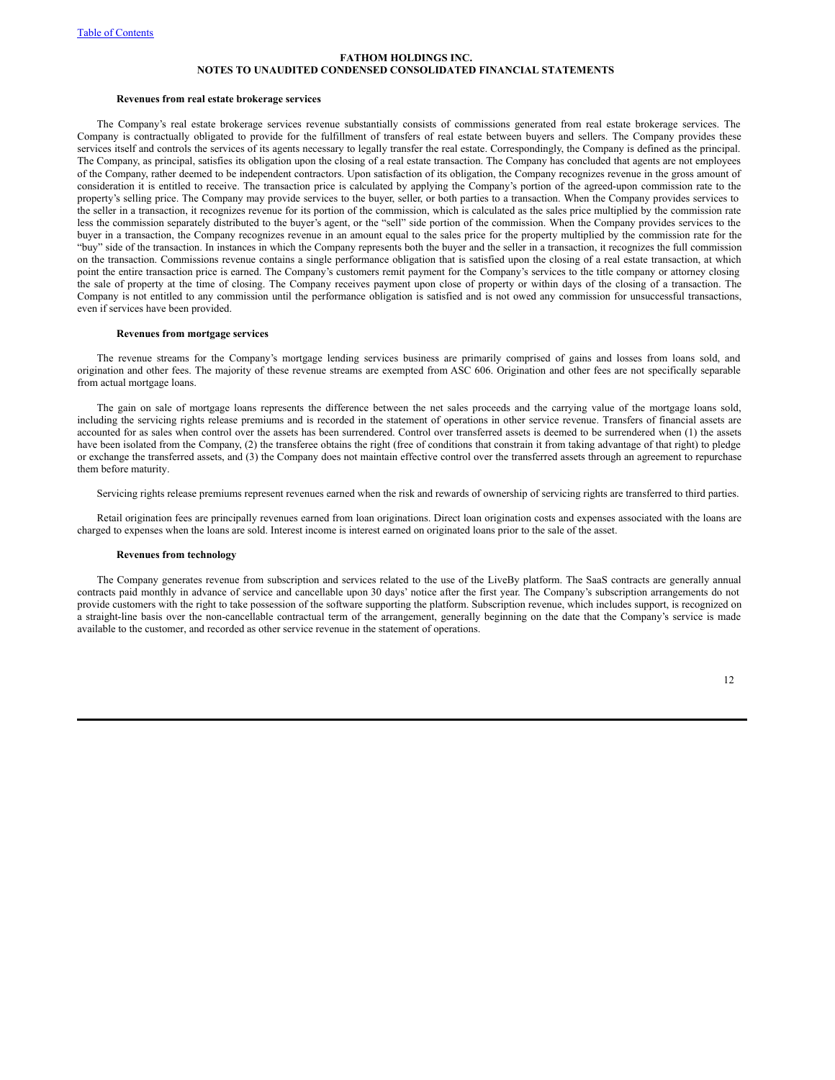#### **Revenues from real estate brokerage services**

The Company's real estate brokerage services revenue substantially consists of commissions generated from real estate brokerage services. The Company is contractually obligated to provide for the fulfillment of transfers of real estate between buyers and sellers. The Company provides these services itself and controls the services of its agents necessary to legally transfer the real estate. Correspondingly, the Company is defined as the principal. The Company, as principal, satisfies its obligation upon the closing of a real estate transaction. The Company has concluded that agents are not employees of the Company, rather deemed to be independent contractors. Upon satisfaction of its obligation, the Company recognizes revenue in the gross amount of consideration it is entitled to receive. The transaction price is calculated by applying the Company's portion of the agreed-upon commission rate to the property's selling price. The Company may provide services to the buyer, seller, or both parties to a transaction. When the Company provides services to the seller in a transaction, it recognizes revenue for its portion of the commission, which is calculated as the sales price multiplied by the commission rate less the commission separately distributed to the buyer's agent, or the "sell" side portion of the commission. When the Company provides services to the buyer in a transaction, the Company recognizes revenue in an amount equal to the sales price for the property multiplied by the commission rate for the "buy" side of the transaction. In instances in which the Company represents both the buyer and the seller in a transaction, it recognizes the full commission on the transaction. Commissions revenue contains a single performance obligation that is satisfied upon the closing of a real estate transaction, at which point the entire transaction price is earned. The Company's customers remit payment for the Company's services to the title company or attorney closing the sale of property at the time of closing. The Company receives payment upon close of property or within days of the closing of a transaction. The Company is not entitled to any commission until the performance obligation is satisfied and is not owed any commission for unsuccessful transactions, even if services have been provided.

#### **Revenues from mortgage services**

The revenue streams for the Company's mortgage lending services business are primarily comprised of gains and losses from loans sold, and origination and other fees. The majority of these revenue streams are exempted from ASC 606. Origination and other fees are not specifically separable from actual mortgage loans.

The gain on sale of mortgage loans represents the difference between the net sales proceeds and the carrying value of the mortgage loans sold, including the servicing rights release premiums and is recorded in the statement of operations in other service revenue. Transfers of financial assets are accounted for as sales when control over the assets has been surrendered. Control over transferred assets is deemed to be surrendered when (1) the assets have been isolated from the Company, (2) the transferee obtains the right (free of conditions that constrain it from taking advantage of that right) to pledge or exchange the transferred assets, and (3) the Company does not maintain effective control over the transferred assets through an agreement to repurchase them before maturity.

Servicing rights release premiums represent revenues earned when the risk and rewards of ownership of servicing rights are transferred to third parties.

Retail origination fees are principally revenues earned from loan originations. Direct loan origination costs and expenses associated with the loans are charged to expenses when the loans are sold. Interest income is interest earned on originated loans prior to the sale of the asset.

# **Revenues from technology**

The Company generates revenue from subscription and services related to the use of the LiveBy platform. The SaaS contracts are generally annual contracts paid monthly in advance of service and cancellable upon 30 days' notice after the first year. The Company's subscription arrangements do not provide customers with the right to take possession of the software supporting the platform. Subscription revenue, which includes support, is recognized on a straight-line basis over the non-cancellable contractual term of the arrangement, generally beginning on the date that the Company's service is made available to the customer, and recorded as other service revenue in the statement of operations.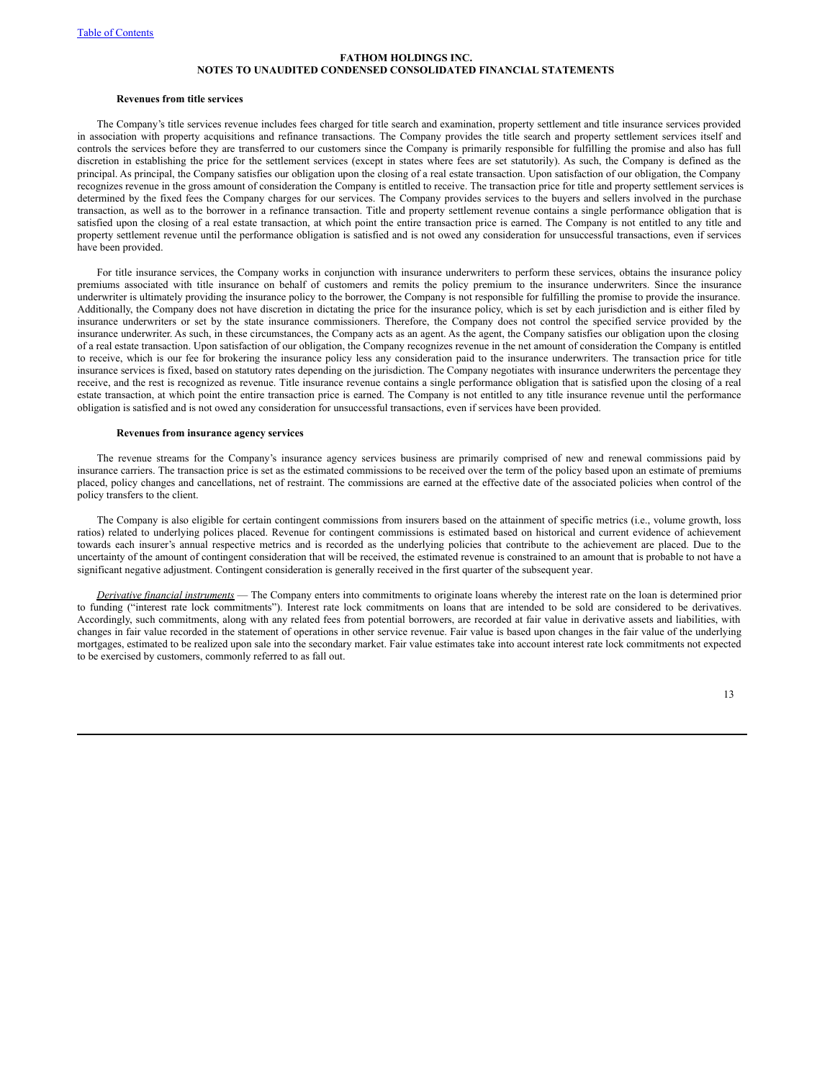#### **Revenues from title services**

The Company's title services revenue includes fees charged for title search and examination, property settlement and title insurance services provided in association with property acquisitions and refinance transactions. The Company provides the title search and property settlement services itself and controls the services before they are transferred to our customers since the Company is primarily responsible for fulfilling the promise and also has full discretion in establishing the price for the settlement services (except in states where fees are set statutorily). As such, the Company is defined as the principal. As principal, the Company satisfies our obligation upon the closing of a real estate transaction. Upon satisfaction of our obligation, the Company recognizes revenue in the gross amount of consideration the Company is entitled to receive. The transaction price for title and property settlement services is determined by the fixed fees the Company charges for our services. The Company provides services to the buyers and sellers involved in the purchase transaction, as well as to the borrower in a refinance transaction. Title and property settlement revenue contains a single performance obligation that is satisfied upon the closing of a real estate transaction, at which point the entire transaction price is earned. The Company is not entitled to any title and property settlement revenue until the performance obligation is satisfied and is not owed any consideration for unsuccessful transactions, even if services have been provided.

For title insurance services, the Company works in conjunction with insurance underwriters to perform these services, obtains the insurance policy premiums associated with title insurance on behalf of customers and remits the policy premium to the insurance underwriters. Since the insurance underwriter is ultimately providing the insurance policy to the borrower, the Company is not responsible for fulfilling the promise to provide the insurance. Additionally, the Company does not have discretion in dictating the price for the insurance policy, which is set by each jurisdiction and is either filed by insurance underwriters or set by the state insurance commissioners. Therefore, the Company does not control the specified service provided by the insurance underwriter. As such, in these circumstances, the Company acts as an agent. As the agent, the Company satisfies our obligation upon the closing of a real estate transaction. Upon satisfaction of our obligation, the Company recognizes revenue in the net amount of consideration the Company is entitled to receive, which is our fee for brokering the insurance policy less any consideration paid to the insurance underwriters. The transaction price for title insurance services is fixed, based on statutory rates depending on the jurisdiction. The Company negotiates with insurance underwriters the percentage they receive, and the rest is recognized as revenue. Title insurance revenue contains a single performance obligation that is satisfied upon the closing of a real estate transaction, at which point the entire transaction price is earned. The Company is not entitled to any title insurance revenue until the performance obligation is satisfied and is not owed any consideration for unsuccessful transactions, even if services have been provided.

#### **Revenues from insurance agency services**

The revenue streams for the Company's insurance agency services business are primarily comprised of new and renewal commissions paid by insurance carriers. The transaction price is set as the estimated commissions to be received over the term of the policy based upon an estimate of premiums placed, policy changes and cancellations, net of restraint. The commissions are earned at the effective date of the associated policies when control of the policy transfers to the client.

The Company is also eligible for certain contingent commissions from insurers based on the attainment of specific metrics (i.e., volume growth, loss ratios) related to underlying polices placed. Revenue for contingent commissions is estimated based on historical and current evidence of achievement towards each insurer's annual respective metrics and is recorded as the underlying policies that contribute to the achievement are placed. Due to the uncertainty of the amount of contingent consideration that will be received, the estimated revenue is constrained to an amount that is probable to not have a significant negative adjustment. Contingent consideration is generally received in the first quarter of the subsequent year.

*Derivative financial instruments* — The Company enters into commitments to originate loans whereby the interest rate on the loan is determined prior to funding ("interest rate lock commitments"). Interest rate lock commitments on loans that are intended to be sold are considered to be derivatives. Accordingly, such commitments, along with any related fees from potential borrowers, are recorded at fair value in derivative assets and liabilities, with changes in fair value recorded in the statement of operations in other service revenue. Fair value is based upon changes in the fair value of the underlying mortgages, estimated to be realized upon sale into the secondary market. Fair value estimates take into account interest rate lock commitments not expected to be exercised by customers, commonly referred to as fall out.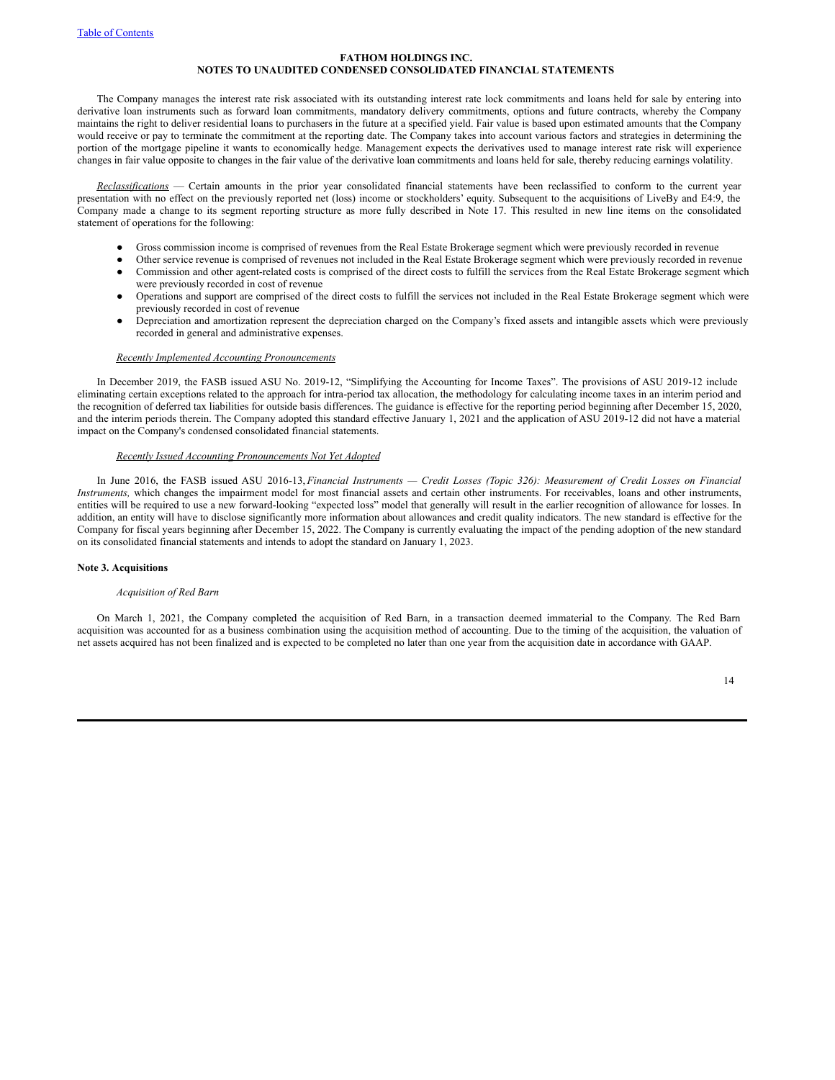The Company manages the interest rate risk associated with its outstanding interest rate lock commitments and loans held for sale by entering into derivative loan instruments such as forward loan commitments, mandatory delivery commitments, options and future contracts, whereby the Company maintains the right to deliver residential loans to purchasers in the future at a specified yield. Fair value is based upon estimated amounts that the Company would receive or pay to terminate the commitment at the reporting date. The Company takes into account various factors and strategies in determining the portion of the mortgage pipeline it wants to economically hedge. Management expects the derivatives used to manage interest rate risk will experience changes in fair value opposite to changes in the fair value of the derivative loan commitments and loans held for sale, thereby reducing earnings volatility.

*Reclassifications* — Certain amounts in the prior year consolidated financial statements have been reclassified to conform to the current year presentation with no effect on the previously reported net (loss) income or stockholders' equity. Subsequent to the acquisitions of LiveBy and E4:9, the Company made a change to its segment reporting structure as more fully described in Note 17. This resulted in new line items on the consolidated statement of operations for the following:

- Gross commission income is comprised of revenues from the Real Estate Brokerage segment which were previously recorded in revenue
- Other service revenue is comprised of revenues not included in the Real Estate Brokerage segment which were previously recorded in revenue Commission and other agent-related costs is comprised of the direct costs to fulfill the services from the Real Estate Brokerage segment which
- were previously recorded in cost of revenue ● Operations and support are comprised of the direct costs to fulfill the services not included in the Real Estate Brokerage segment which were
- previously recorded in cost of revenue Depreciation and amortization represent the depreciation charged on the Company's fixed assets and intangible assets which were previously recorded in general and administrative expenses.

#### *Recently Implemented Accounting Pronouncements*

In December 2019, the FASB issued ASU No. 2019-12, "Simplifying the Accounting for Income Taxes". The provisions of ASU 2019-12 include eliminating certain exceptions related to the approach for intra-period tax allocation, the methodology for calculating income taxes in an interim period and the recognition of deferred tax liabilities for outside basis differences. The guidance is effective for the reporting period beginning after December 15, 2020, and the interim periods therein. The Company adopted this standard effective January 1, 2021 and the application of ASU 2019-12 did not have a material impact on the Company's condensed consolidated financial statements.

### *Recently Issued Accounting Pronouncements Not Yet Adopted*

In June 2016, the FASB issued ASU 2016-13, Financial Instruments - Credit Losses (Topic 326): Measurement of Credit Losses on Financial *Instruments,* which changes the impairment model for most financial assets and certain other instruments. For receivables, loans and other instruments, entities will be required to use a new forward-looking "expected loss" model that generally will result in the earlier recognition of allowance for losses. In addition, an entity will have to disclose significantly more information about allowances and credit quality indicators. The new standard is effective for the Company for fiscal years beginning after December 15, 2022. The Company is currently evaluating the impact of the pending adoption of the new standard on its consolidated financial statements and intends to adopt the standard on January 1, 2023.

# **Note 3. Acquisitions**

#### *Acquisition of Red Barn*

On March 1, 2021, the Company completed the acquisition of Red Barn, in a transaction deemed immaterial to the Company. The Red Barn acquisition was accounted for as a business combination using the acquisition method of accounting. Due to the timing of the acquisition, the valuation of net assets acquired has not been finalized and is expected to be completed no later than one year from the acquisition date in accordance with GAAP.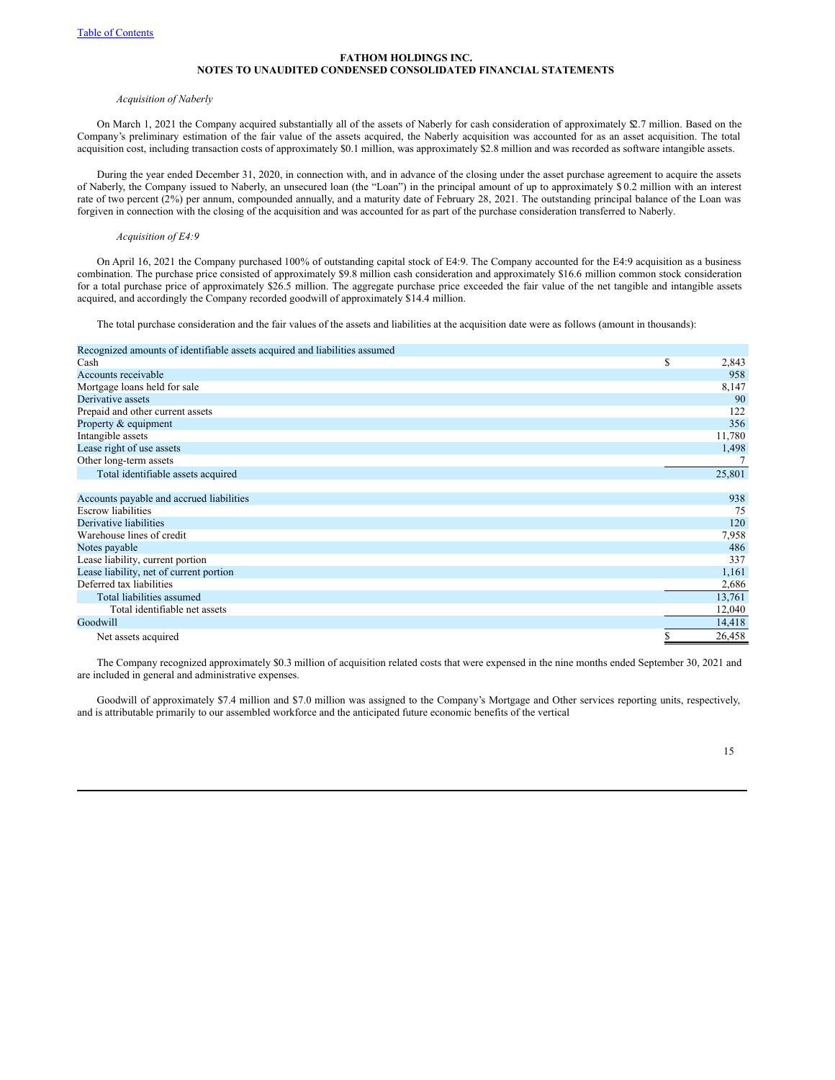#### *Acquisition of Naberly*

On March 1, 2021 the Company acquired substantially all of the assets of Naberly for cash consideration of approximately \$2.7 million. Based on the Company's preliminary estimation of the fair value of the assets acquired, the Naberly acquisition was accounted for as an asset acquisition. The total acquisition cost, including transaction costs of approximately \$0.1 million, was approximately \$2.8 million and was recorded as software intangible assets.

During the year ended December 31, 2020, in connection with, and in advance of the closing under the asset purchase agreement to acquire the assets of Naberly, the Company issued to Naberly, an unsecured loan (the "Loan") in the principal amount of up to approximately \$ 0.2 million with an interest rate of two percent (2%) per annum, compounded annually, and a maturity date of February 28, 2021. The outstanding principal balance of the Loan was forgiven in connection with the closing of the acquisition and was accounted for as part of the purchase consideration transferred to Naberly.

### *Acquisition of E4:9*

On April 16, 2021 the Company purchased 100% of outstanding capital stock of E4:9. The Company accounted for the E4:9 acquisition as a business combination. The purchase price consisted of approximately \$9.8 million cash consideration and approximately \$16.6 million common stock consideration for a total purchase price of approximately \$26.5 million. The aggregate purchase price exceeded the fair value of the net tangible and intangible assets acquired, and accordingly the Company recorded goodwill of approximately \$14.4 million.

The total purchase consideration and the fair values of the assets and liabilities at the acquisition date were as follows (amount in thousands):

### Recognized amounts of identifiable assets acquired and liabilities assumed

| Cash                                     | \$ | 2,843  |
|------------------------------------------|----|--------|
| Accounts receivable                      |    | 958    |
| Mortgage loans held for sale             |    | 8,147  |
| Derivative assets                        |    | 90     |
| Prepaid and other current assets         |    | 122    |
| Property & equipment                     |    | 356    |
| Intangible assets                        |    | 11,780 |
| Lease right of use assets                |    | 1,498  |
| Other long-term assets                   |    |        |
| Total identifiable assets acquired       |    | 25,801 |
|                                          |    |        |
| Accounts payable and accrued liabilities |    | 938    |
| <b>Escrow</b> liabilities                |    | 75     |
| Derivative liabilities                   |    | 120    |
| Warehouse lines of credit                |    | 7,958  |
| Notes payable                            |    | 486    |
| Lease liability, current portion         |    | 337    |
| Lease liability, net of current portion  |    | 1,161  |
| Deferred tax liabilities                 |    | 2,686  |
| Total liabilities assumed                |    | 13,761 |
| Total identifiable net assets            |    | 12,040 |
| Goodwill                                 |    | 14,418 |
| Net assets acquired                      | S  | 26,458 |

The Company recognized approximately \$0.3 million of acquisition related costs that were expensed in the nine months ended September 30, 2021 and are included in general and administrative expenses.

Goodwill of approximately \$7.4 million and \$7.0 million was assigned to the Company's Mortgage and Other services reporting units, respectively, and is attributable primarily to our assembled workforce and the anticipated future economic benefits of the vertical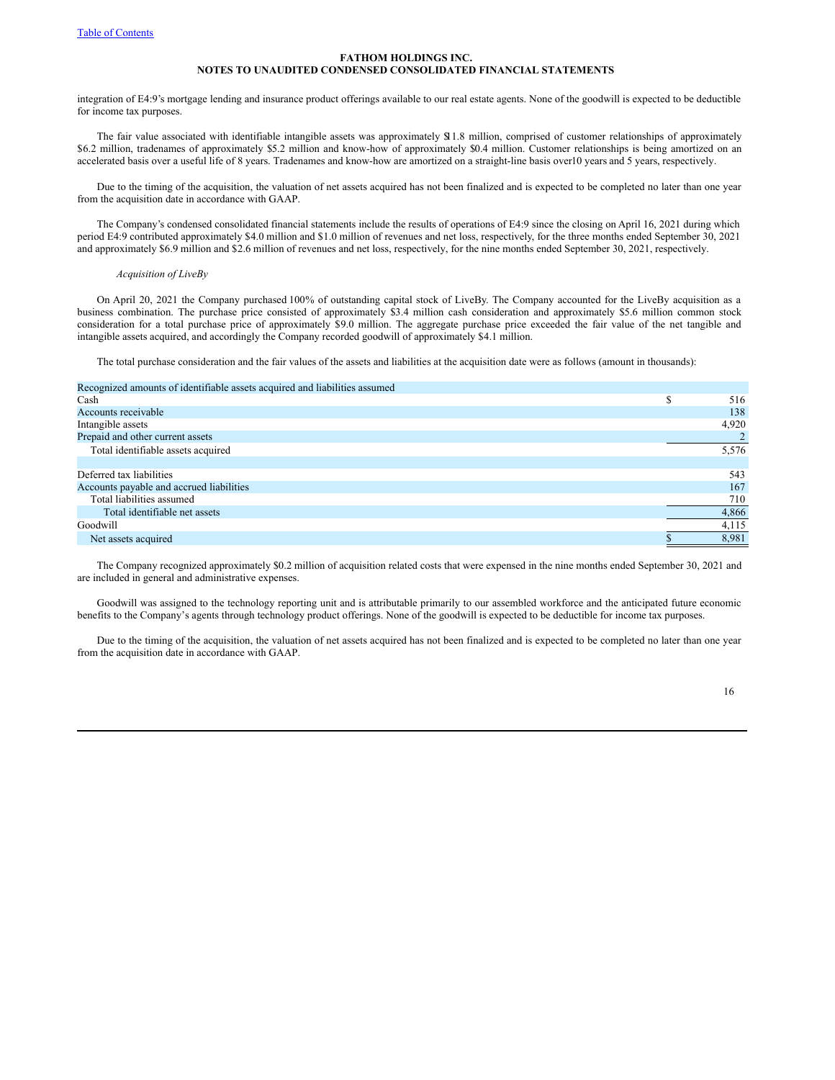integration of E4:9's mortgage lending and insurance product offerings available to our real estate agents. None of the goodwill is expected to be deductible for income tax purposes.

The fair value associated with identifiable intangible assets was approximately \$11.8 million, comprised of customer relationships of approximately \$6.2 million, tradenames of approximately \$5.2 million and know-how of approximately \$0.4 million. Customer relationships is being amortized on an accelerated basis over a useful life of 8 years. Tradenames and know-how are amortized on a straight-line basis over10 years and 5 years, respectively.

Due to the timing of the acquisition, the valuation of net assets acquired has not been finalized and is expected to be completed no later than one year from the acquisition date in accordance with GAAP.

The Company's condensed consolidated financial statements include the results of operations of E4:9 since the closing on April 16, 2021 during which period E4:9 contributed approximately \$4.0 million and \$1.0 million of revenues and net loss, respectively, for the three months ended September 30, 2021 and approximately \$6.9 million and \$2.6 million of revenues and net loss, respectively, for the nine months ended September 30, 2021, respectively.

#### *Acquisition of LiveBy*

On April 20, 2021 the Company purchased 100% of outstanding capital stock of LiveBy. The Company accounted for the LiveBy acquisition as a business combination. The purchase price consisted of approximately \$3.4 million cash consideration and approximately \$5.6 million common stock consideration for a total purchase price of approximately \$9.0 million. The aggregate purchase price exceeded the fair value of the net tangible and intangible assets acquired, and accordingly the Company recorded goodwill of approximately \$4.1 million.

The total purchase consideration and the fair values of the assets and liabilities at the acquisition date were as follows (amount in thousands):

| Recognized amounts of identifiable assets acquired and liabilities assumed |   |       |
|----------------------------------------------------------------------------|---|-------|
| Cash                                                                       | S | 516   |
| Accounts receivable                                                        |   | 138   |
| Intangible assets                                                          |   | 4,920 |
| Prepaid and other current assets                                           |   |       |
| Total identifiable assets acquired                                         |   | 5,576 |
|                                                                            |   |       |
| Deferred tax liabilities                                                   |   | 543   |
| Accounts payable and accrued liabilities                                   |   | 167   |
| Total liabilities assumed                                                  |   | 710   |
| Total identifiable net assets                                              |   | 4,866 |
| Goodwill                                                                   |   | 4,115 |
| Net assets acquired                                                        |   | 8.981 |

The Company recognized approximately \$0.2 million of acquisition related costs that were expensed in the nine months ended September 30, 2021 and are included in general and administrative expenses.

Goodwill was assigned to the technology reporting unit and is attributable primarily to our assembled workforce and the anticipated future economic benefits to the Company's agents through technology product offerings. None of the goodwill is expected to be deductible for income tax purposes.

Due to the timing of the acquisition, the valuation of net assets acquired has not been finalized and is expected to be completed no later than one year from the acquisition date in accordance with GAAP.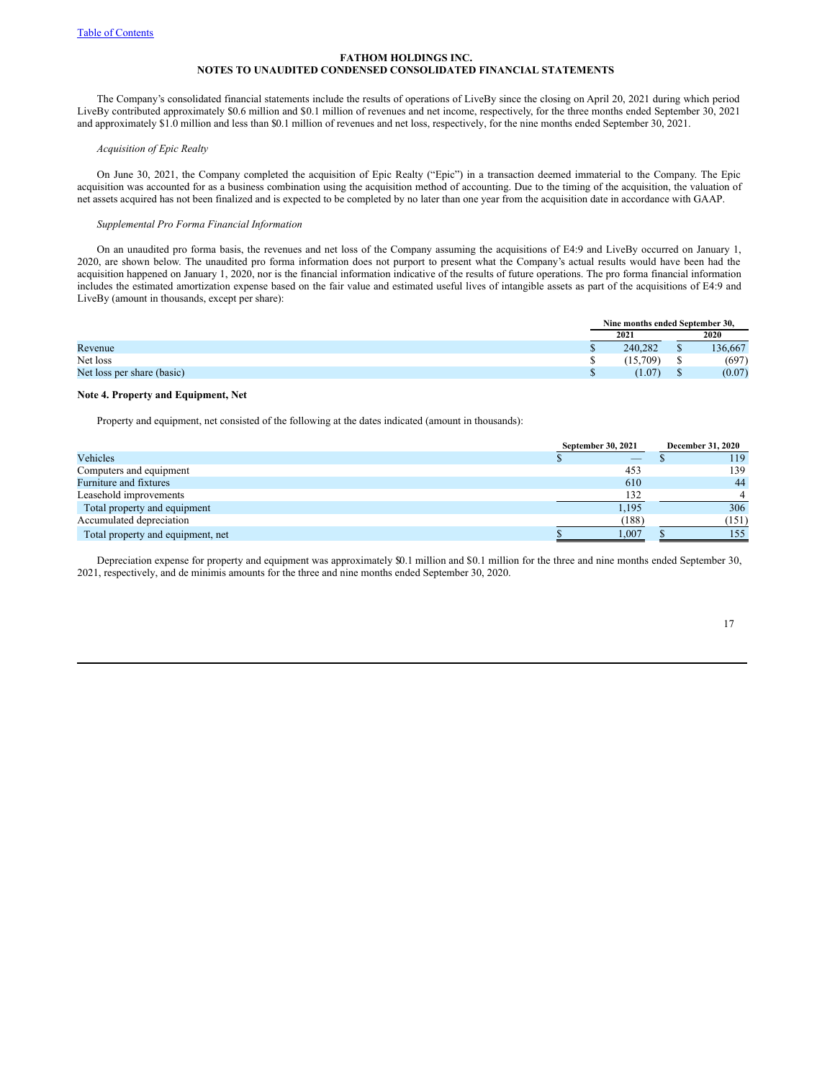The Company's consolidated financial statements include the results of operations of LiveBy since the closing on April 20, 2021 during which period LiveBy contributed approximately \$0.6 million and \$0.1 million of revenues and net income, respectively, for the three months ended September 30, 2021 and approximately \$1.0 million and less than \$0.1 million of revenues and net loss, respectively, for the nine months ended September 30, 2021.

### *Acquisition of Epic Realty*

On June 30, 2021, the Company completed the acquisition of Epic Realty ("Epic") in a transaction deemed immaterial to the Company. The Epic acquisition was accounted for as a business combination using the acquisition method of accounting. Due to the timing of the acquisition, the valuation of net assets acquired has not been finalized and is expected to be completed by no later than one year from the acquisition date in accordance with GAAP.

### *Supplemental Pro Forma Financial Information*

On an unaudited pro forma basis, the revenues and net loss of the Company assuming the acquisitions of E4:9 and LiveBy occurred on January 1, 2020, are shown below. The unaudited pro forma information does not purport to present what the Company's actual results would have been had the acquisition happened on January 1, 2020, nor is the financial information indicative of the results of future operations. The pro forma financial information includes the estimated amortization expense based on the fair value and estimated useful lives of intangible assets as part of the acquisitions of E4:9 and LiveBy (amount in thousands, except per share):

|                            |  | Nine months ended September 30. |         |
|----------------------------|--|---------------------------------|---------|
|                            |  | 2021                            | 2020    |
| Revenue                    |  | 240.282                         | 136.667 |
| Net loss                   |  | (15.709)                        | (697)   |
| Net loss per share (basic) |  | (1.07)                          | (0.07)  |

### **Note 4. Property and Equipment, Net**

Property and equipment, net consisted of the following at the dates indicated (amount in thousands):

|                                   | September 30, 2021 | December 31, 2020 |
|-----------------------------------|--------------------|-------------------|
| Vehicles                          |                    | 119               |
| Computers and equipment           | 453                | 139               |
| Furniture and fixtures            | 610                | 44                |
| Leasehold improvements            | 132                |                   |
| Total property and equipment      | 1,195              | 306               |
| Accumulated depreciation          | (188)              | (151)             |
| Total property and equipment, net | 1,007              | 155               |

Depreciation expense for property and equipment was approximately \$0.1 million and \$0.1 million for the three and nine months ended September 30, 2021, respectively, and de minimis amounts for the three and nine months ended September 30, 2020.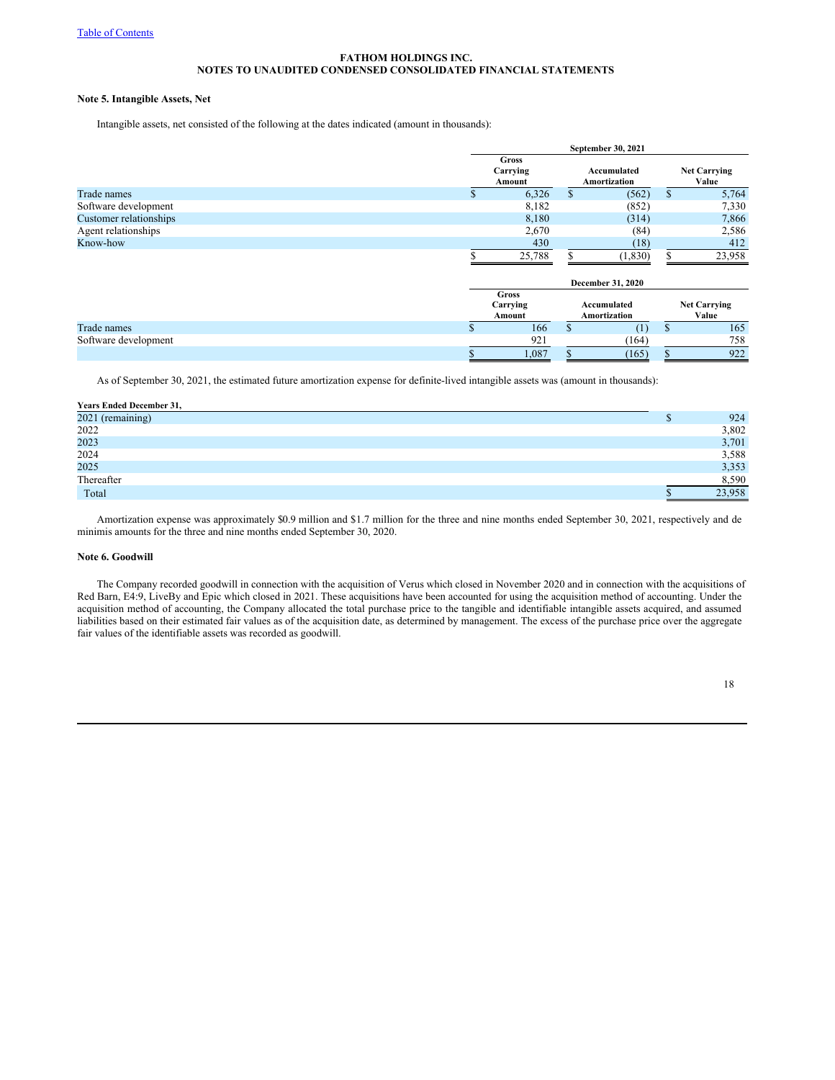# **Note 5. Intangible Assets, Net**

Intangible assets, net consisted of the following at the dates indicated (amount in thousands):

|                        |    | September 30, 2021                 |                             |          |    |                              |  |
|------------------------|----|------------------------------------|-----------------------------|----------|----|------------------------------|--|
|                        |    | <b>Gross</b><br>Carrying<br>Amount |                             |          |    | <b>Net Carrying</b><br>Value |  |
| Trade names            | D. | 6,326                              | S                           | (562)    | \$ | 5,764                        |  |
| Software development   |    | 8,182                              |                             | (852)    |    | 7,330                        |  |
| Customer relationships |    | 8,180                              |                             | (314)    |    | 7,866                        |  |
| Agent relationships    |    | 2,670                              |                             | (84)     |    | 2,586                        |  |
| Know-how               |    | 430                                |                             | (18)     |    | 412                          |  |
|                        |    | 25,788                             |                             | (1, 830) |    | 23,958                       |  |
|                        |    |                                    | December 31, 2020           |          |    |                              |  |
|                        |    | Gross<br>Carrying<br>Amount        | Accumulated<br>Amortization |          |    | <b>Net Carrying</b><br>Value |  |

Trade names  $\begin{array}{ccccccccccccc}\n & 165 & & & 166 & & 165 \\
\hline\n & 165 & & 165 & & 165\n\end{array}$ Software development  $\frac{921}{\$}$   $\frac{921}{1,087}$   $\frac{164}{\$}$   $\frac{164}{\$}$   $\frac{758}{\$}$   $\frac{758}{922}$ 

As of September 30, 2021, the estimated future amortization expense for definite-lived intangible assets was (amount in thousands):

| <b>Years Ended December 31,</b> |        |
|---------------------------------|--------|
| 2021 (remaining)                | 924    |
| 2022                            | 3,802  |
| 2023                            | 3,701  |
| 2024                            | 3,588  |
| 2025                            | 3,353  |
| Thereafter                      | 8,590  |
| Total                           | 23,958 |

Amortization expense was approximately \$0.9 million and \$1.7 million for the three and nine months ended September 30, 2021, respectively and de minimis amounts for the three and nine months ended September 30, 2020.

#### **Note 6. Goodwill**

The Company recorded goodwill in connection with the acquisition of Verus which closed in November 2020 and in connection with the acquisitions of Red Barn, E4:9, LiveBy and Epic which closed in 2021. These acquisitions have been accounted for using the acquisition method of accounting. Under the acquisition method of accounting, the Company allocated the total purchase price to the tangible and identifiable intangible assets acquired, and assumed liabilities based on their estimated fair values as of the acquisition date, as determined by management. The excess of the purchase price over the aggregate fair values of the identifiable assets was recorded as goodwill.

 $\$\qquad 1,087 \quad \$\qquad (165) \quad \$\qquad 922$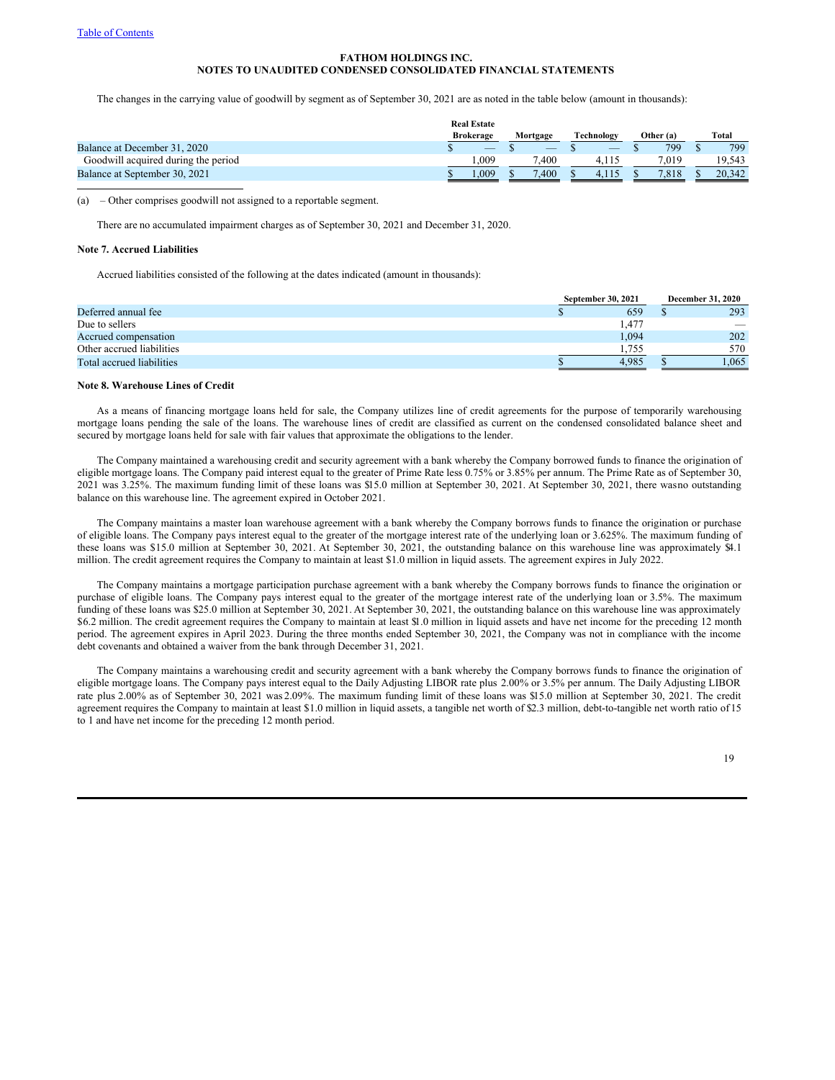The changes in the carrying value of goodwill by segment as of September 30, 2021 are as noted in the table below (amount in thousands):

|                                     | <b>Real Estate</b><br><b>Brokerage</b> | Mortgage | Technology               | Other (a) | Total  |
|-------------------------------------|----------------------------------------|----------|--------------------------|-----------|--------|
| Balance at December 31, 2020        | $\overline{\phantom{a}}$               |          | $\overline{\phantom{a}}$ | 799       | 799    |
| Goodwill acquired during the period | .009                                   | '.400    | 4.11.                    | 7.019     | 19.543 |
| Balance at September 30, 2021       | .009                                   | 400'     |                          | 7.818     | 20.342 |

(a) – Other comprises goodwill not assigned to a reportable segment.

There are no accumulated impairment charges as of September 30, 2021 and December 31, 2020.

#### **Note 7. Accrued Liabilities**

Accrued liabilities consisted of the following at the dates indicated (amount in thousands):

|                           | September 30, 2021 | <b>December 31, 2020</b> |  |  |
|---------------------------|--------------------|--------------------------|--|--|
| Deferred annual fee       | 659                | 293                      |  |  |
| Due to sellers            | . 477              | -                        |  |  |
| Accrued compensation      | 1,094              | 202                      |  |  |
| Other accrued liabilities | .755               | 570                      |  |  |
| Total accrued liabilities | 4.985              | .065                     |  |  |

### **Note 8. Warehouse Lines of Credit**

As a means of financing mortgage loans held for sale, the Company utilizes line of credit agreements for the purpose of temporarily warehousing mortgage loans pending the sale of the loans. The warehouse lines of credit are classified as current on the condensed consolidated balance sheet and secured by mortgage loans held for sale with fair values that approximate the obligations to the lender.

The Company maintained a warehousing credit and security agreement with a bank whereby the Company borrowed funds to finance the origination of eligible mortgage loans. The Company paid interest equal to the greater of Prime Rate less 0.75% or 3.85% per annum. The Prime Rate as of September 30, 2021 was 3.25%. The maximum funding limit of these loans was \$15.0 million at September 30, 2021. At September 30, 2021, there wasno outstanding balance on this warehouse line. The agreement expired in October 2021.

The Company maintains a master loan warehouse agreement with a bank whereby the Company borrows funds to finance the origination or purchase of eligible loans. The Company pays interest equal to the greater of the mortgage interest rate of the underlying loan or 3.625%. The maximum funding of these loans was \$15.0 million at September 30, 2021. At September 30, 2021, the outstanding balance on this warehouse line was approximately \$4.1 million. The credit agreement requires the Company to maintain at least \$1.0 million in liquid assets. The agreement expires in July 2022.

The Company maintains a mortgage participation purchase agreement with a bank whereby the Company borrows funds to finance the origination or purchase of eligible loans. The Company pays interest equal to the greater of the mortgage interest rate of the underlying loan or 3.5%. The maximum funding of these loans was \$25.0 million at September 30, 2021. At September 30, 2021, the outstanding balance on this warehouse line was approximately \$6.2 million. The credit agreement requires the Company to maintain at least \$1.0 million in liquid assets and have net income for the preceding 12 month period. The agreement expires in April 2023. During the three months ended September 30, 2021, the Company was not in compliance with the income debt covenants and obtained a waiver from the bank through December 31, 2021.

The Company maintains a warehousing credit and security agreement with a bank whereby the Company borrows funds to finance the origination of eligible mortgage loans. The Company pays interest equal to the Daily Adjusting LIBOR rate plus 2.00% or 3.5% per annum. The Daily Adjusting LIBOR rate plus 2.00% as of September 30, 2021 was 2.09%. The maximum funding limit of these loans was \$15.0 million at September 30, 2021. The credit agreement requires the Company to maintain at least \$1.0 million in liquid assets, a tangible net worth of \$2.3 million, debt-to-tangible net worth ratio of 15 to 1 and have net income for the preceding 12 month period.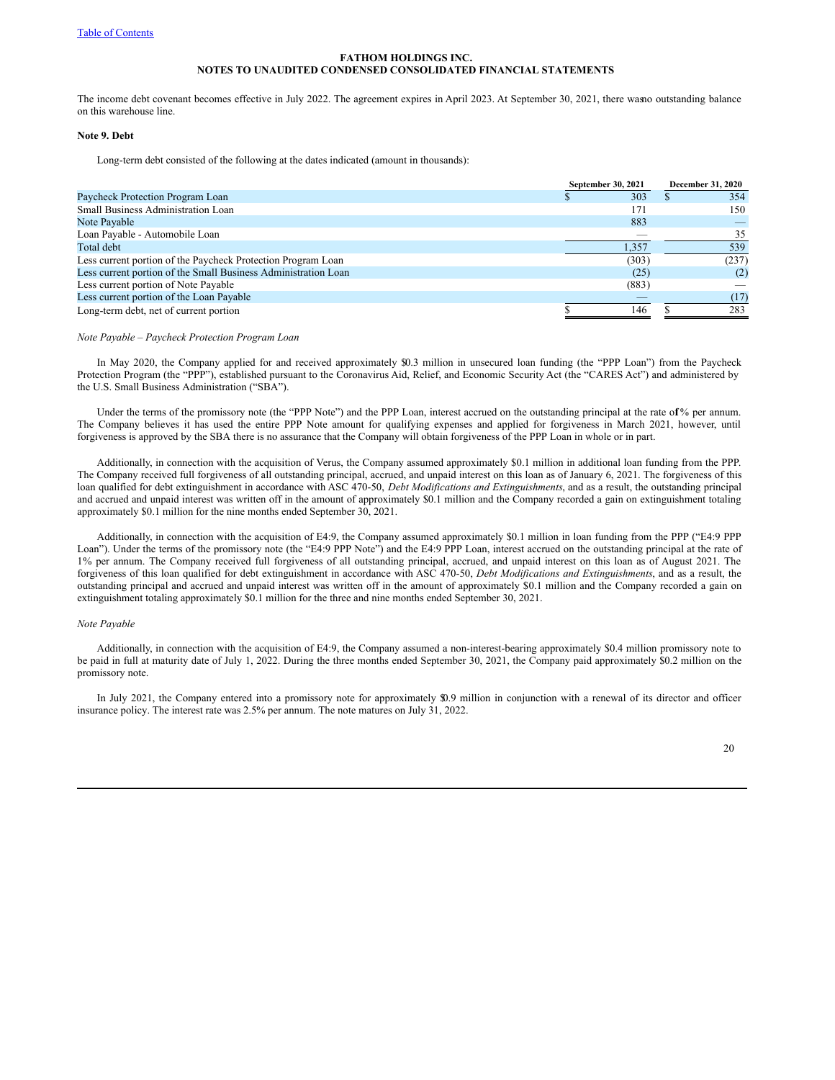The income debt covenant becomes effective in July 2022. The agreement expires in April 2023. At September 30, 2021, there wasno outstanding balance on this warehouse line.

# **Note 9. Debt**

Long-term debt consisted of the following at the dates indicated (amount in thousands):

|                                                                | September 30, 2021 | December 31, 2020 |
|----------------------------------------------------------------|--------------------|-------------------|
| Paycheck Protection Program Loan                               | 303                | 354               |
| Small Business Administration Loan                             | 171                | 150               |
| Note Payable                                                   | 883                |                   |
| Loan Payable - Automobile Loan                                 |                    | 35                |
| Total debt                                                     | 1.357              | 539               |
| Less current portion of the Paycheck Protection Program Loan   | (303)              | (237)             |
| Less current portion of the Small Business Administration Loan | (25)               | (2)               |
| Less current portion of Note Payable                           | (883)              |                   |
| Less current portion of the Loan Payable                       |                    | (17)              |
| Long-term debt, net of current portion                         | 146                | 283               |

#### *Note Payable – Paycheck Protection Program Loan*

In May 2020, the Company applied for and received approximately \$0.3 million in unsecured loan funding (the "PPP Loan") from the Paycheck Protection Program (the "PPP"), established pursuant to the Coronavirus Aid, Relief, and Economic Security Act (the "CARES Act") and administered by the U.S. Small Business Administration ("SBA").

Under the terms of the promissory note (the "PPP Note") and the PPP Loan, interest accrued on the outstanding principal at the rate of % per annum. The Company believes it has used the entire PPP Note amount for qualifying expenses and applied for forgiveness in March 2021, however, until forgiveness is approved by the SBA there is no assurance that the Company will obtain forgiveness of the PPP Loan in whole or in part.

Additionally, in connection with the acquisition of Verus, the Company assumed approximately \$0.1 million in additional loan funding from the PPP. The Company received full forgiveness of all outstanding principal, accrued, and unpaid interest on this loan as of January 6, 2021. The forgiveness of this loan qualified for debt extinguishment in accordance with ASC 470-50, *Debt Modifications and Extinguishments*, and as a result, the outstanding principal and accrued and unpaid interest was written off in the amount of approximately \$0.1 million and the Company recorded a gain on extinguishment totaling approximately \$0.1 million for the nine months ended September 30, 2021.

Additionally, in connection with the acquisition of E4:9, the Company assumed approximately \$0.1 million in loan funding from the PPP ("E4:9 PPP Loan"). Under the terms of the promissory note (the "E4:9 PPP Note") and the E4:9 PPP Loan, interest accrued on the outstanding principal at the rate of 1% per annum. The Company received full forgiveness of all outstanding principal, accrued, and unpaid interest on this loan as of August 2021. The forgiveness of this loan qualified for debt extinguishment in accordance with ASC 470-50, *Debt Modifications and Extinguishments*, and as a result, the outstanding principal and accrued and unpaid interest was written off in the amount of approximately \$0.1 million and the Company recorded a gain on extinguishment totaling approximately \$0.1 million for the three and nine months ended September 30, 2021.

### *Note Payable*

Additionally, in connection with the acquisition of E4:9, the Company assumed a non-interest-bearing approximately \$0.4 million promissory note to be paid in full at maturity date of July 1, 2022. During the three months ended September 30, 2021, the Company paid approximately \$0.2 million on the promissory note.

In July 2021, the Company entered into a promissory note for approximately \$0.9 million in conjunction with a renewal of its director and officer insurance policy. The interest rate was 2.5% per annum. The note matures on July 31, 2022.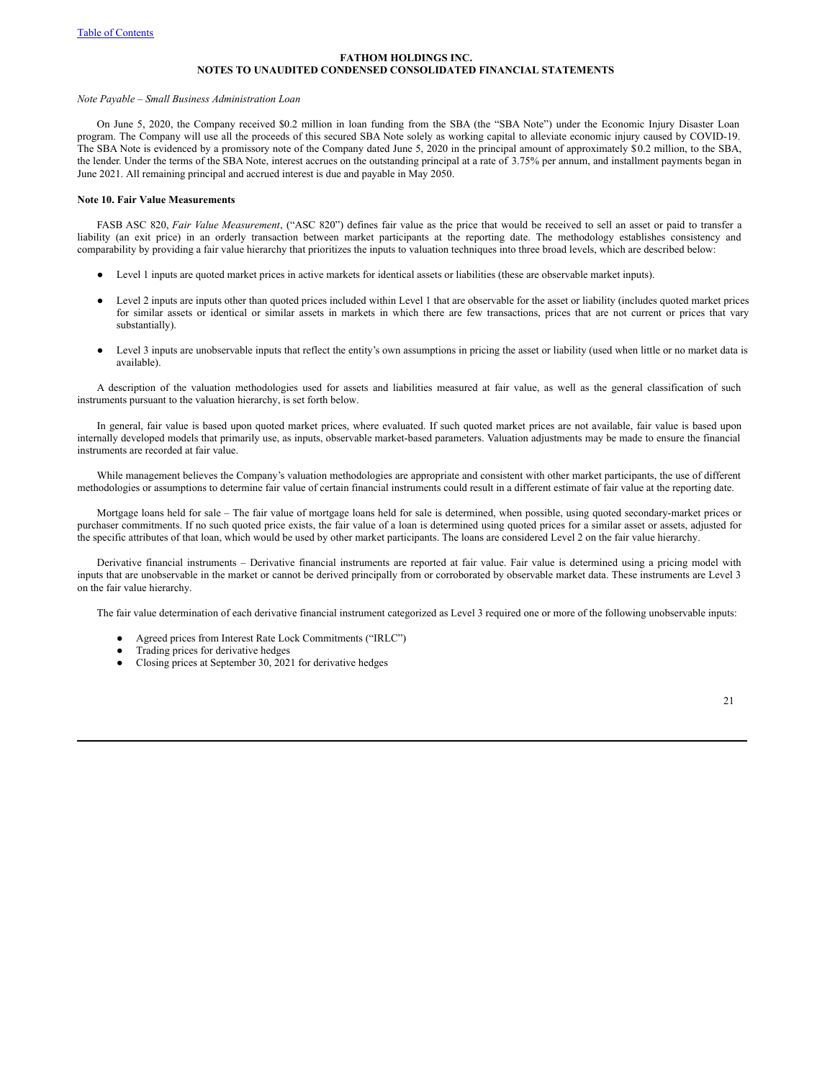### *Note Payable – Small Business Administration Loan*

On June 5, 2020, the Company received \$0.2 million in loan funding from the SBA (the "SBA Note") under the Economic Injury Disaster Loan program. The Company will use all the proceeds of this secured SBA Note solely as working capital to alleviate economic injury caused by COVID-19. The SBA Note is evidenced by a promissory note of the Company dated June 5, 2020 in the principal amount of approximately \$0.2 million, to the SBA, the lender. Under the terms of the SBA Note, interest accrues on the outstanding principal at a rate of 3.75% per annum, and installment payments began in June 2021. All remaining principal and accrued interest is due and payable in May 2050.

#### **Note 10. Fair Value Measurements**

FASB ASC 820, *Fair Value Measurement*, ("ASC 820") defines fair value as the price that would be received to sell an asset or paid to transfer a liability (an exit price) in an orderly transaction between market participants at the reporting date. The methodology establishes consistency and comparability by providing a fair value hierarchy that prioritizes the inputs to valuation techniques into three broad levels, which are described below:

- Level 1 inputs are quoted market prices in active markets for identical assets or liabilities (these are observable market inputs).
- Level 2 inputs are inputs other than quoted prices included within Level 1 that are observable for the asset or liability (includes quoted market prices for similar assets or identical or similar assets in markets in which there are few transactions, prices that are not current or prices that vary substantially).
- Level 3 inputs are unobservable inputs that reflect the entity's own assumptions in pricing the asset or liability (used when little or no market data is available).

A description of the valuation methodologies used for assets and liabilities measured at fair value, as well as the general classification of such instruments pursuant to the valuation hierarchy, is set forth below.

In general, fair value is based upon quoted market prices, where evaluated. If such quoted market prices are not available, fair value is based upon internally developed models that primarily use, as inputs, observable market-based parameters. Valuation adjustments may be made to ensure the financial instruments are recorded at fair value.

While management believes the Company's valuation methodologies are appropriate and consistent with other market participants, the use of different methodologies or assumptions to determine fair value of certain financial instruments could result in a different estimate of fair value at the reporting date.

Mortgage loans held for sale – The fair value of mortgage loans held for sale is determined, when possible, using quoted secondary-market prices or purchaser commitments. If no such quoted price exists, the fair value of a loan is determined using quoted prices for a similar asset or assets, adjusted for the specific attributes of that loan, which would be used by other market participants. The loans are considered Level 2 on the fair value hierarchy.

Derivative financial instruments – Derivative financial instruments are reported at fair value. Fair value is determined using a pricing model with inputs that are unobservable in the market or cannot be derived principally from or corroborated by observable market data. These instruments are Level 3 on the fair value hierarchy.

The fair value determination of each derivative financial instrument categorized as Level 3 required one or more of the following unobservable inputs:

- Agreed prices from Interest Rate Lock Commitments ("IRLC")
- Trading prices for derivative hedges
- Closing prices at September 30, 2021 for derivative hedges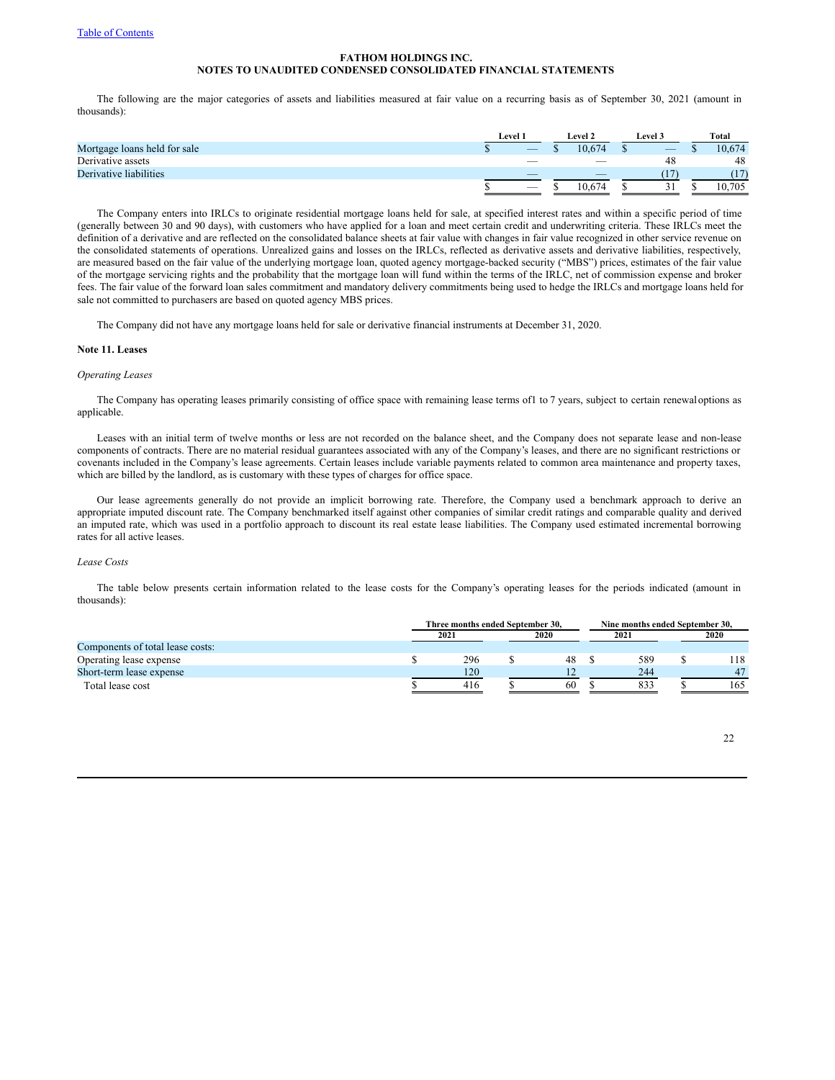The following are the major categories of assets and liabilities measured at fair value on a recurring basis as of September 30, 2021 (amount in thousands):

|                              | Level 1 |                          | <b>Level 2</b> |        | <b>Level 3</b> |                          | Total |        |
|------------------------------|---------|--------------------------|----------------|--------|----------------|--------------------------|-------|--------|
| Mortgage loans held for sale |         |                          |                | 10.674 |                | $\overline{\phantom{a}}$ |       | 0.674  |
| Derivative assets            |         | $\overline{\phantom{a}}$ |                | -      |                | 48                       |       | 48     |
| Derivative liabilities       |         | $\overline{\phantom{a}}$ |                | _      |                |                          |       |        |
|                              |         |                          |                | 10.674 |                |                          |       | 10,705 |

The Company enters into IRLCs to originate residential mortgage loans held for sale, at specified interest rates and within a specific period of time (generally between 30 and 90 days), with customers who have applied for a loan and meet certain credit and underwriting criteria. These IRLCs meet the definition of a derivative and are reflected on the consolidated balance sheets at fair value with changes in fair value recognized in other service revenue on the consolidated statements of operations. Unrealized gains and losses on the IRLCs, reflected as derivative assets and derivative liabilities, respectively, are measured based on the fair value of the underlying mortgage loan, quoted agency mortgage-backed security ("MBS") prices, estimates of the fair value of the mortgage servicing rights and the probability that the mortgage loan will fund within the terms of the IRLC, net of commission expense and broker fees. The fair value of the forward loan sales commitment and mandatory delivery commitments being used to hedge the IRLCs and mortgage loans held for sale not committed to purchasers are based on quoted agency MBS prices.

The Company did not have any mortgage loans held for sale or derivative financial instruments at December 31, 2020.

### **Note 11. Leases**

### *Operating Leases*

The Company has operating leases primarily consisting of office space with remaining lease terms of1 to 7 years, subject to certain renewaloptions as applicable.

Leases with an initial term of twelve months or less are not recorded on the balance sheet, and the Company does not separate lease and non-lease components of contracts. There are no material residual guarantees associated with any of the Company's leases, and there are no significant restrictions or covenants included in the Company's lease agreements. Certain leases include variable payments related to common area maintenance and property taxes, which are billed by the landlord, as is customary with these types of charges for office space.

Our lease agreements generally do not provide an implicit borrowing rate. Therefore, the Company used a benchmark approach to derive an appropriate imputed discount rate. The Company benchmarked itself against other companies of similar credit ratings and comparable quality and derived an imputed rate, which was used in a portfolio approach to discount its real estate lease liabilities. The Company used estimated incremental borrowing rates for all active leases.

## *Lease Costs*

The table below presents certain information related to the lease costs for the Company's operating leases for the periods indicated (amount in thousands):

|                                  | Three months ended September 30. |  |      |  | Nine months ended September 30. |  |      |  |  |
|----------------------------------|----------------------------------|--|------|--|---------------------------------|--|------|--|--|
|                                  | 2021                             |  | 2020 |  | 2021                            |  | 2020 |  |  |
| Components of total lease costs: |                                  |  |      |  |                                 |  |      |  |  |
| Operating lease expense          | 296                              |  | 48   |  | 589                             |  | 118  |  |  |
| Short-term lease expense         | 120                              |  |      |  | 244                             |  | 47   |  |  |
| Total lease cost                 | 416                              |  | 60   |  | 833                             |  | 165  |  |  |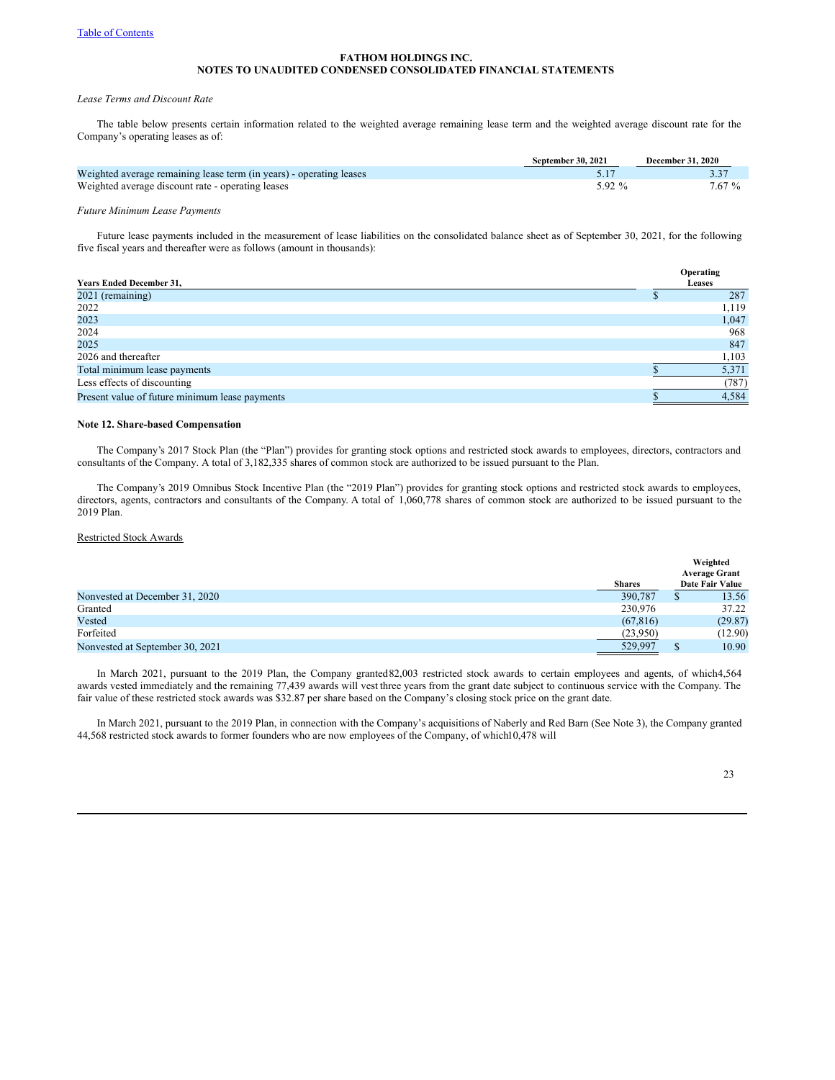### *Lease Terms and Discount Rate*

The table below presents certain information related to the weighted average remaining lease term and the weighted average discount rate for the Company's operating leases as of:

|                                                                     | September 30, 2021 | <b>December 31, 2020</b> |
|---------------------------------------------------------------------|--------------------|--------------------------|
| Weighted average remaining lease term (in years) - operating leases |                    |                          |
| Weighted average discount rate - operating leases                   | $5.92\%$           | 7.67 %                   |

# *Future Minimum Lease Payments*

Future lease payments included in the measurement of lease liabilities on the consolidated balance sheet as of September 30, 2021, for the following five fiscal years and thereafter were as follows (amount in thousands):

|                                                | Operating     |
|------------------------------------------------|---------------|
| <b>Years Ended December 31,</b>                | <b>Leases</b> |
| 2021 (remaining)                               | 287           |
| 2022                                           | 1.119         |
| 2023                                           | 1,047         |
| 2024                                           | 968           |
| 2025                                           | 847           |
| 2026 and thereafter                            | 1,103         |
| Total minimum lease payments                   | 5,371         |
| Less effects of discounting                    | (787)         |
| Present value of future minimum lease payments | 4,584         |

# **Note 12. Share-based Compensation**

The Company's 2017 Stock Plan (the "Plan") provides for granting stock options and restricted stock awards to employees, directors, contractors and consultants of the Company. A total of 3,182,335 shares of common stock are authorized to be issued pursuant to the Plan.

The Company's 2019 Omnibus Stock Incentive Plan (the "2019 Plan") provides for granting stock options and restricted stock awards to employees, directors, agents, contractors and consultants of the Company. A total of 1,060,778 shares of common stock are authorized to be issued pursuant to the 2019 Plan.

# Restricted Stock Awards

|                                 |               | Weighted             |
|---------------------------------|---------------|----------------------|
|                                 |               | <b>Average Grant</b> |
|                                 | <b>Shares</b> | Date Fair Value      |
| Nonvested at December 31, 2020  | 390,787       | 13.56                |
| Granted                         | 230,976       | 37.22                |
| Vested                          | (67, 816)     | (29.87)              |
| Forfeited                       | (23,950)      | (12.90)              |
| Nonvested at September 30, 2021 | 529,997       | 10.90                |

In March 2021, pursuant to the 2019 Plan, the Company granted 82,003 restricted stock awards to certain employees and agents, of which4,564 awards vested immediately and the remaining 77,439 awards will vest three years from the grant date subject to continuous service with the Company. The fair value of these restricted stock awards was \$32.87 per share based on the Company's closing stock price on the grant date.

In March 2021, pursuant to the 2019 Plan, in connection with the Company's acquisitions of Naberly and Red Barn (See Note 3), the Company granted 44,568 restricted stock awards to former founders who are now employees of the Company, of which10,478 will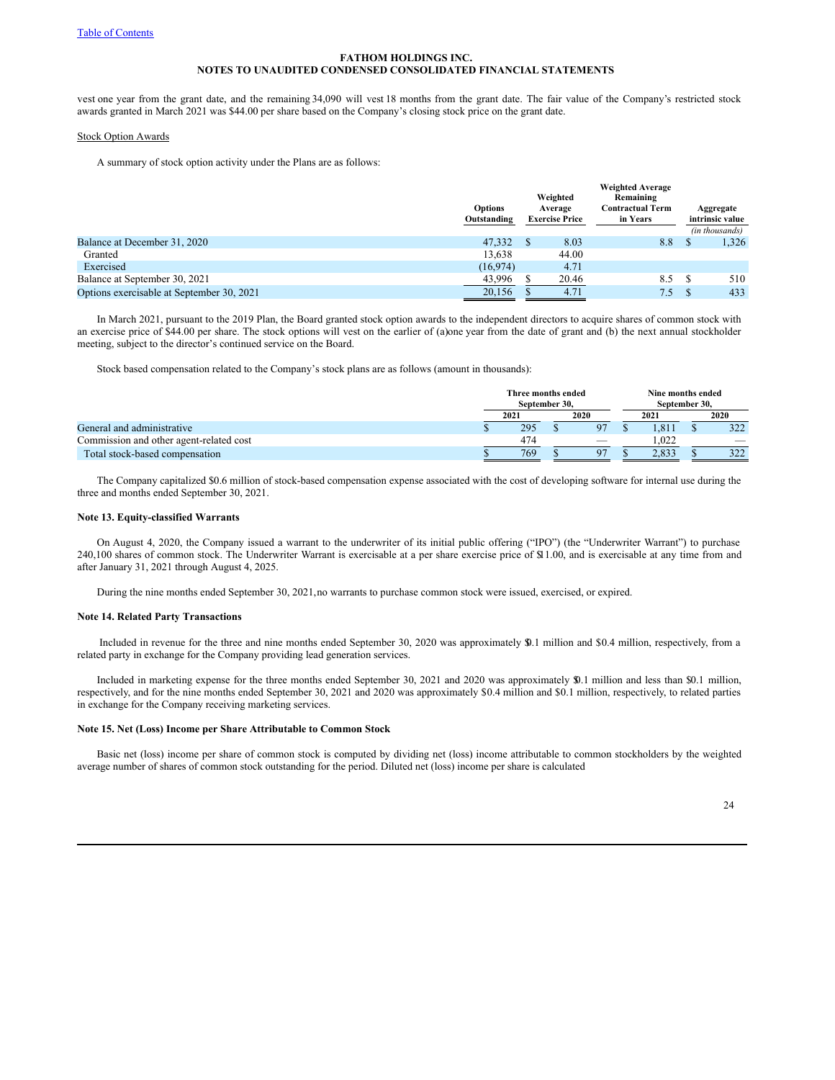vest one year from the grant date, and the remaining 34,090 will vest 18 months from the grant date. The fair value of the Company's restricted stock awards granted in March 2021 was \$44.00 per share based on the Company's closing stock price on the grant date.

#### Stock Option Awards

A summary of stock option activity under the Plans are as follows:

|                                           | Options<br>Outstanding | Weighted<br>Average<br><b>Exercise Price</b> | <b>Weighted Average</b><br>Remaining<br>Contractual Term<br>in Years | Aggregate<br>intrinsic value |
|-------------------------------------------|------------------------|----------------------------------------------|----------------------------------------------------------------------|------------------------------|
|                                           |                        |                                              |                                                                      | (in thousands)               |
| Balance at December 31, 2020              | 47,332                 | 8.03                                         | 8.8                                                                  | 1,326                        |
| Granted                                   | 13.638                 | 44.00                                        |                                                                      |                              |
| Exercised                                 | (16,974)               | 4.71                                         |                                                                      |                              |
| Balance at September 30, 2021             | 43,996                 | 20.46                                        | 8.5                                                                  | 510                          |
| Options exercisable at September 30, 2021 | 20,156                 | 4.71                                         | 7.5                                                                  | 433                          |

In March 2021, pursuant to the 2019 Plan, the Board granted stock option awards to the independent directors to acquire shares of common stock with an exercise price of \$44.00 per share. The stock options will vest on the earlier of (a)one year from the date of grant and (b) the next annual stockholder meeting, subject to the director's continued service on the Board.

Stock based compensation related to the Company's stock plans are as follows (amount in thousands):

|                                         | Three months ended<br>September 30. |     |  |                          |  | Nine months ended<br>September 30. |  |                          |  |
|-----------------------------------------|-------------------------------------|-----|--|--------------------------|--|------------------------------------|--|--------------------------|--|
|                                         | 2021                                |     |  | 2020<br>2021             |  |                                    |  | 2020                     |  |
| General and administrative              |                                     | 295 |  | 97                       |  | .811                               |  | 322                      |  |
| Commission and other agent-related cost |                                     | 474 |  | $\overline{\phantom{a}}$ |  | .022                               |  | $\overline{\phantom{a}}$ |  |
| Total stock-based compensation          |                                     | 769 |  | 07                       |  | 2.833                              |  | 222                      |  |

The Company capitalized \$0.6 million of stock-based compensation expense associated with the cost of developing software for internal use during the three and months ended September 30, 2021.

#### **Note 13. Equity-classified Warrants**

On August 4, 2020, the Company issued a warrant to the underwriter of its initial public offering ("IPO") (the "Underwriter Warrant") to purchase 240,100 shares of common stock. The Underwriter Warrant is exercisable at a per share exercise price of \$11.00, and is exercisable at any time from and after January 31, 2021 through August 4, 2025.

During the nine months ended September 30, 2021,no warrants to purchase common stock were issued, exercised, or expired.

### **Note 14. Related Party Transactions**

Included in revenue for the three and nine months ended September 30, 2020 was approximately \$0.1 million and \$0.4 million, respectively, from a related party in exchange for the Company providing lead generation services.

Included in marketing expense for the three months ended September 30, 2021 and 2020 was approximately \$0.1 million and less than \$0.1 million, respectively, and for the nine months ended September 30, 2021 and 2020 was approximately \$0.4 million and \$0.1 million, respectively, to related parties in exchange for the Company receiving marketing services.

#### **Note 15. Net (Loss) Income per Share Attributable to Common Stock**

Basic net (loss) income per share of common stock is computed by dividing net (loss) income attributable to common stockholders by the weighted average number of shares of common stock outstanding for the period. Diluted net (loss) income per share is calculated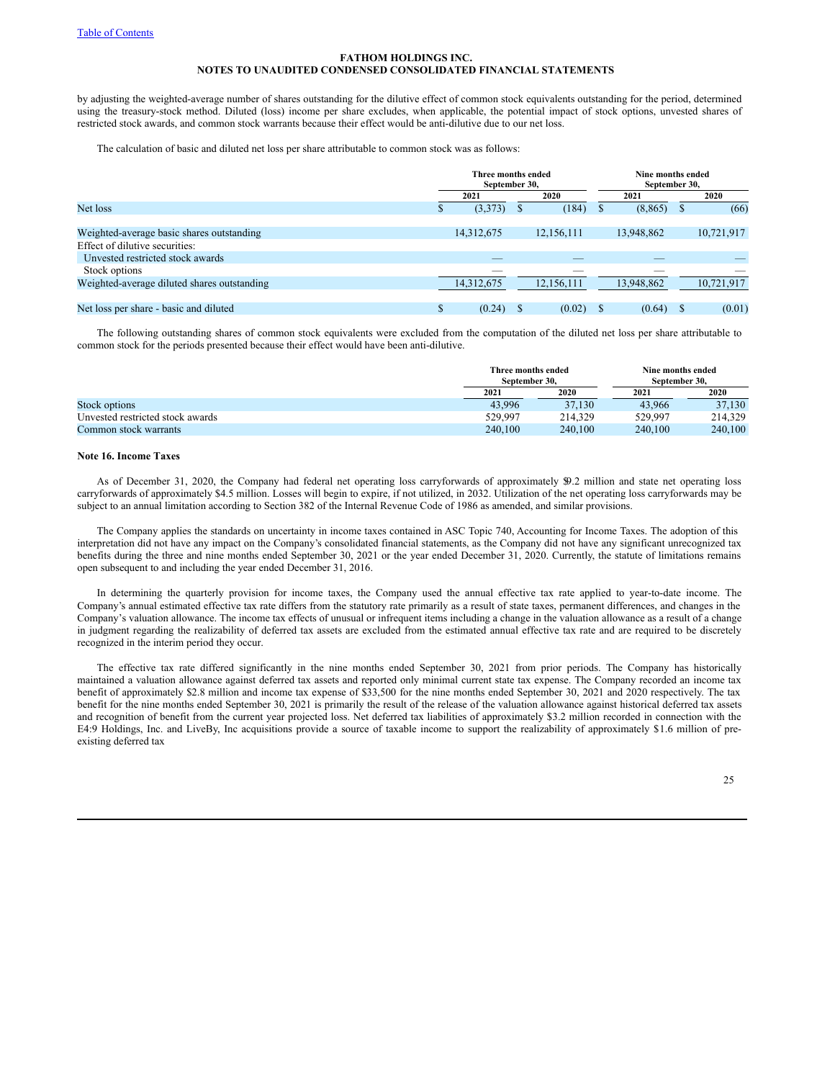by adjusting the weighted-average number of shares outstanding for the dilutive effect of common stock equivalents outstanding for the period, determined using the treasury-stock method. Diluted (loss) income per share excludes, when applicable, the potential impact of stock options, unvested shares of restricted stock awards, and common stock warrants because their effect would be anti-dilutive due to our net loss.

The calculation of basic and diluted net loss per share attributable to common stock was as follows:

|                                             |    | Three months ended<br>September 30, |   |            |      |            | Nine months ended<br>September 30, |            |  |  |
|---------------------------------------------|----|-------------------------------------|---|------------|------|------------|------------------------------------|------------|--|--|
|                                             |    | 2020<br>2021                        |   |            | 2021 |            |                                    | 2020       |  |  |
| Net loss                                    | ъ  | (3,373)                             | æ | (184)      | ъ    | (8, 865)   | Ъ                                  | (66)       |  |  |
|                                             |    |                                     |   |            |      |            |                                    |            |  |  |
| Weighted-average basic shares outstanding   |    | 14,312,675                          |   | 12,156,111 |      | 13,948,862 |                                    | 10,721,917 |  |  |
| Effect of dilutive securities:              |    |                                     |   |            |      |            |                                    |            |  |  |
| Unvested restricted stock awards            |    |                                     |   |            |      |            |                                    |            |  |  |
| Stock options                               |    | _                                   |   | ___        |      |            |                                    |            |  |  |
| Weighted-average diluted shares outstanding |    | 14,312,675                          |   | 12,156,111 |      | 13,948,862 |                                    | 10,721,917 |  |  |
|                                             |    |                                     |   |            |      |            |                                    |            |  |  |
| Net loss per share - basic and diluted      | \$ | (0.24)                              |   | (0.02)     |      | (0.64)     |                                    | (0.01)     |  |  |

The following outstanding shares of common stock equivalents were excluded from the computation of the diluted net loss per share attributable to common stock for the periods presented because their effect would have been anti-dilutive.

|                                  | Three months ended<br>September 30. |         | Nine months ended<br>September 30. |         |
|----------------------------------|-------------------------------------|---------|------------------------------------|---------|
|                                  | 2021                                | 2020    | 2021                               | 2020    |
| Stock options                    | 43.996                              | 37.130  | 43,966                             | 37,130  |
| Unvested restricted stock awards | 529,997                             | 214.329 | 529.997                            | 214.329 |
| Common stock warrants            | 240,100                             | 240,100 | 240,100                            | 240,100 |

# **Note 16. Income Taxes**

As of December 31, 2020, the Company had federal net operating loss carryforwards of approximately \$9.2 million and state net operating loss carryforwards of approximately \$4.5 million. Losses will begin to expire, if not utilized, in 2032. Utilization of the net operating loss carryforwards may be subject to an annual limitation according to Section 382 of the Internal Revenue Code of 1986 as amended, and similar provisions.

The Company applies the standards on uncertainty in income taxes contained in ASC Topic 740, Accounting for Income Taxes. The adoption of this interpretation did not have any impact on the Company's consolidated financial statements, as the Company did not have any significant unrecognized tax benefits during the three and nine months ended September 30, 2021 or the year ended December 31, 2020. Currently, the statute of limitations remains open subsequent to and including the year ended December 31, 2016.

In determining the quarterly provision for income taxes, the Company used the annual effective tax rate applied to year-to-date income. The Company's annual estimated effective tax rate differs from the statutory rate primarily as a result of state taxes, permanent differences, and changes in the Company's valuation allowance. The income tax effects of unusual or infrequent items including a change in the valuation allowance as a result of a change in judgment regarding the realizability of deferred tax assets are excluded from the estimated annual effective tax rate and are required to be discretely recognized in the interim period they occur.

The effective tax rate differed significantly in the nine months ended September 30, 2021 from prior periods. The Company has historically maintained a valuation allowance against deferred tax assets and reported only minimal current state tax expense. The Company recorded an income tax benefit of approximately \$2.8 million and income tax expense of \$33,500 for the nine months ended September 30, 2021 and 2020 respectively. The tax benefit for the nine months ended September 30, 2021 is primarily the result of the release of the valuation allowance against historical deferred tax assets and recognition of benefit from the current year projected loss. Net deferred tax liabilities of approximately \$3.2 million recorded in connection with the E4:9 Holdings, Inc. and LiveBy, Inc acquisitions provide a source of taxable income to support the realizability of approximately \$1.6 million of preexisting deferred tax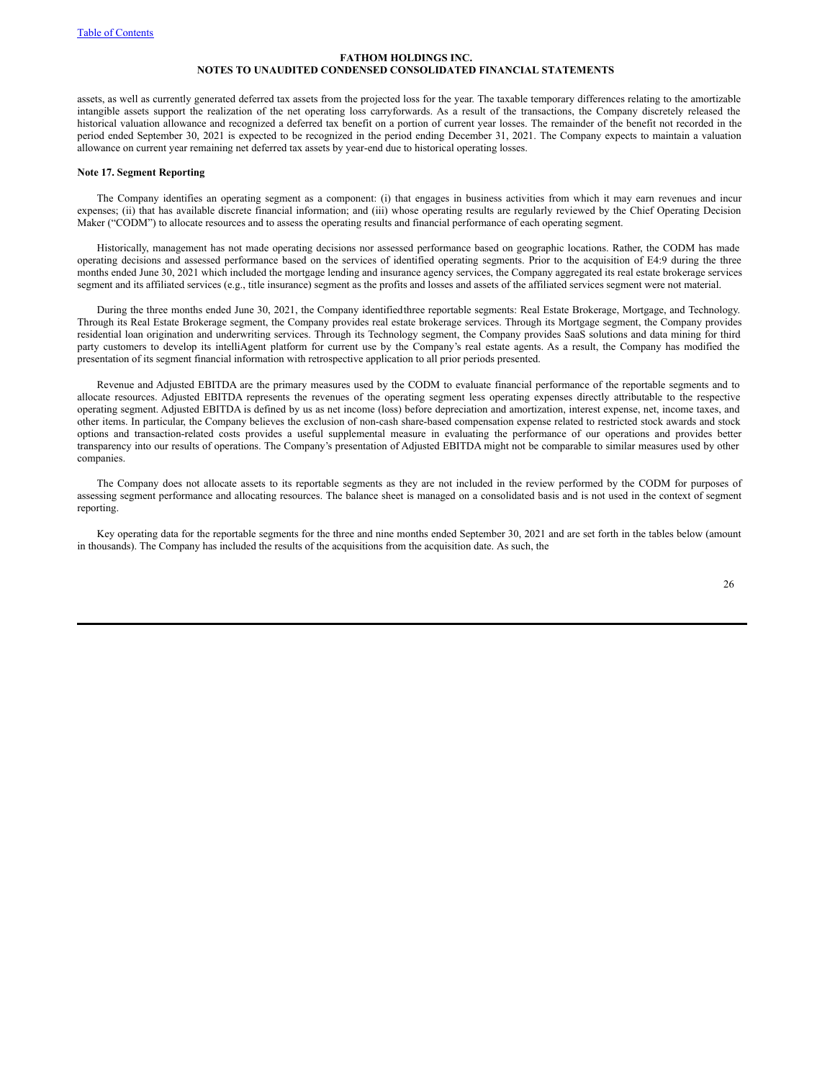assets, as well as currently generated deferred tax assets from the projected loss for the year. The taxable temporary differences relating to the amortizable intangible assets support the realization of the net operating loss carryforwards. As a result of the transactions, the Company discretely released the historical valuation allowance and recognized a deferred tax benefit on a portion of current year losses. The remainder of the benefit not recorded in the period ended September 30, 2021 is expected to be recognized in the period ending December 31, 2021. The Company expects to maintain a valuation allowance on current year remaining net deferred tax assets by year-end due to historical operating losses.

#### **Note 17. Segment Reporting**

The Company identifies an operating segment as a component: (i) that engages in business activities from which it may earn revenues and incur expenses; (ii) that has available discrete financial information; and (iii) whose operating results are regularly reviewed by the Chief Operating Decision Maker ("CODM") to allocate resources and to assess the operating results and financial performance of each operating segment.

Historically, management has not made operating decisions nor assessed performance based on geographic locations. Rather, the CODM has made operating decisions and assessed performance based on the services of identified operating segments. Prior to the acquisition of E4:9 during the three months ended June 30, 2021 which included the mortgage lending and insurance agency services, the Company aggregated its real estate brokerage services segment and its affiliated services (e.g., title insurance) segment as the profits and losses and assets of the affiliated services segment were not material.

During the three months ended June 30, 2021, the Company identifiedthree reportable segments: Real Estate Brokerage, Mortgage, and Technology. Through its Real Estate Brokerage segment, the Company provides real estate brokerage services. Through its Mortgage segment, the Company provides residential loan origination and underwriting services. Through its Technology segment, the Company provides SaaS solutions and data mining for third party customers to develop its intelliAgent platform for current use by the Company's real estate agents. As a result, the Company has modified the presentation of its segment financial information with retrospective application to all prior periods presented.

Revenue and Adjusted EBITDA are the primary measures used by the CODM to evaluate financial performance of the reportable segments and to allocate resources. Adjusted EBITDA represents the revenues of the operating segment less operating expenses directly attributable to the respective operating segment. Adjusted EBITDA is defined by us as net income (loss) before depreciation and amortization, interest expense, net, income taxes, and other items. In particular, the Company believes the exclusion of non-cash share-based compensation expense related to restricted stock awards and stock options and transaction-related costs provides a useful supplemental measure in evaluating the performance of our operations and provides better transparency into our results of operations. The Company's presentation of Adjusted EBITDA might not be comparable to similar measures used by other companies.

The Company does not allocate assets to its reportable segments as they are not included in the review performed by the CODM for purposes of assessing segment performance and allocating resources. The balance sheet is managed on a consolidated basis and is not used in the context of segment reporting.

Key operating data for the reportable segments for the three and nine months ended September 30, 2021 and are set forth in the tables below (amount in thousands). The Company has included the results of the acquisitions from the acquisition date. As such, the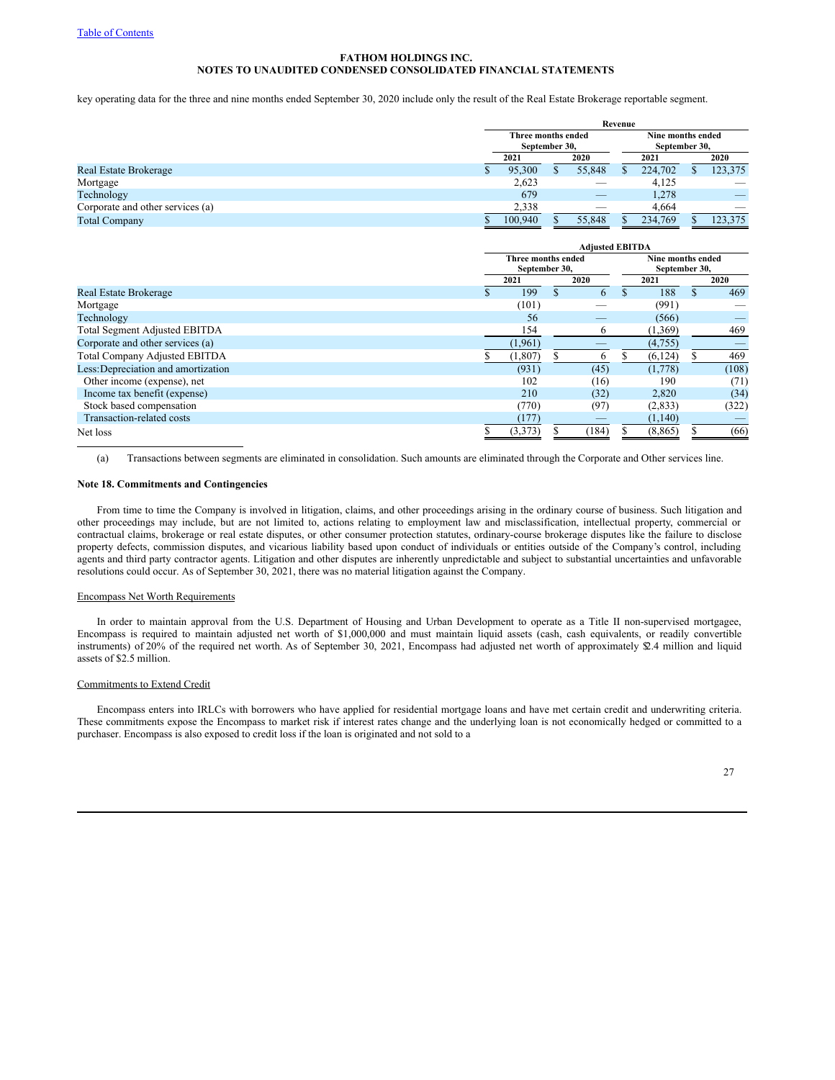key operating data for the three and nine months ended September 30, 2020 include only the result of the Real Estate Brokerage reportable segment.

|                                  | Revenue |                                     |  |                                    |      |         |      |                          |  |
|----------------------------------|---------|-------------------------------------|--|------------------------------------|------|---------|------|--------------------------|--|
|                                  |         | Three months ended<br>September 30, |  | Nine months ended<br>September 30, |      |         |      |                          |  |
|                                  |         | 2020<br>2021                        |  |                                    | 2021 |         | 2020 |                          |  |
| Real Estate Brokerage            |         | 95,300                              |  | 55,848                             |      | 224,702 |      | 123,375                  |  |
| Mortgage                         |         | 2,623                               |  | __                                 |      | 4.125   |      | $\overline{\phantom{a}}$ |  |
| Technology                       |         | 679                                 |  | $\overline{\phantom{a}}$           |      | 1,278   |      |                          |  |
| Corporate and other services (a) |         | 2,338                               |  | __                                 |      | 4.664   |      | __                       |  |
| <b>Total Company</b>             |         | 100,940                             |  | 55,848                             |      | 234,769 |      | 123,375                  |  |

|                                      |                                     |          |  | <b>Adjusted EBITDA</b> |  |                                    |       |
|--------------------------------------|-------------------------------------|----------|--|------------------------|--|------------------------------------|-------|
|                                      | Three months ended<br>September 30, |          |  |                        |  | Nine months ended<br>September 30, |       |
|                                      |                                     | 2021     |  | 2020                   |  | 2021                               | 2020  |
| Real Estate Brokerage                |                                     | 199      |  | 6                      |  | 188                                | 469   |
| Mortgage                             |                                     | (101)    |  |                        |  | (991)                              |       |
| Technology                           |                                     | 56       |  |                        |  | (566)                              | _     |
| <b>Total Segment Adjusted EBITDA</b> |                                     | 154      |  | 6                      |  | (1,369)                            | 469   |
| Corporate and other services (a)     |                                     | (1,961)  |  |                        |  | (4.755)                            |       |
| <b>Total Company Adjusted EBITDA</b> |                                     | (1, 807) |  | 6                      |  | (6, 124)                           | 469   |
| Less: Depreciation and amortization  |                                     | (931)    |  | (45)                   |  | (1,778)                            | (108) |
| Other income (expense), net          |                                     | 102      |  | (16)                   |  | 190                                | (71)  |
| Income tax benefit (expense)         |                                     | 210      |  | (32)                   |  | 2,820                              | (34)  |
| Stock based compensation             |                                     | (770)    |  | (97)                   |  | (2,833)                            | (322) |
| Transaction-related costs            |                                     | (177)    |  |                        |  | (1,140)                            |       |
| Net loss                             |                                     | (3,373)  |  | (184)                  |  | (8, 865)                           | (66)  |

(a) Transactions between segments are eliminated in consolidation. Such amounts are eliminated through the Corporate and Other services line.

#### **Note 18. Commitments and Contingencies**

From time to time the Company is involved in litigation, claims, and other proceedings arising in the ordinary course of business. Such litigation and other proceedings may include, but are not limited to, actions relating to employment law and misclassification, intellectual property, commercial or contractual claims, brokerage or real estate disputes, or other consumer protection statutes, ordinary-course brokerage disputes like the failure to disclose property defects, commission disputes, and vicarious liability based upon conduct of individuals or entities outside of the Company's control, including agents and third party contractor agents. Litigation and other disputes are inherently unpredictable and subject to substantial uncertainties and unfavorable resolutions could occur. As of September 30, 2021, there was no material litigation against the Company.

#### Encompass Net Worth Requirements

In order to maintain approval from the U.S. Department of Housing and Urban Development to operate as a Title II non-supervised mortgagee, Encompass is required to maintain adjusted net worth of \$1,000,000 and must maintain liquid assets (cash, cash equivalents, or readily convertible instruments) of 20% of the required net worth. As of September 30, 2021, Encompass had adjusted net worth of approximately \$2.4 million and liquid assets of \$2.5 million.

# Commitments to Extend Credit

Encompass enters into IRLCs with borrowers who have applied for residential mortgage loans and have met certain credit and underwriting criteria. These commitments expose the Encompass to market risk if interest rates change and the underlying loan is not economically hedged or committed to a purchaser. Encompass is also exposed to credit loss if the loan is originated and not sold to a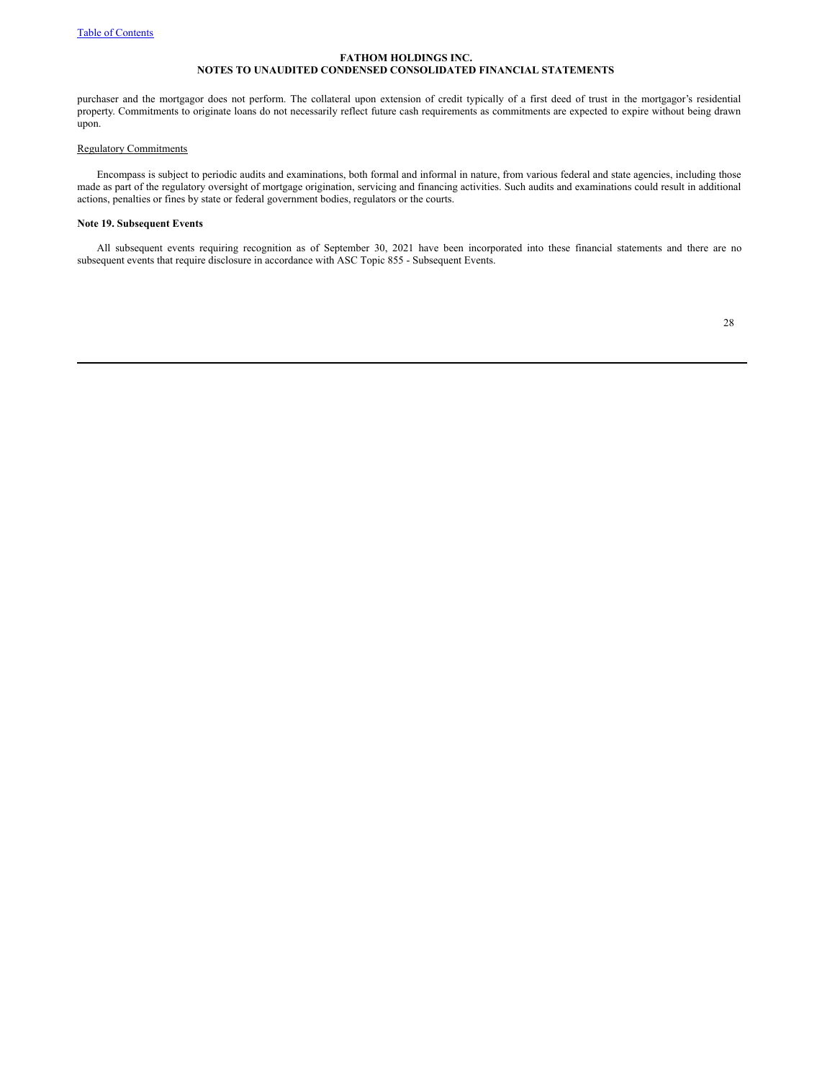purchaser and the mortgagor does not perform. The collateral upon extension of credit typically of a first deed of trust in the mortgagor's residential property. Commitments to originate loans do not necessarily reflect future cash requirements as commitments are expected to expire without being drawn upon.

# Regulatory Commitments

Encompass is subject to periodic audits and examinations, both formal and informal in nature, from various federal and state agencies, including those made as part of the regulatory oversight of mortgage origination, servicing and financing activities. Such audits and examinations could result in additional actions, penalties or fines by state or federal government bodies, regulators or the courts.

# **Note 19. Subsequent Events**

All subsequent events requiring recognition as of September 30, 2021 have been incorporated into these financial statements and there are no subsequent events that require disclosure in accordance with ASC Topic 855 - Subsequent Events.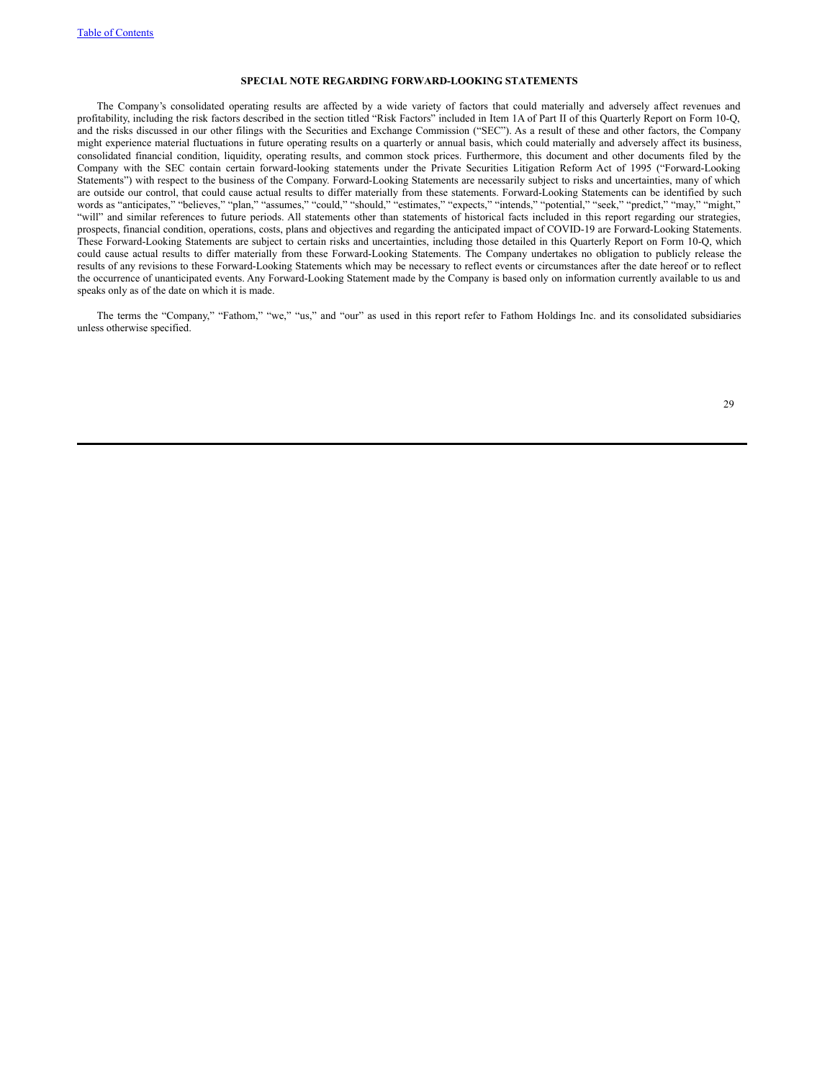## **SPECIAL NOTE REGARDING FORWARD-LOOKING STATEMENTS**

The Company's consolidated operating results are affected by a wide variety of factors that could materially and adversely affect revenues and profitability, including the risk factors described in the section titled "Risk Factors" included in Item 1A of Part II of this Quarterly Report on Form 10-Q, and the risks discussed in our other filings with the Securities and Exchange Commission ("SEC"). As a result of these and other factors, the Company might experience material fluctuations in future operating results on a quarterly or annual basis, which could materially and adversely affect its business, consolidated financial condition, liquidity, operating results, and common stock prices. Furthermore, this document and other documents filed by the Company with the SEC contain certain forward-looking statements under the Private Securities Litigation Reform Act of 1995 ("Forward-Looking Statements") with respect to the business of the Company. Forward-Looking Statements are necessarily subject to risks and uncertainties, many of which are outside our control, that could cause actual results to differ materially from these statements. Forward-Looking Statements can be identified by such words as "anticipates," "believes," "plan," "assumes," "could," "should," "estimates," "expects," "intends," "potential," "seek," "predict," "may," "might," "will" and similar references to future periods. All statements other than statements of historical facts included in this report regarding our strategies, prospects, financial condition, operations, costs, plans and objectives and regarding the anticipated impact of COVID-19 are Forward-Looking Statements. These Forward-Looking Statements are subject to certain risks and uncertainties, including those detailed in this Quarterly Report on Form 10-Q, which could cause actual results to differ materially from these Forward-Looking Statements. The Company undertakes no obligation to publicly release the results of any revisions to these Forward-Looking Statements which may be necessary to reflect events or circumstances after the date hereof or to reflect the occurrence of unanticipated events. Any Forward-Looking Statement made by the Company is based only on information currently available to us and speaks only as of the date on which it is made.

The terms the "Company," "Fathom," "we," "us," and "our" as used in this report refer to Fathom Holdings Inc. and its consolidated subsidiaries unless otherwise specified.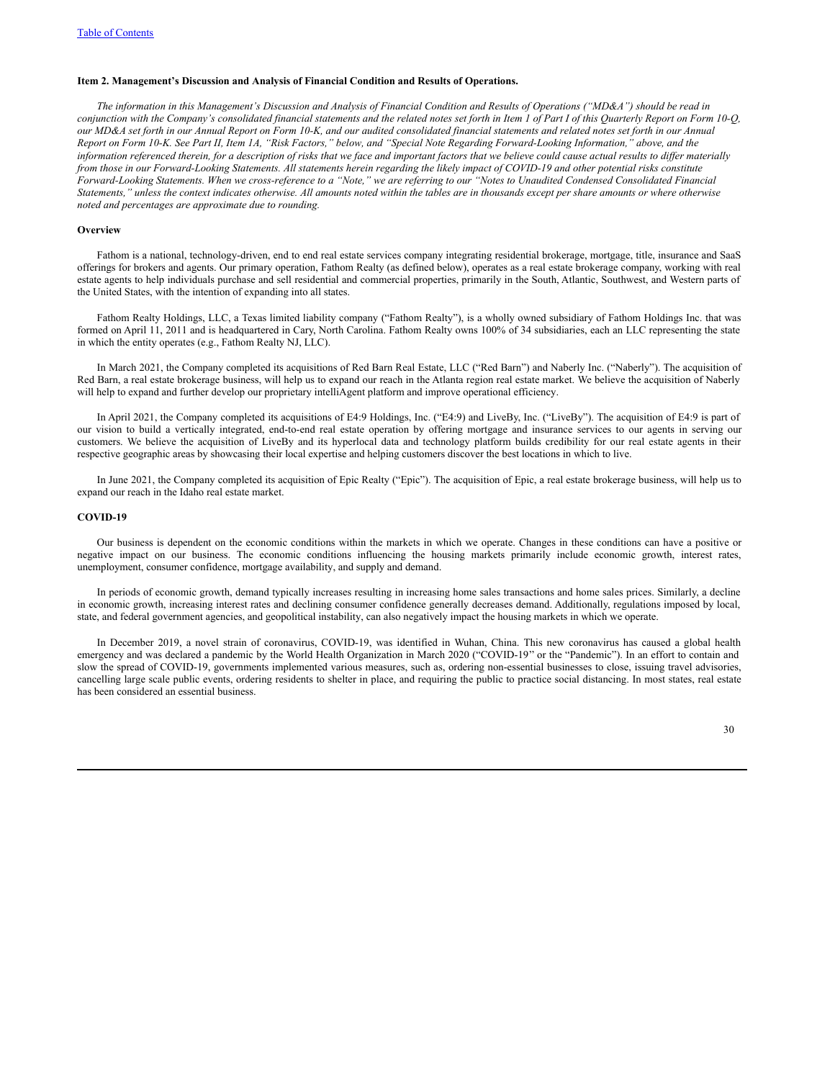### **Item 2. Management's Discussion and Analysis of Financial Condition and Results of Operations.**

The information in this Management's Discussion and Analysis of Financial Condition and Results of Operations ("MD&A") should be read in conjunction with the Company's consolidated financial statements and the related notes set forth in Item 1 of Part I of this Quarterly Report on Form 10-Q, our MD&A set forth in our Annual Report on Form 10-K, and our audited consolidated financial statements and related notes set forth in our Annual Report on Form 10-K. See Part II, Item 1A, "Risk Factors," below, and "Special Note Regarding Forward-Looking Information," above, and the information referenced therein, for a description of risks that we face and important factors that we believe could cause actual results to differ materially from those in our Forward-Looking Statements. All statements herein regarding the likely impact of COVID-19 and other potential risks constitute Forward-Looking Statements. When we cross-reference to a "Note," we are referring to our "Notes to Unaudited Condensed Consolidated Financial Statements," unless the context indicates otherwise. All amounts noted within the tables are in thousands except per share amounts or where otherwise *noted and percentages are approximate due to rounding.*

#### **Overview**

Fathom is a national, technology-driven, end to end real estate services company integrating residential brokerage, mortgage, title, insurance and SaaS offerings for brokers and agents. Our primary operation, Fathom Realty (as defined below), operates as a real estate brokerage company, working with real estate agents to help individuals purchase and sell residential and commercial properties, primarily in the South, Atlantic, Southwest, and Western parts of the United States, with the intention of expanding into all states.

Fathom Realty Holdings, LLC, a Texas limited liability company ("Fathom Realty"), is a wholly owned subsidiary of Fathom Holdings Inc. that was formed on April 11, 2011 and is headquartered in Cary, North Carolina. Fathom Realty owns 100% of 34 subsidiaries, each an LLC representing the state in which the entity operates (e.g., Fathom Realty NJ, LLC).

In March 2021, the Company completed its acquisitions of Red Barn Real Estate, LLC ("Red Barn") and Naberly Inc. ("Naberly"). The acquisition of Red Barn, a real estate brokerage business, will help us to expand our reach in the Atlanta region real estate market. We believe the acquisition of Naberly will help to expand and further develop our proprietary intelliAgent platform and improve operational efficiency.

In April 2021, the Company completed its acquisitions of E4:9 Holdings, Inc. ("E4:9) and LiveBy, Inc. ("LiveBy"). The acquisition of E4:9 is part of our vision to build a vertically integrated, end-to-end real estate operation by offering mortgage and insurance services to our agents in serving our customers. We believe the acquisition of LiveBy and its hyperlocal data and technology platform builds credibility for our real estate agents in their respective geographic areas by showcasing their local expertise and helping customers discover the best locations in which to live.

In June 2021, the Company completed its acquisition of Epic Realty ("Epic"). The acquisition of Epic, a real estate brokerage business, will help us to expand our reach in the Idaho real estate market.

### **COVID-19**

Our business is dependent on the economic conditions within the markets in which we operate. Changes in these conditions can have a positive or negative impact on our business. The economic conditions influencing the housing markets primarily include economic growth, interest rates, unemployment, consumer confidence, mortgage availability, and supply and demand.

In periods of economic growth, demand typically increases resulting in increasing home sales transactions and home sales prices. Similarly, a decline in economic growth, increasing interest rates and declining consumer confidence generally decreases demand. Additionally, regulations imposed by local, state, and federal government agencies, and geopolitical instability, can also negatively impact the housing markets in which we operate.

In December 2019, a novel strain of coronavirus, COVID-19, was identified in Wuhan, China. This new coronavirus has caused a global health emergency and was declared a pandemic by the World Health Organization in March 2020 ("COVID-19'' or the "Pandemic"). In an effort to contain and slow the spread of COVID-19, governments implemented various measures, such as, ordering non-essential businesses to close, issuing travel advisories, cancelling large scale public events, ordering residents to shelter in place, and requiring the public to practice social distancing. In most states, real estate has been considered an essential business.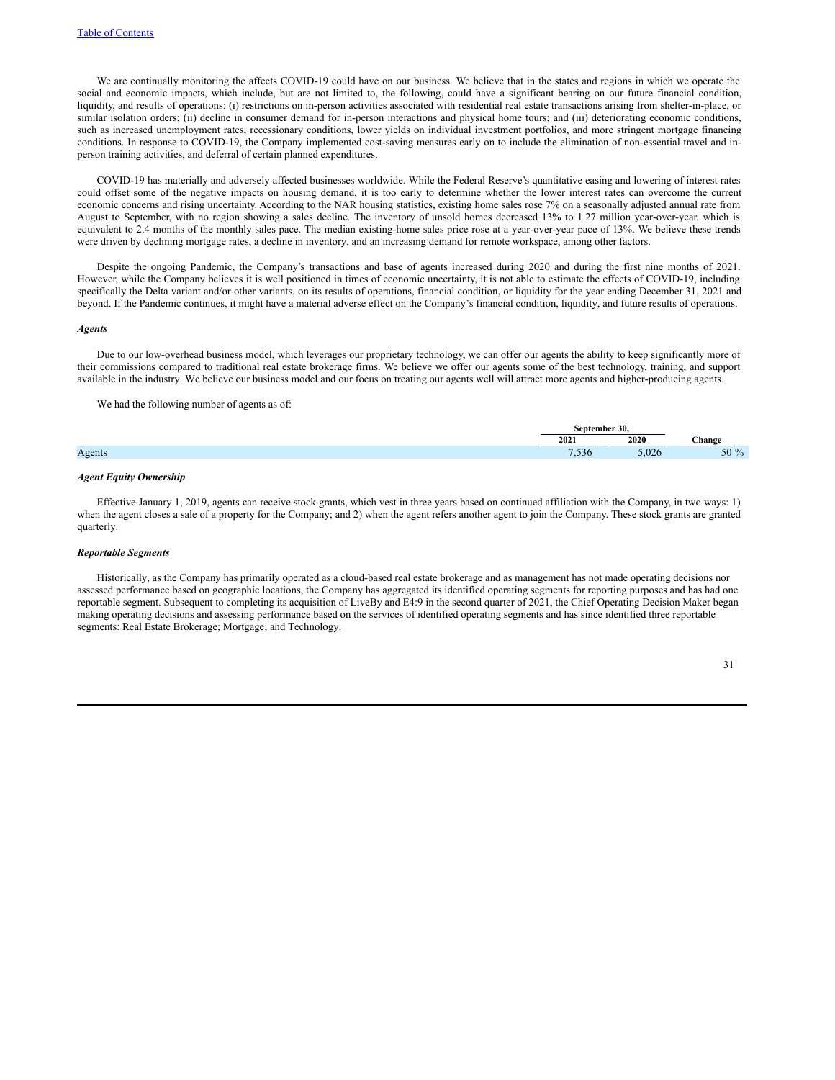We are continually monitoring the affects COVID-19 could have on our business. We believe that in the states and regions in which we operate the social and economic impacts, which include, but are not limited to, the following, could have a significant bearing on our future financial condition, liquidity, and results of operations: (i) restrictions on in-person activities associated with residential real estate transactions arising from shelter-in-place, or similar isolation orders; (ii) decline in consumer demand for in-person interactions and physical home tours; and (iii) deteriorating economic conditions, such as increased unemployment rates, recessionary conditions, lower yields on individual investment portfolios, and more stringent mortgage financing conditions. In response to COVID-19, the Company implemented cost-saving measures early on to include the elimination of non-essential travel and inperson training activities, and deferral of certain planned expenditures.

COVID-19 has materially and adversely affected businesses worldwide. While the Federal Reserve's quantitative easing and lowering of interest rates could offset some of the negative impacts on housing demand, it is too early to determine whether the lower interest rates can overcome the current economic concerns and rising uncertainty. According to the NAR housing statistics, existing home sales rose 7% on a seasonally adjusted annual rate from August to September, with no region showing a sales decline. The inventory of unsold homes decreased 13% to 1.27 million year-over-year, which is equivalent to 2.4 months of the monthly sales pace. The median existing-home sales price rose at a year-over-year pace of 13%. We believe these trends were driven by declining mortgage rates, a decline in inventory, and an increasing demand for remote workspace, among other factors.

Despite the ongoing Pandemic, the Company's transactions and base of agents increased during 2020 and during the first nine months of 2021. However, while the Company believes it is well positioned in times of economic uncertainty, it is not able to estimate the effects of COVID-19, including specifically the Delta variant and/or other variants, on its results of operations, financial condition, or liquidity for the year ending December 31, 2021 and beyond. If the Pandemic continues, it might have a material adverse effect on the Company's financial condition, liquidity, and future results of operations.

#### *Agents*

Due to our low-overhead business model, which leverages our proprietary technology, we can offer our agents the ability to keep significantly more of their commissions compared to traditional real estate brokerage firms. We believe we offer our agents some of the best technology, training, and support available in the industry. We believe our business model and our focus on treating our agents well will attract more agents and higher-producing agents.

We had the following number of agents as of:

|                         |     | - -<br>-30.   |            |
|-------------------------|-----|---------------|------------|
|                         | 202 | 2020<br>404 V | . hange    |
| $\triangle$ $0^{\circ}$ |     |               | $\sqrt{ }$ |
|                         |     |               |            |

### *Agent Equity Ownership*

Effective January 1, 2019, agents can receive stock grants, which vest in three years based on continued affiliation with the Company, in two ways: 1) when the agent closes a sale of a property for the Company; and 2) when the agent refers another agent to join the Company. These stock grants are granted quarterly.

### *Reportable Segments*

Historically, as the Company has primarily operated as a cloud-based real estate brokerage and as management has not made operating decisions nor assessed performance based on geographic locations, the Company has aggregated its identified operating segments for reporting purposes and has had one reportable segment. Subsequent to completing its acquisition of LiveBy and E4:9 in the second quarter of 2021, the Chief Operating Decision Maker began making operating decisions and assessing performance based on the services of identified operating segments and has since identified three reportable segments: Real Estate Brokerage; Mortgage; and Technology.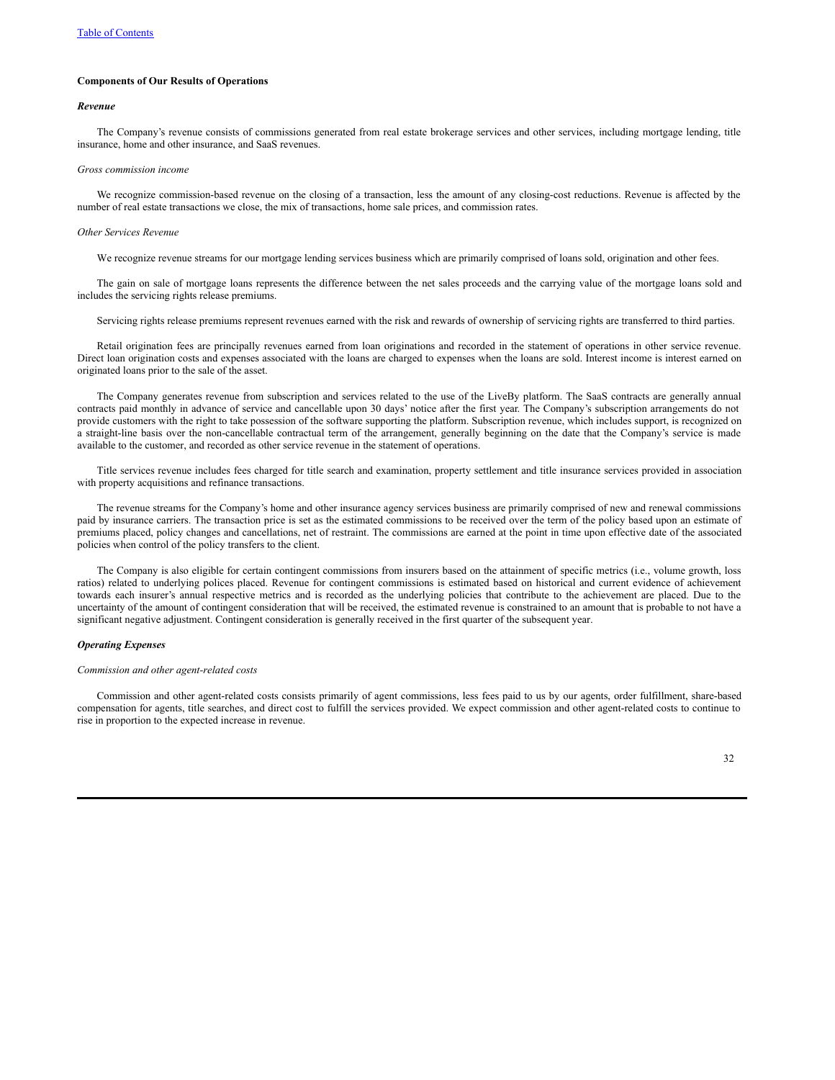# **Components of Our Results of Operations**

### *Revenue*

The Company's revenue consists of commissions generated from real estate brokerage services and other services, including mortgage lending, title insurance, home and other insurance, and SaaS revenues.

### *Gross commission income*

We recognize commission-based revenue on the closing of a transaction, less the amount of any closing-cost reductions. Revenue is affected by the number of real estate transactions we close, the mix of transactions, home sale prices, and commission rates.

#### *Other Services Revenue*

We recognize revenue streams for our mortgage lending services business which are primarily comprised of loans sold, origination and other fees.

The gain on sale of mortgage loans represents the difference between the net sales proceeds and the carrying value of the mortgage loans sold and includes the servicing rights release premiums.

Servicing rights release premiums represent revenues earned with the risk and rewards of ownership of servicing rights are transferred to third parties.

Retail origination fees are principally revenues earned from loan originations and recorded in the statement of operations in other service revenue. Direct loan origination costs and expenses associated with the loans are charged to expenses when the loans are sold. Interest income is interest earned on originated loans prior to the sale of the asset.

The Company generates revenue from subscription and services related to the use of the LiveBy platform. The SaaS contracts are generally annual contracts paid monthly in advance of service and cancellable upon 30 days' notice after the first year. The Company's subscription arrangements do not provide customers with the right to take possession of the software supporting the platform. Subscription revenue, which includes support, is recognized on a straight-line basis over the non-cancellable contractual term of the arrangement, generally beginning on the date that the Company's service is made available to the customer, and recorded as other service revenue in the statement of operations.

Title services revenue includes fees charged for title search and examination, property settlement and title insurance services provided in association with property acquisitions and refinance transactions.

The revenue streams for the Company's home and other insurance agency services business are primarily comprised of new and renewal commissions paid by insurance carriers. The transaction price is set as the estimated commissions to be received over the term of the policy based upon an estimate of premiums placed, policy changes and cancellations, net of restraint. The commissions are earned at the point in time upon effective date of the associated policies when control of the policy transfers to the client.

The Company is also eligible for certain contingent commissions from insurers based on the attainment of specific metrics (i.e., volume growth, loss ratios) related to underlying polices placed. Revenue for contingent commissions is estimated based on historical and current evidence of achievement towards each insurer's annual respective metrics and is recorded as the underlying policies that contribute to the achievement are placed. Due to the uncertainty of the amount of contingent consideration that will be received, the estimated revenue is constrained to an amount that is probable to not have a significant negative adjustment. Contingent consideration is generally received in the first quarter of the subsequent year.

# *Operating Expenses*

#### *Commission and other agent-related costs*

Commission and other agent-related costs consists primarily of agent commissions, less fees paid to us by our agents, order fulfillment, share-based compensation for agents, title searches, and direct cost to fulfill the services provided. We expect commission and other agent-related costs to continue to rise in proportion to the expected increase in revenue.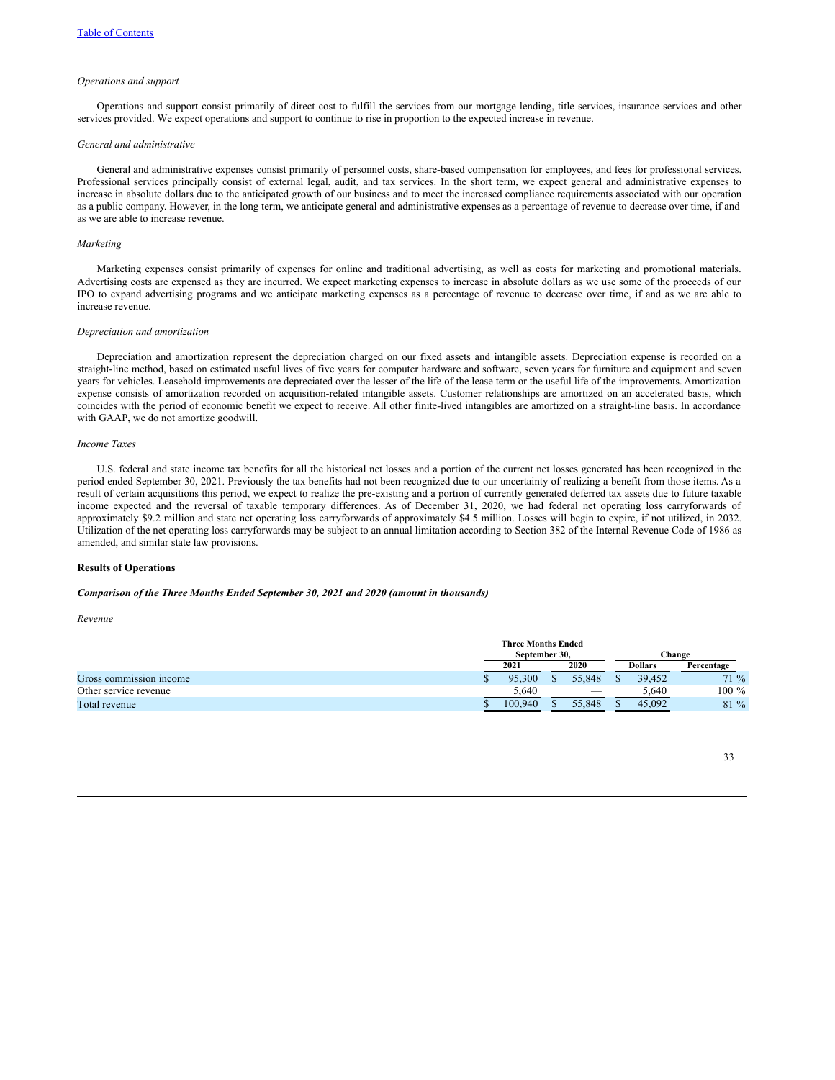### *Operations and support*

Operations and support consist primarily of direct cost to fulfill the services from our mortgage lending, title services, insurance services and other services provided. We expect operations and support to continue to rise in proportion to the expected increase in revenue.

### *General and administrative*

General and administrative expenses consist primarily of personnel costs, share-based compensation for employees, and fees for professional services. Professional services principally consist of external legal, audit, and tax services. In the short term, we expect general and administrative expenses to increase in absolute dollars due to the anticipated growth of our business and to meet the increased compliance requirements associated with our operation as a public company. However, in the long term, we anticipate general and administrative expenses as a percentage of revenue to decrease over time, if and as we are able to increase revenue.

### *Marketing*

Marketing expenses consist primarily of expenses for online and traditional advertising, as well as costs for marketing and promotional materials. Advertising costs are expensed as they are incurred. We expect marketing expenses to increase in absolute dollars as we use some of the proceeds of our IPO to expand advertising programs and we anticipate marketing expenses as a percentage of revenue to decrease over time, if and as we are able to increase revenue.

#### *Depreciation and amortization*

Depreciation and amortization represent the depreciation charged on our fixed assets and intangible assets. Depreciation expense is recorded on a straight-line method, based on estimated useful lives of five years for computer hardware and software, seven years for furniture and equipment and seven years for vehicles. Leasehold improvements are depreciated over the lesser of the life of the lease term or the useful life of the improvements. Amortization expense consists of amortization recorded on acquisition-related intangible assets. Customer relationships are amortized on an accelerated basis, which coincides with the period of economic benefit we expect to receive. All other finite-lived intangibles are amortized on a straight-line basis. In accordance with GAAP, we do not amortize goodwill.

### *Income Taxes*

U.S. federal and state income tax benefits for all the historical net losses and a portion of the current net losses generated has been recognized in the period ended September 30, 2021. Previously the tax benefits had not been recognized due to our uncertainty of realizing a benefit from those items. As a result of certain acquisitions this period, we expect to realize the pre-existing and a portion of currently generated deferred tax assets due to future taxable income expected and the reversal of taxable temporary differences. As of December 31, 2020, we had federal net operating loss carryforwards of approximately \$9.2 million and state net operating loss carryforwards of approximately \$4.5 million. Losses will begin to expire, if not utilized, in 2032. Utilization of the net operating loss carryforwards may be subject to an annual limitation according to Section 382 of the Internal Revenue Code of 1986 as amended, and similar state law provisions.

# **Results of Operations**

## *Comparison of the Three Months Ended September 30, 2021 and 2020 (amount in thousands)*

*Revenue*

|                         | <b>Three Months Ended</b> |      |                          |                |        |            |  |  |  |  |
|-------------------------|---------------------------|------|--------------------------|----------------|--------|------------|--|--|--|--|
|                         | September 30.             |      |                          |                | Change |            |  |  |  |  |
|                         | 2021                      | 2020 |                          | <b>Dollars</b> |        | Percentage |  |  |  |  |
| Gross commission income | 95,300                    |      | 55,848                   |                | 39.452 | $71\%$     |  |  |  |  |
| Other service revenue   | 5.640                     |      | $\overline{\phantom{a}}$ |                | 5.640  | $100 \%$   |  |  |  |  |
| Total revenue           | 100.940                   |      | 55.848                   |                | 45.092 | 81 %       |  |  |  |  |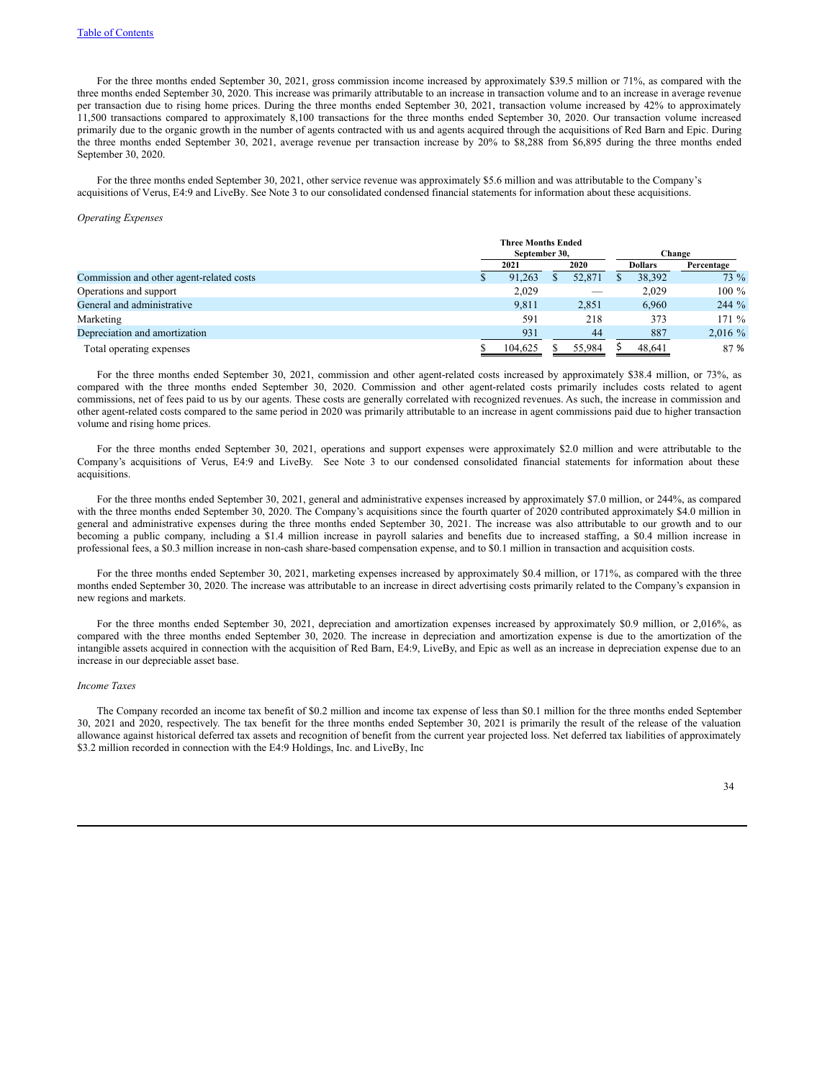For the three months ended September 30, 2021, gross commission income increased by approximately \$39.5 million or 71%, as compared with the three months ended September 30, 2020. This increase was primarily attributable to an increase in transaction volume and to an increase in average revenue per transaction due to rising home prices. During the three months ended September 30, 2021, transaction volume increased by 42% to approximately 11,500 transactions compared to approximately 8,100 transactions for the three months ended September 30, 2020. Our transaction volume increased primarily due to the organic growth in the number of agents contracted with us and agents acquired through the acquisitions of Red Barn and Epic. During the three months ended September 30, 2021, average revenue per transaction increase by 20% to \$8,288 from \$6,895 during the three months ended September 30, 2020.

For the three months ended September 30, 2021, other service revenue was approximately \$5.6 million and was attributable to the Company's acquisitions of Verus, E4:9 and LiveBy. See Note 3 to our consolidated condensed financial statements for information about these acquisitions.

#### *Operating Expenses*

|                                          | <b>Three Months Ended</b><br>September 30, |        | Change |                |            |  |
|------------------------------------------|--------------------------------------------|--------|--------|----------------|------------|--|
|                                          | 2021                                       | 2020   |        | <b>Dollars</b> | Percentage |  |
| Commission and other agent-related costs | 91,263                                     | 52,871 |        | 38,392         | $73\%$     |  |
| Operations and support                   | 2,029                                      |        |        | 2.029          | $100 \%$   |  |
| General and administrative               | 9.811                                      | 2,851  |        | 6.960          | $244 \%$   |  |
| Marketing                                | 591                                        | 218    |        | 373            | $171\%$    |  |
| Depreciation and amortization            | 931                                        | 44     |        | 887            | 2,016%     |  |
| Total operating expenses                 | 104.625                                    | 55.984 |        | 48.641         | 87 %       |  |

For the three months ended September 30, 2021, commission and other agent-related costs increased by approximately \$38.4 million, or 73%, as compared with the three months ended September 30, 2020. Commission and other agent-related costs primarily includes costs related to agent commissions, net of fees paid to us by our agents. These costs are generally correlated with recognized revenues. As such, the increase in commission and other agent-related costs compared to the same period in 2020 was primarily attributable to an increase in agent commissions paid due to higher transaction volume and rising home prices.

For the three months ended September 30, 2021, operations and support expenses were approximately \$2.0 million and were attributable to the Company's acquisitions of Verus, E4:9 and LiveBy. See Note 3 to our condensed consolidated financial statements for information about these acquisitions.

For the three months ended September 30, 2021, general and administrative expenses increased by approximately \$7.0 million, or 244%, as compared with the three months ended September 30, 2020. The Company's acquisitions since the fourth quarter of 2020 contributed approximately \$4.0 million in general and administrative expenses during the three months ended September 30, 2021. The increase was also attributable to our growth and to our becoming a public company, including a \$1.4 million increase in payroll salaries and benefits due to increased staffing, a \$0.4 million increase in professional fees, a \$0.3 million increase in non-cash share-based compensation expense, and to \$0.1 million in transaction and acquisition costs.

For the three months ended September 30, 2021, marketing expenses increased by approximately \$0.4 million, or 171%, as compared with the three months ended September 30, 2020. The increase was attributable to an increase in direct advertising costs primarily related to the Company's expansion in new regions and markets.

For the three months ended September 30, 2021, depreciation and amortization expenses increased by approximately \$0.9 million, or 2,016%, as compared with the three months ended September 30, 2020. The increase in depreciation and amortization expense is due to the amortization of the intangible assets acquired in connection with the acquisition of Red Barn, E4:9, LiveBy, and Epic as well as an increase in depreciation expense due to an increase in our depreciable asset base.

#### *Income Taxes*

The Company recorded an income tax benefit of \$0.2 million and income tax expense of less than \$0.1 million for the three months ended September 30, 2021 and 2020, respectively. The tax benefit for the three months ended September 30, 2021 is primarily the result of the release of the valuation allowance against historical deferred tax assets and recognition of benefit from the current year projected loss. Net deferred tax liabilities of approximately \$3.2 million recorded in connection with the E4:9 Holdings, Inc. and LiveBy, Inc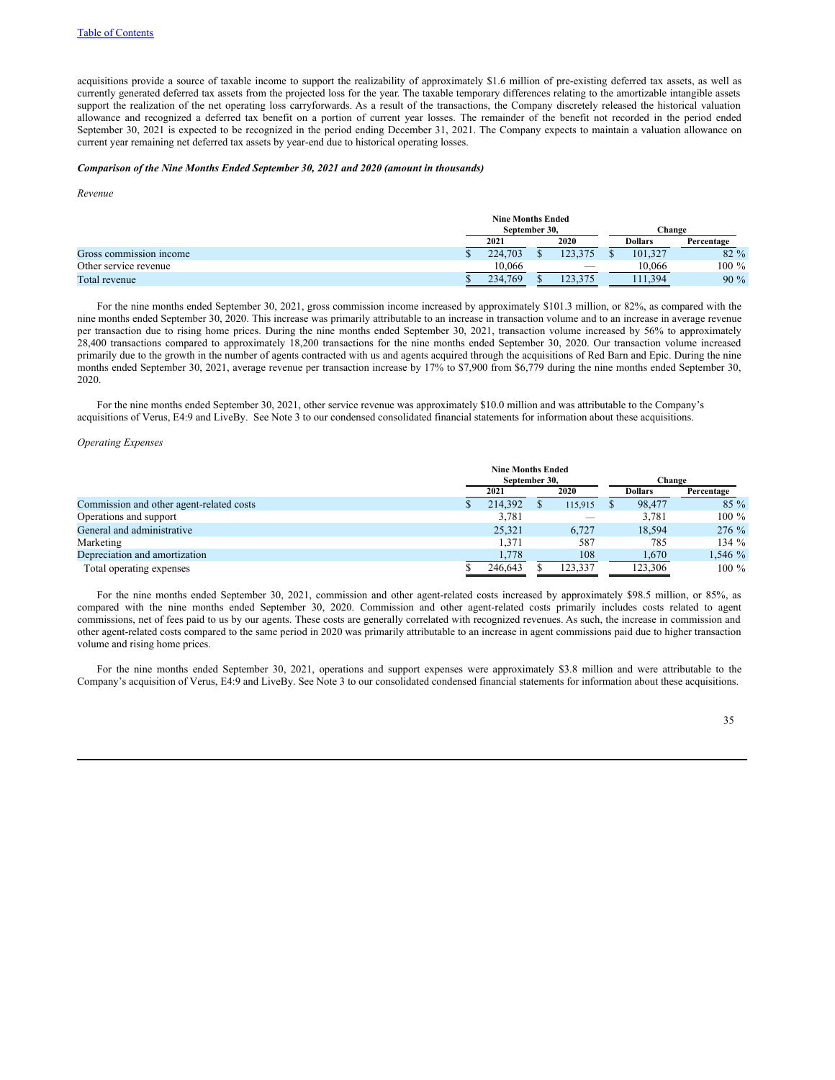acquisitions provide a source of taxable income to support the realizability of approximately \$1.6 million of pre-existing deferred tax assets, as well as currently generated deferred tax assets from the projected loss for the year. The taxable temporary differences relating to the amortizable intangible assets support the realization of the net operating loss carryforwards. As a result of the transactions, the Company discretely released the historical valuation allowance and recognized a deferred tax benefit on a portion of current year losses. The remainder of the benefit not recorded in the period ended September 30, 2021 is expected to be recognized in the period ending December 31, 2021. The Company expects to maintain a valuation allowance on current year remaining net deferred tax assets by year-end due to historical operating losses.

#### *Comparison of the Nine Months Ended September 30, 2021 and 2020 (amount in thousands)*

*Revenue*

|                         | <b>Nine Months Ended</b> |  |  |        |                |            |  |  |  |  |
|-------------------------|--------------------------|--|--|--------|----------------|------------|--|--|--|--|
|                         | September 30,            |  |  | Change |                |            |  |  |  |  |
|                         | 2020<br>2021             |  |  |        | <b>Dollars</b> | Percentage |  |  |  |  |
| Gross commission income | 224,703                  |  |  |        | 101.327        | $82\%$     |  |  |  |  |
| Other service revenue   | 10.066                   |  |  |        | 10,066         | $100 \%$   |  |  |  |  |
| Total revenue           | 234,769                  |  |  |        | .394           | $90\%$     |  |  |  |  |

For the nine months ended September 30, 2021, gross commission income increased by approximately \$101.3 million, or 82%, as compared with the nine months ended September 30, 2020. This increase was primarily attributable to an increase in transaction volume and to an increase in average revenue per transaction due to rising home prices. During the nine months ended September 30, 2021, transaction volume increased by 56% to approximately 28,400 transactions compared to approximately 18,200 transactions for the nine months ended September 30, 2020. Our transaction volume increased primarily due to the growth in the number of agents contracted with us and agents acquired through the acquisitions of Red Barn and Epic. During the nine months ended September 30, 2021, average revenue per transaction increase by 17% to \$7,900 from \$6,779 during the nine months ended September 30, 2020.

For the nine months ended September 30, 2021, other service revenue was approximately \$10.0 million and was attributable to the Company's acquisitions of Verus, E4:9 and LiveBy. See Note 3 to our condensed consolidated financial statements for information about these acquisitions.

### *Operating Expenses*

|                                          |               | <b>Nine Months Ended</b> |  |         |  |                |            |  |  |
|------------------------------------------|---------------|--------------------------|--|---------|--|----------------|------------|--|--|
|                                          | September 30. |                          |  |         |  | Change         |            |  |  |
|                                          | 2021          |                          |  | 2020    |  | <b>Dollars</b> | Percentage |  |  |
| Commission and other agent-related costs |               | 214.392                  |  | 115,915 |  | 98,477         | $85\%$     |  |  |
| Operations and support                   |               | 3,781                    |  |         |  | 3.781          | $100 \%$   |  |  |
| General and administrative               |               | 25,321                   |  | 6.727   |  | 18.594         | 276 %      |  |  |
| Marketing                                |               | 1.371                    |  | 587     |  | 785            | 134 $%$    |  |  |
| Depreciation and amortization            |               | 1.778                    |  | 108     |  | 1,670          | 1,546 %    |  |  |
| Total operating expenses                 |               | 246,643                  |  | 123,337 |  | 123,306        | $100\%$    |  |  |

For the nine months ended September 30, 2021, commission and other agent-related costs increased by approximately \$98.5 million, or 85%, as compared with the nine months ended September 30, 2020. Commission and other agent-related costs primarily includes costs related to agent commissions, net of fees paid to us by our agents. These costs are generally correlated with recognized revenues. As such, the increase in commission and other agent-related costs compared to the same period in 2020 was primarily attributable to an increase in agent commissions paid due to higher transaction volume and rising home prices.

For the nine months ended September 30, 2021, operations and support expenses were approximately \$3.8 million and were attributable to the Company's acquisition of Verus, E4:9 and LiveBy. See Note 3 to our consolidated condensed financial statements for information about these acquisitions.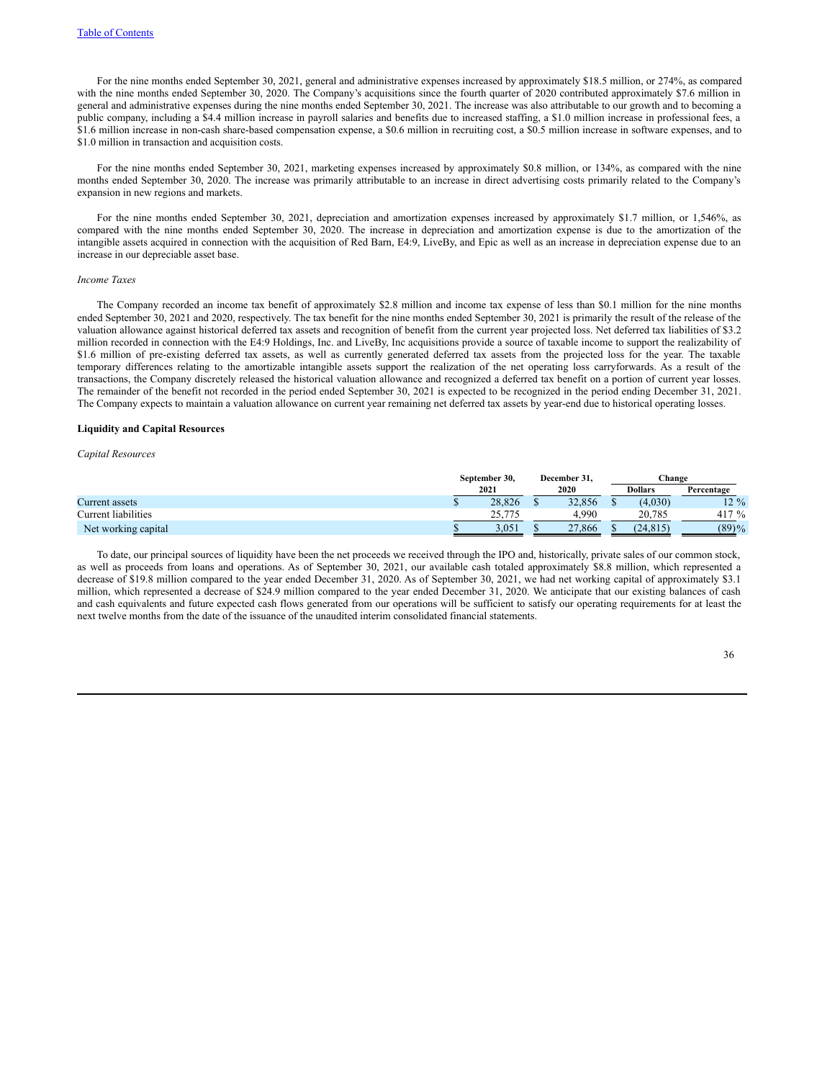For the nine months ended September 30, 2021, general and administrative expenses increased by approximately \$18.5 million, or 274%, as compared with the nine months ended September 30, 2020. The Company's acquisitions since the fourth quarter of 2020 contributed approximately \$7.6 million in general and administrative expenses during the nine months ended September 30, 2021. The increase was also attributable to our growth and to becoming a public company, including a \$4.4 million increase in payroll salaries and benefits due to increased staffing, a \$1.0 million increase in professional fees, a \$1.6 million increase in non-cash share-based compensation expense, a \$0.6 million in recruiting cost, a \$0.5 million increase in software expenses, and to \$1.0 million in transaction and acquisition costs.

For the nine months ended September 30, 2021, marketing expenses increased by approximately \$0.8 million, or 134%, as compared with the nine months ended September 30, 2020. The increase was primarily attributable to an increase in direct advertising costs primarily related to the Company's expansion in new regions and markets.

For the nine months ended September 30, 2021, depreciation and amortization expenses increased by approximately \$1.7 million, or 1,546%, as compared with the nine months ended September 30, 2020. The increase in depreciation and amortization expense is due to the amortization of the intangible assets acquired in connection with the acquisition of Red Barn, E4:9, LiveBy, and Epic as well as an increase in depreciation expense due to an increase in our depreciable asset base.

### *Income Taxes*

The Company recorded an income tax benefit of approximately \$2.8 million and income tax expense of less than \$0.1 million for the nine months ended September 30, 2021 and 2020, respectively. The tax benefit for the nine months ended September 30, 2021 is primarily the result of the release of the valuation allowance against historical deferred tax assets and recognition of benefit from the current year projected loss. Net deferred tax liabilities of \$3.2 million recorded in connection with the E4:9 Holdings, Inc. and LiveBy, Inc acquisitions provide a source of taxable income to support the realizability of \$1.6 million of pre-existing deferred tax assets, as well as currently generated deferred tax assets from the projected loss for the year. The taxable temporary differences relating to the amortizable intangible assets support the realization of the net operating loss carryforwards. As a result of the transactions, the Company discretely released the historical valuation allowance and recognized a deferred tax benefit on a portion of current year losses. The remainder of the benefit not recorded in the period ended September 30, 2021 is expected to be recognized in the period ending December 31, 2021. The Company expects to maintain a valuation allowance on current year remaining net deferred tax assets by year-end due to historical operating losses.

#### **Liquidity and Capital Resources**

#### *Capital Resources*

|                     | September 30. |  | December 31. |  | $\mathbb{C}$ hange |            |
|---------------------|---------------|--|--------------|--|--------------------|------------|
|                     | 2021<br>2020  |  |              |  | <b>Dollars</b>     | Percentage |
| Current assets      | 28,826        |  | 32,856       |  | (4,030)            | $12 \%$    |
| Current liabilities | 25.775<br>. ب |  | 4.990        |  | 20.785             | 417 $%$    |
| Net working capital | 3.051         |  | 27,866       |  | (24.815)           | (89)%      |

To date, our principal sources of liquidity have been the net proceeds we received through the IPO and, historically, private sales of our common stock, as well as proceeds from loans and operations. As of September 30, 2021, our available cash totaled approximately \$8.8 million, which represented a decrease of \$19.8 million compared to the year ended December 31, 2020. As of September 30, 2021, we had net working capital of approximately \$3.1 million, which represented a decrease of \$24.9 million compared to the year ended December 31, 2020. We anticipate that our existing balances of cash and cash equivalents and future expected cash flows generated from our operations will be sufficient to satisfy our operating requirements for at least the next twelve months from the date of the issuance of the unaudited interim consolidated financial statements.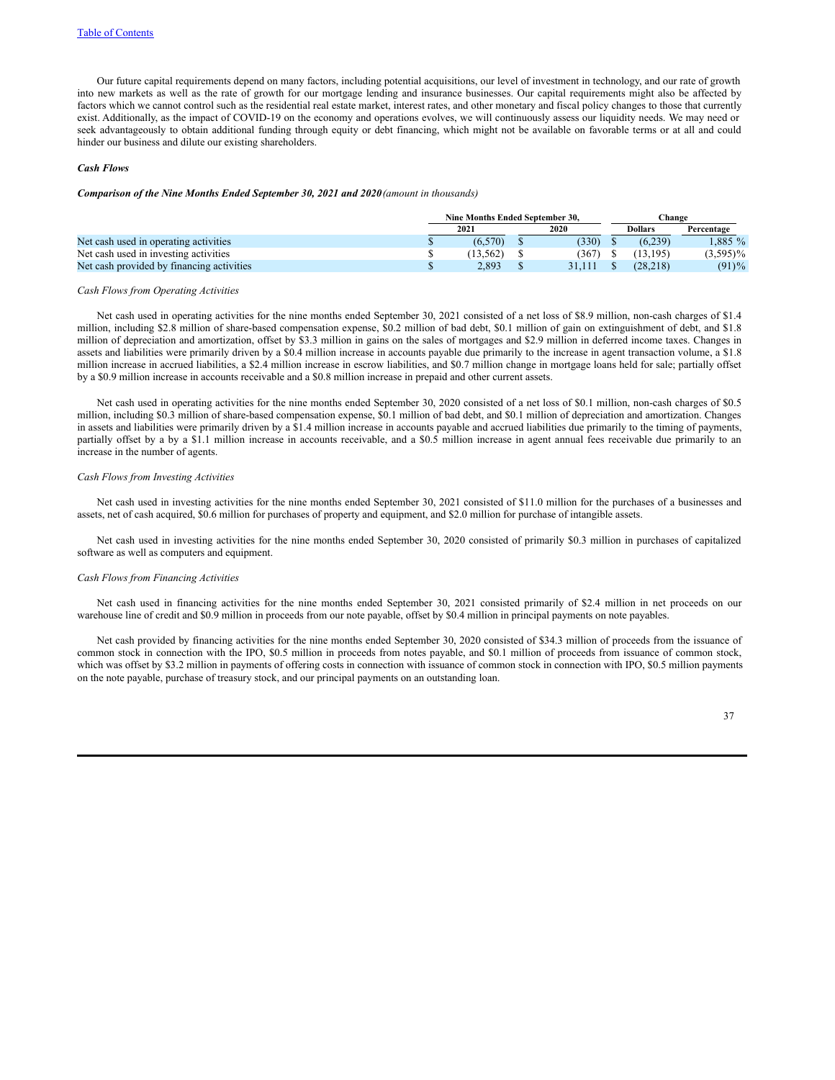Our future capital requirements depend on many factors, including potential acquisitions, our level of investment in technology, and our rate of growth into new markets as well as the rate of growth for our mortgage lending and insurance businesses. Our capital requirements might also be affected by factors which we cannot control such as the residential real estate market, interest rates, and other monetary and fiscal policy changes to those that currently exist. Additionally, as the impact of COVID-19 on the economy and operations evolves, we will continuously assess our liquidity needs. We may need or seek advantageously to obtain additional funding through equity or debt financing, which might not be available on favorable terms or at all and could hinder our business and dilute our existing shareholders.

### *Cash Flows*

#### *Comparison of the Nine Months Ended September 30, 2021 and 2020(amount in thousands)*

|                                           | Nine Months Ended September 30. |          |      |        |  | ∑hange         |             |
|-------------------------------------------|---------------------------------|----------|------|--------|--|----------------|-------------|
|                                           |                                 | 2021     | 2020 |        |  | <b>Dollars</b> | Percentage  |
| Net cash used in operating activities     |                                 | (6.570)  |      | (330)  |  | (6.239)        | $.885\%$    |
| Net cash used in investing activities     |                                 | (13.562) |      | (367)  |  | (13.195)       | $(3,595)\%$ |
| Net cash provided by financing activities |                                 | 2.893    |      | 31.111 |  | (28.218)       | $(91)\%$    |

### *Cash Flows from Operating Activities*

Net cash used in operating activities for the nine months ended September 30, 2021 consisted of a net loss of \$8.9 million, non-cash charges of \$1.4 million, including \$2.8 million of share-based compensation expense, \$0.2 million of bad debt, \$0.1 million of gain on extinguishment of debt, and \$1.8 million of depreciation and amortization, offset by \$3.3 million in gains on the sales of mortgages and \$2.9 million in deferred income taxes. Changes in assets and liabilities were primarily driven by a \$0.4 million increase in accounts payable due primarily to the increase in agent transaction volume, a \$1.8 million increase in accrued liabilities, a \$2.4 million increase in escrow liabilities, and \$0.7 million change in mortgage loans held for sale; partially offset by a \$0.9 million increase in accounts receivable and a \$0.8 million increase in prepaid and other current assets.

Net cash used in operating activities for the nine months ended September 30, 2020 consisted of a net loss of \$0.1 million, non-cash charges of \$0.5 million, including \$0.3 million of share-based compensation expense, \$0.1 million of bad debt, and \$0.1 million of depreciation and amortization. Changes in assets and liabilities were primarily driven by a \$1.4 million increase in accounts payable and accrued liabilities due primarily to the timing of payments, partially offset by a by a \$1.1 million increase in accounts receivable, and a \$0.5 million increase in agent annual fees receivable due primarily to an increase in the number of agents.

#### *Cash Flows from Investing Activities*

Net cash used in investing activities for the nine months ended September 30, 2021 consisted of \$11.0 million for the purchases of a businesses and assets, net of cash acquired, \$0.6 million for purchases of property and equipment, and \$2.0 million for purchase of intangible assets.

Net cash used in investing activities for the nine months ended September 30, 2020 consisted of primarily \$0.3 million in purchases of capitalized software as well as computers and equipment.

#### *Cash Flows from Financing Activities*

Net cash used in financing activities for the nine months ended September 30, 2021 consisted primarily of \$2.4 million in net proceeds on our warehouse line of credit and \$0.9 million in proceeds from our note payable, offset by \$0.4 million in principal payments on note payables.

Net cash provided by financing activities for the nine months ended September 30, 2020 consisted of \$34.3 million of proceeds from the issuance of common stock in connection with the IPO, \$0.5 million in proceeds from notes payable, and \$0.1 million of proceeds from issuance of common stock, which was offset by \$3.2 million in payments of offering costs in connection with issuance of common stock in connection with IPO, \$0.5 million payments on the note payable, purchase of treasury stock, and our principal payments on an outstanding loan.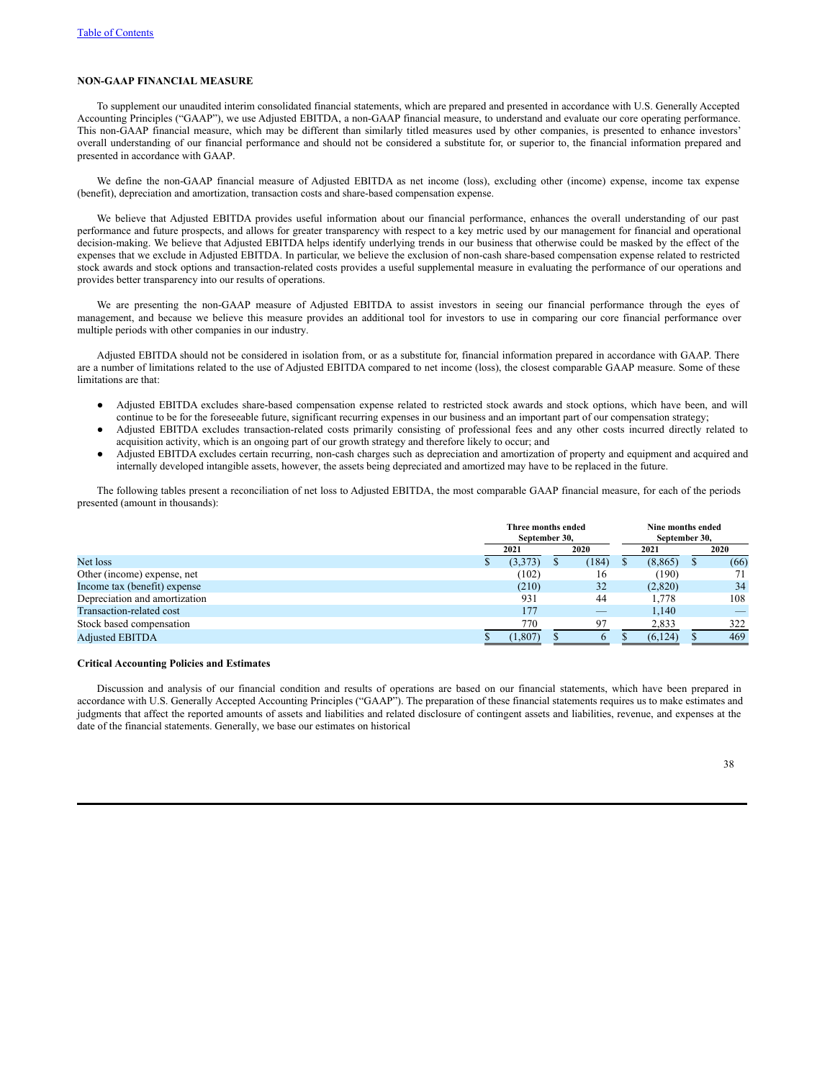# **NON-GAAP FINANCIAL MEASURE**

To supplement our unaudited interim consolidated financial statements, which are prepared and presented in accordance with U.S. Generally Accepted Accounting Principles ("GAAP"), we use Adjusted EBITDA, a non-GAAP financial measure, to understand and evaluate our core operating performance. This non-GAAP financial measure, which may be different than similarly titled measures used by other companies, is presented to enhance investors' overall understanding of our financial performance and should not be considered a substitute for, or superior to, the financial information prepared and presented in accordance with GAAP.

We define the non-GAAP financial measure of Adjusted EBITDA as net income (loss), excluding other (income) expense, income tax expense (benefit), depreciation and amortization, transaction costs and share-based compensation expense.

We believe that Adjusted EBITDA provides useful information about our financial performance, enhances the overall understanding of our past performance and future prospects, and allows for greater transparency with respect to a key metric used by our management for financial and operational decision-making. We believe that Adjusted EBITDA helps identify underlying trends in our business that otherwise could be masked by the effect of the expenses that we exclude in Adjusted EBITDA. In particular, we believe the exclusion of non-cash share-based compensation expense related to restricted stock awards and stock options and transaction-related costs provides a useful supplemental measure in evaluating the performance of our operations and provides better transparency into our results of operations.

We are presenting the non-GAAP measure of Adjusted EBITDA to assist investors in seeing our financial performance through the eyes of management, and because we believe this measure provides an additional tool for investors to use in comparing our core financial performance over multiple periods with other companies in our industry.

Adjusted EBITDA should not be considered in isolation from, or as a substitute for, financial information prepared in accordance with GAAP. There are a number of limitations related to the use of Adjusted EBITDA compared to net income (loss), the closest comparable GAAP measure. Some of these limitations are that:

- Adjusted EBITDA excludes share-based compensation expense related to restricted stock awards and stock options, which have been, and will continue to be for the foreseeable future, significant recurring expenses in our business and an important part of our compensation strategy;
- Adjusted EBITDA excludes transaction-related costs primarily consisting of professional fees and any other costs incurred directly related to acquisition activity, which is an ongoing part of our growth strategy and therefore likely to occur; and
- Adjusted EBITDA excludes certain recurring, non-cash charges such as depreciation and amortization of property and equipment and acquired and internally developed intangible assets, however, the assets being depreciated and amortized may have to be replaced in the future.

The following tables present a reconciliation of net loss to Adjusted EBITDA, the most comparable GAAP financial measure, for each of the periods presented (amount in thousands):

|                               | Three months ended<br>September 30, |          |      |       | Nine months ended<br>September 30, |          |      |      |
|-------------------------------|-------------------------------------|----------|------|-------|------------------------------------|----------|------|------|
|                               |                                     | 2021     | 2020 |       | 2021                               |          | 2020 |      |
| Net loss                      |                                     | (3,373)  |      | (184) |                                    | (8, 865) |      | (66) |
| Other (income) expense, net   |                                     | (102)    |      | 16    |                                    | (190)    |      |      |
| Income tax (benefit) expense  |                                     | (210)    |      | 32    |                                    | (2,820)  |      | 34   |
| Depreciation and amortization |                                     | 931      |      | 44    |                                    | 1.778    |      | 108  |
| Transaction-related cost      |                                     | 177      |      | _     |                                    | 1.140    |      |      |
| Stock based compensation      |                                     | 770      |      | 97    |                                    | 2,833    |      | 322  |
| <b>Adjusted EBITDA</b>        |                                     | (1, 807) |      |       |                                    | (6,124)  |      | 469  |

### **Critical Accounting Policies and Estimates**

Discussion and analysis of our financial condition and results of operations are based on our financial statements, which have been prepared in accordance with U.S. Generally Accepted Accounting Principles ("GAAP"). The preparation of these financial statements requires us to make estimates and judgments that affect the reported amounts of assets and liabilities and related disclosure of contingent assets and liabilities, revenue, and expenses at the date of the financial statements. Generally, we base our estimates on historical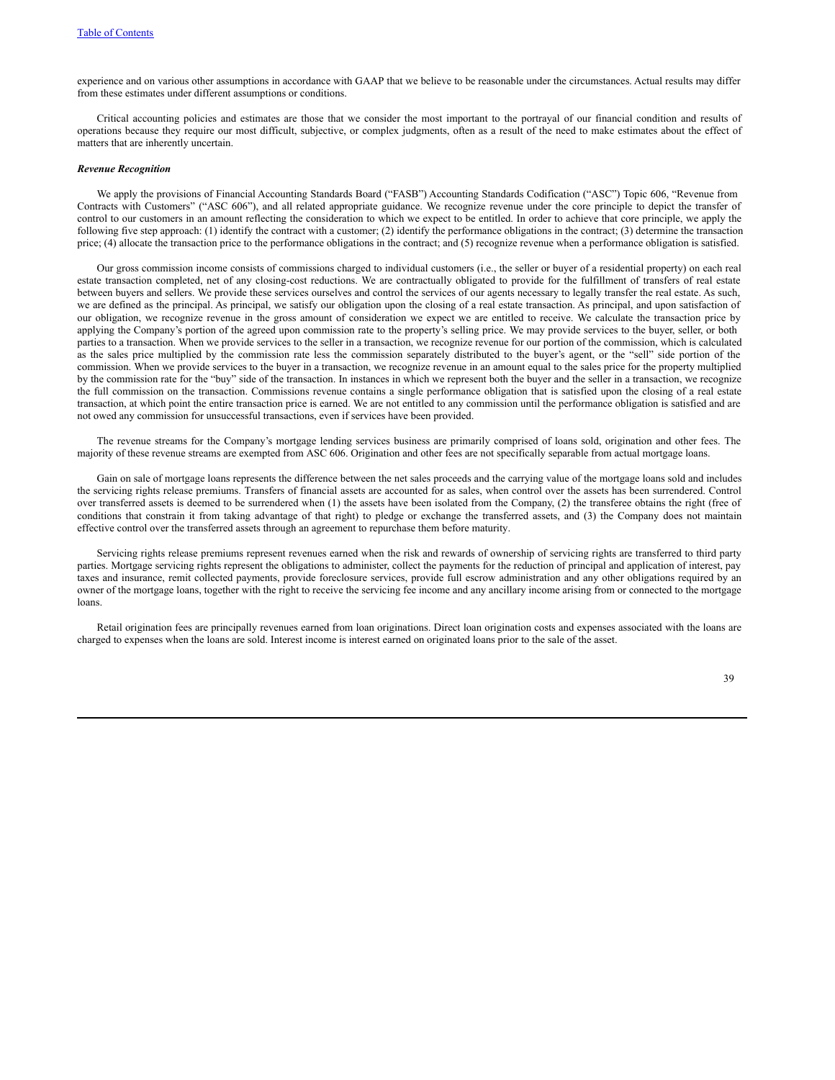experience and on various other assumptions in accordance with GAAP that we believe to be reasonable under the circumstances. Actual results may differ from these estimates under different assumptions or conditions.

Critical accounting policies and estimates are those that we consider the most important to the portrayal of our financial condition and results of operations because they require our most difficult, subjective, or complex judgments, often as a result of the need to make estimates about the effect of matters that are inherently uncertain.

#### *Revenue Recognition*

We apply the provisions of Financial Accounting Standards Board ("FASB") Accounting Standards Codification ("ASC") Topic 606, "Revenue from Contracts with Customers" ("ASC 606"), and all related appropriate guidance. We recognize revenue under the core principle to depict the transfer of control to our customers in an amount reflecting the consideration to which we expect to be entitled. In order to achieve that core principle, we apply the following five step approach: (1) identify the contract with a customer; (2) identify the performance obligations in the contract; (3) determine the transaction price; (4) allocate the transaction price to the performance obligations in the contract; and (5) recognize revenue when a performance obligation is satisfied.

Our gross commission income consists of commissions charged to individual customers (i.e., the seller or buyer of a residential property) on each real estate transaction completed, net of any closing-cost reductions. We are contractually obligated to provide for the fulfillment of transfers of real estate between buyers and sellers. We provide these services ourselves and control the services of our agents necessary to legally transfer the real estate. As such, we are defined as the principal. As principal, we satisfy our obligation upon the closing of a real estate transaction. As principal, and upon satisfaction of our obligation, we recognize revenue in the gross amount of consideration we expect we are entitled to receive. We calculate the transaction price by applying the Company's portion of the agreed upon commission rate to the property's selling price. We may provide services to the buyer, seller, or both parties to a transaction. When we provide services to the seller in a transaction, we recognize revenue for our portion of the commission, which is calculated as the sales price multiplied by the commission rate less the commission separately distributed to the buyer's agent, or the "sell" side portion of the commission. When we provide services to the buyer in a transaction, we recognize revenue in an amount equal to the sales price for the property multiplied by the commission rate for the "buy" side of the transaction. In instances in which we represent both the buyer and the seller in a transaction, we recognize the full commission on the transaction. Commissions revenue contains a single performance obligation that is satisfied upon the closing of a real estate transaction, at which point the entire transaction price is earned. We are not entitled to any commission until the performance obligation is satisfied and are not owed any commission for unsuccessful transactions, even if services have been provided.

The revenue streams for the Company's mortgage lending services business are primarily comprised of loans sold, origination and other fees. The majority of these revenue streams are exempted from ASC 606. Origination and other fees are not specifically separable from actual mortgage loans.

Gain on sale of mortgage loans represents the difference between the net sales proceeds and the carrying value of the mortgage loans sold and includes the servicing rights release premiums. Transfers of financial assets are accounted for as sales, when control over the assets has been surrendered. Control over transferred assets is deemed to be surrendered when (1) the assets have been isolated from the Company, (2) the transferee obtains the right (free of conditions that constrain it from taking advantage of that right) to pledge or exchange the transferred assets, and (3) the Company does not maintain effective control over the transferred assets through an agreement to repurchase them before maturity.

Servicing rights release premiums represent revenues earned when the risk and rewards of ownership of servicing rights are transferred to third party parties. Mortgage servicing rights represent the obligations to administer, collect the payments for the reduction of principal and application of interest, pay taxes and insurance, remit collected payments, provide foreclosure services, provide full escrow administration and any other obligations required by an owner of the mortgage loans, together with the right to receive the servicing fee income and any ancillary income arising from or connected to the mortgage loans.

Retail origination fees are principally revenues earned from loan originations. Direct loan origination costs and expenses associated with the loans are charged to expenses when the loans are sold. Interest income is interest earned on originated loans prior to the sale of the asset.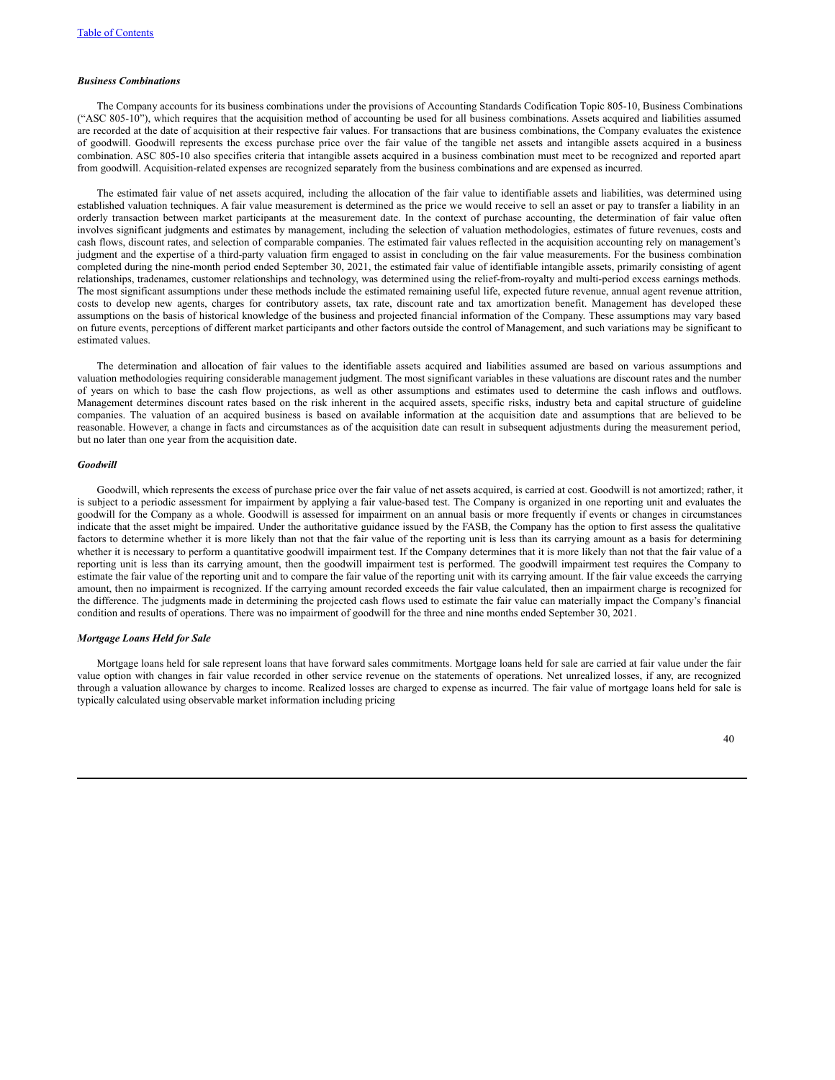### *Business Combinations*

The Company accounts for its business combinations under the provisions of Accounting Standards Codification Topic 805-10, Business Combinations ("ASC 805-10"), which requires that the acquisition method of accounting be used for all business combinations. Assets acquired and liabilities assumed are recorded at the date of acquisition at their respective fair values. For transactions that are business combinations, the Company evaluates the existence of goodwill. Goodwill represents the excess purchase price over the fair value of the tangible net assets and intangible assets acquired in a business combination. ASC 805-10 also specifies criteria that intangible assets acquired in a business combination must meet to be recognized and reported apart from goodwill. Acquisition-related expenses are recognized separately from the business combinations and are expensed as incurred.

The estimated fair value of net assets acquired, including the allocation of the fair value to identifiable assets and liabilities, was determined using established valuation techniques. A fair value measurement is determined as the price we would receive to sell an asset or pay to transfer a liability in an orderly transaction between market participants at the measurement date. In the context of purchase accounting, the determination of fair value often involves significant judgments and estimates by management, including the selection of valuation methodologies, estimates of future revenues, costs and cash flows, discount rates, and selection of comparable companies. The estimated fair values reflected in the acquisition accounting rely on management's judgment and the expertise of a third-party valuation firm engaged to assist in concluding on the fair value measurements. For the business combination completed during the nine-month period ended September 30, 2021, the estimated fair value of identifiable intangible assets, primarily consisting of agent relationships, tradenames, customer relationships and technology, was determined using the relief-from-royalty and multi-period excess earnings methods. The most significant assumptions under these methods include the estimated remaining useful life, expected future revenue, annual agent revenue attrition, costs to develop new agents, charges for contributory assets, tax rate, discount rate and tax amortization benefit. Management has developed these assumptions on the basis of historical knowledge of the business and projected financial information of the Company. These assumptions may vary based on future events, perceptions of different market participants and other factors outside the control of Management, and such variations may be significant to estimated values.

The determination and allocation of fair values to the identifiable assets acquired and liabilities assumed are based on various assumptions and valuation methodologies requiring considerable management judgment. The most significant variables in these valuations are discount rates and the number of years on which to base the cash flow projections, as well as other assumptions and estimates used to determine the cash inflows and outflows. Management determines discount rates based on the risk inherent in the acquired assets, specific risks, industry beta and capital structure of guideline companies. The valuation of an acquired business is based on available information at the acquisition date and assumptions that are believed to be reasonable. However, a change in facts and circumstances as of the acquisition date can result in subsequent adjustments during the measurement period, but no later than one year from the acquisition date.

### *Goodwill*

Goodwill, which represents the excess of purchase price over the fair value of net assets acquired, is carried at cost. Goodwill is not amortized; rather, it is subject to a periodic assessment for impairment by applying a fair value-based test. The Company is organized in one reporting unit and evaluates the goodwill for the Company as a whole. Goodwill is assessed for impairment on an annual basis or more frequently if events or changes in circumstances indicate that the asset might be impaired. Under the authoritative guidance issued by the FASB, the Company has the option to first assess the qualitative factors to determine whether it is more likely than not that the fair value of the reporting unit is less than its carrying amount as a basis for determining whether it is necessary to perform a quantitative goodwill impairment test. If the Company determines that it is more likely than not that the fair value of a reporting unit is less than its carrying amount, then the goodwill impairment test is performed. The goodwill impairment test requires the Company to estimate the fair value of the reporting unit and to compare the fair value of the reporting unit with its carrying amount. If the fair value exceeds the carrying amount, then no impairment is recognized. If the carrying amount recorded exceeds the fair value calculated, then an impairment charge is recognized for the difference. The judgments made in determining the projected cash flows used to estimate the fair value can materially impact the Company's financial condition and results of operations. There was no impairment of goodwill for the three and nine months ended September 30, 2021.

### *Mortgage Loans Held for Sale*

Mortgage loans held for sale represent loans that have forward sales commitments. Mortgage loans held for sale are carried at fair value under the fair value option with changes in fair value recorded in other service revenue on the statements of operations. Net unrealized losses, if any, are recognized through a valuation allowance by charges to income. Realized losses are charged to expense as incurred. The fair value of mortgage loans held for sale is typically calculated using observable market information including pricing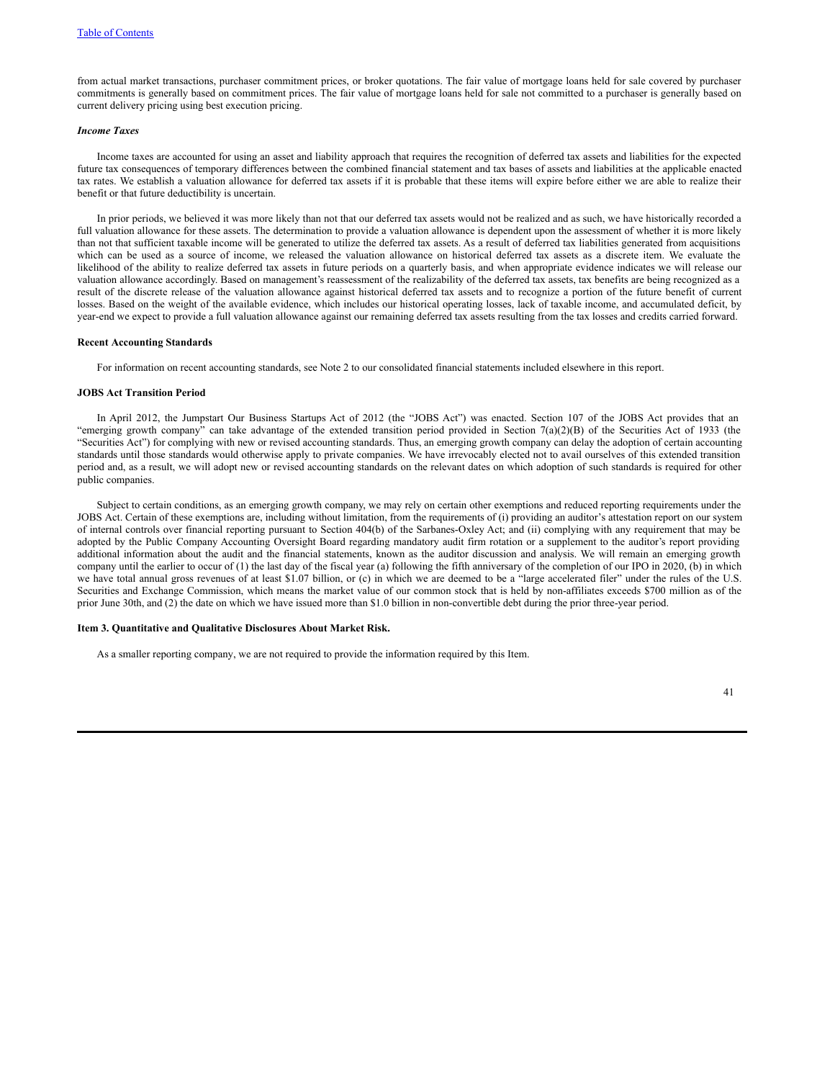from actual market transactions, purchaser commitment prices, or broker quotations. The fair value of mortgage loans held for sale covered by purchaser commitments is generally based on commitment prices. The fair value of mortgage loans held for sale not committed to a purchaser is generally based on current delivery pricing using best execution pricing.

### *Income Taxes*

Income taxes are accounted for using an asset and liability approach that requires the recognition of deferred tax assets and liabilities for the expected future tax consequences of temporary differences between the combined financial statement and tax bases of assets and liabilities at the applicable enacted tax rates. We establish a valuation allowance for deferred tax assets if it is probable that these items will expire before either we are able to realize their benefit or that future deductibility is uncertain.

In prior periods, we believed it was more likely than not that our deferred tax assets would not be realized and as such, we have historically recorded a full valuation allowance for these assets. The determination to provide a valuation allowance is dependent upon the assessment of whether it is more likely than not that sufficient taxable income will be generated to utilize the deferred tax assets. As a result of deferred tax liabilities generated from acquisitions which can be used as a source of income, we released the valuation allowance on historical deferred tax assets as a discrete item. We evaluate the likelihood of the ability to realize deferred tax assets in future periods on a quarterly basis, and when appropriate evidence indicates we will release our valuation allowance accordingly. Based on management's reassessment of the realizability of the deferred tax assets, tax benefits are being recognized as a result of the discrete release of the valuation allowance against historical deferred tax assets and to recognize a portion of the future benefit of current losses. Based on the weight of the available evidence, which includes our historical operating losses, lack of taxable income, and accumulated deficit, by year-end we expect to provide a full valuation allowance against our remaining deferred tax assets resulting from the tax losses and credits carried forward.

#### **Recent Accounting Standards**

For information on recent accounting standards, see Note 2 to our consolidated financial statements included elsewhere in this report.

#### **JOBS Act Transition Period**

In April 2012, the Jumpstart Our Business Startups Act of 2012 (the "JOBS Act") was enacted. Section 107 of the JOBS Act provides that an "emerging growth company" can take advantage of the extended transition period provided in Section 7(a)(2)(B) of the Securities Act of 1933 (the "Securities Act") for complying with new or revised accounting standards. Thus, an emerging growth company can delay the adoption of certain accounting standards until those standards would otherwise apply to private companies. We have irrevocably elected not to avail ourselves of this extended transition period and, as a result, we will adopt new or revised accounting standards on the relevant dates on which adoption of such standards is required for other public companies.

Subject to certain conditions, as an emerging growth company, we may rely on certain other exemptions and reduced reporting requirements under the JOBS Act. Certain of these exemptions are, including without limitation, from the requirements of (i) providing an auditor's attestation report on our system of internal controls over financial reporting pursuant to Section 404(b) of the Sarbanes-Oxley Act; and (ii) complying with any requirement that may be adopted by the Public Company Accounting Oversight Board regarding mandatory audit firm rotation or a supplement to the auditor's report providing additional information about the audit and the financial statements, known as the auditor discussion and analysis. We will remain an emerging growth company until the earlier to occur of (1) the last day of the fiscal year (a) following the fifth anniversary of the completion of our IPO in 2020, (b) in which we have total annual gross revenues of at least \$1.07 billion, or (c) in which we are deemed to be a "large accelerated filer" under the rules of the U.S. Securities and Exchange Commission, which means the market value of our common stock that is held by non-affiliates exceeds \$700 million as of the prior June 30th, and (2) the date on which we have issued more than \$1.0 billion in non-convertible debt during the prior three-year period.

### **Item 3. Quantitative and Qualitative Disclosures About Market Risk.**

As a smaller reporting company, we are not required to provide the information required by this Item.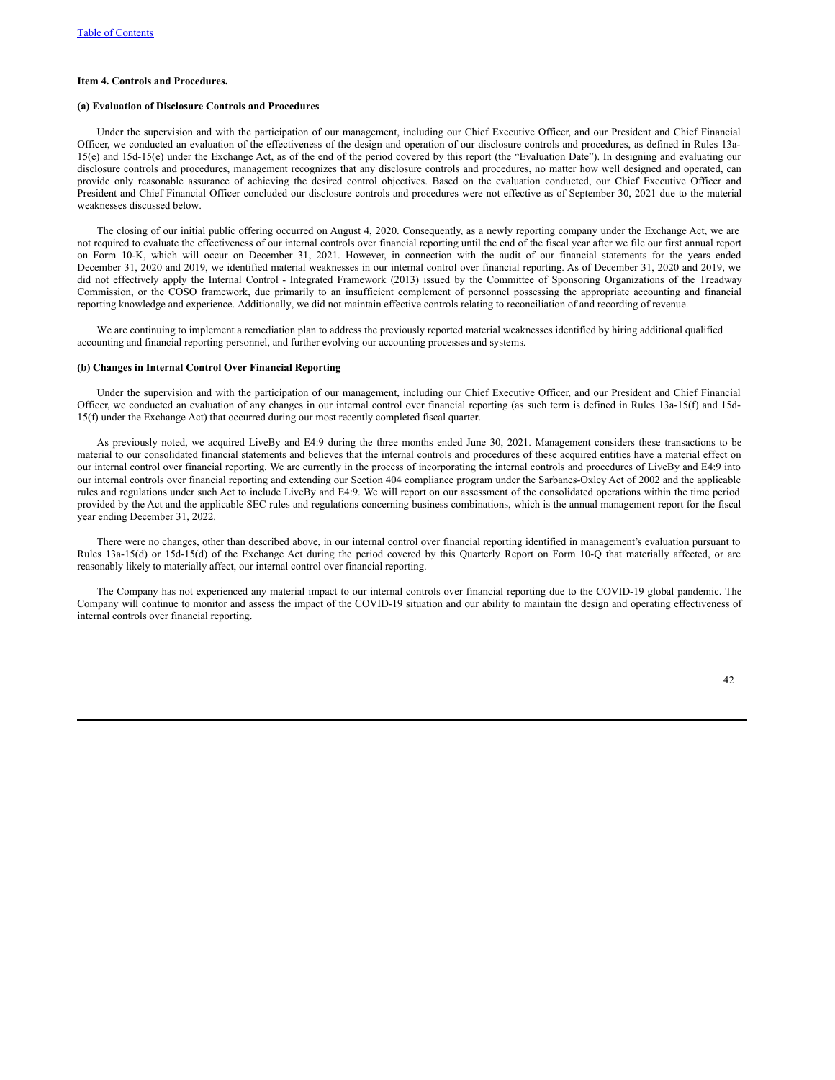### **Item 4. Controls and Procedures.**

#### **(a) Evaluation of Disclosure Controls and Procedures**

Under the supervision and with the participation of our management, including our Chief Executive Officer, and our President and Chief Financial Officer, we conducted an evaluation of the effectiveness of the design and operation of our disclosure controls and procedures, as defined in Rules 13a-15(e) and 15d-15(e) under the Exchange Act, as of the end of the period covered by this report (the "Evaluation Date"). In designing and evaluating our disclosure controls and procedures, management recognizes that any disclosure controls and procedures, no matter how well designed and operated, can provide only reasonable assurance of achieving the desired control objectives. Based on the evaluation conducted, our Chief Executive Officer and President and Chief Financial Officer concluded our disclosure controls and procedures were not effective as of September 30, 2021 due to the material weaknesses discussed below.

The closing of our initial public offering occurred on August 4, 2020. Consequently, as a newly reporting company under the Exchange Act, we are not required to evaluate the effectiveness of our internal controls over financial reporting until the end of the fiscal year after we file our first annual report on Form 10-K, which will occur on December 31, 2021. However, in connection with the audit of our financial statements for the years ended December 31, 2020 and 2019, we identified material weaknesses in our internal control over financial reporting. As of December 31, 2020 and 2019, we did not effectively apply the Internal Control - Integrated Framework (2013) issued by the Committee of Sponsoring Organizations of the Treadway Commission, or the COSO framework, due primarily to an insufficient complement of personnel possessing the appropriate accounting and financial reporting knowledge and experience. Additionally, we did not maintain effective controls relating to reconciliation of and recording of revenue.

We are continuing to implement a remediation plan to address the previously reported material weaknesses identified by hiring additional qualified accounting and financial reporting personnel, and further evolving our accounting processes and systems.

### **(b) Changes in Internal Control Over Financial Reporting**

Under the supervision and with the participation of our management, including our Chief Executive Officer, and our President and Chief Financial Officer, we conducted an evaluation of any changes in our internal control over financial reporting (as such term is defined in Rules 13a-15(f) and 15d-15(f) under the Exchange Act) that occurred during our most recently completed fiscal quarter.

As previously noted, we acquired LiveBy and E4:9 during the three months ended June 30, 2021. Management considers these transactions to be material to our consolidated financial statements and believes that the internal controls and procedures of these acquired entities have a material effect on our internal control over financial reporting. We are currently in the process of incorporating the internal controls and procedures of LiveBy and E4:9 into our internal controls over financial reporting and extending our Section 404 compliance program under the Sarbanes-Oxley Act of 2002 and the applicable rules and regulations under such Act to include LiveBy and E4:9. We will report on our assessment of the consolidated operations within the time period provided by the Act and the applicable SEC rules and regulations concerning business combinations, which is the annual management report for the fiscal year ending December 31, 2022.

There were no changes, other than described above, in our internal control over financial reporting identified in management's evaluation pursuant to Rules 13a-15(d) or 15d-15(d) of the Exchange Act during the period covered by this Quarterly Report on Form 10-Q that materially affected, or are reasonably likely to materially affect, our internal control over financial reporting.

The Company has not experienced any material impact to our internal controls over financial reporting due to the COVID-19 global pandemic. The Company will continue to monitor and assess the impact of the COVID-19 situation and our ability to maintain the design and operating effectiveness of internal controls over financial reporting.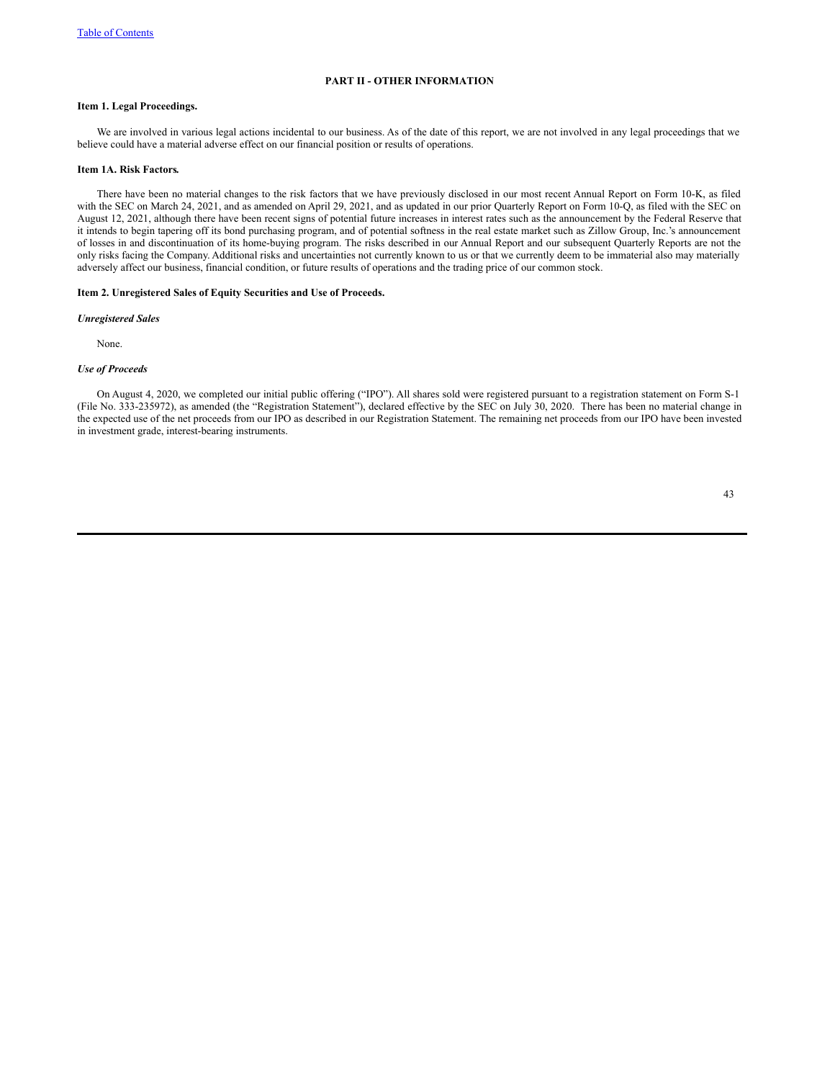# **PART II - OTHER INFORMATION**

### **Item 1. Legal Proceedings.**

We are involved in various legal actions incidental to our business. As of the date of this report, we are not involved in any legal proceedings that we believe could have a material adverse effect on our financial position or results of operations.

#### **Item 1A. Risk Factors.**

There have been no material changes to the risk factors that we have previously disclosed in our most recent Annual Report on Form 10-K, as filed with the SEC on March 24, 2021, and as amended on April 29, 2021, and as updated in our prior Quarterly Report on Form 10-Q, as filed with the SEC on August 12, 2021, although there have been recent signs of potential future increases in interest rates such as the announcement by the Federal Reserve that it intends to begin tapering off its bond purchasing program, and of potential softness in the real estate market such as Zillow Group, Inc.'s announcement of losses in and discontinuation of its home-buying program. The risks described in our Annual Report and our subsequent Quarterly Reports are not the only risks facing the Company. Additional risks and uncertainties not currently known to us or that we currently deem to be immaterial also may materially adversely affect our business, financial condition, or future results of operations and the trading price of our common stock.

### **Item 2. Unregistered Sales of Equity Securities and Use of Proceeds.**

#### *Unregistered Sales*

None.

# *Use of Proceeds*

On August 4, 2020, we completed our initial public offering ("IPO"). All shares sold were registered pursuant to a registration statement on Form S-1 (File No. 333-235972), as amended (the "Registration Statement"), declared effective by the SEC on July 30, 2020. There has been no material change in the expected use of the net proceeds from our IPO as described in our Registration Statement. The remaining net proceeds from our IPO have been invested in investment grade, interest-bearing instruments.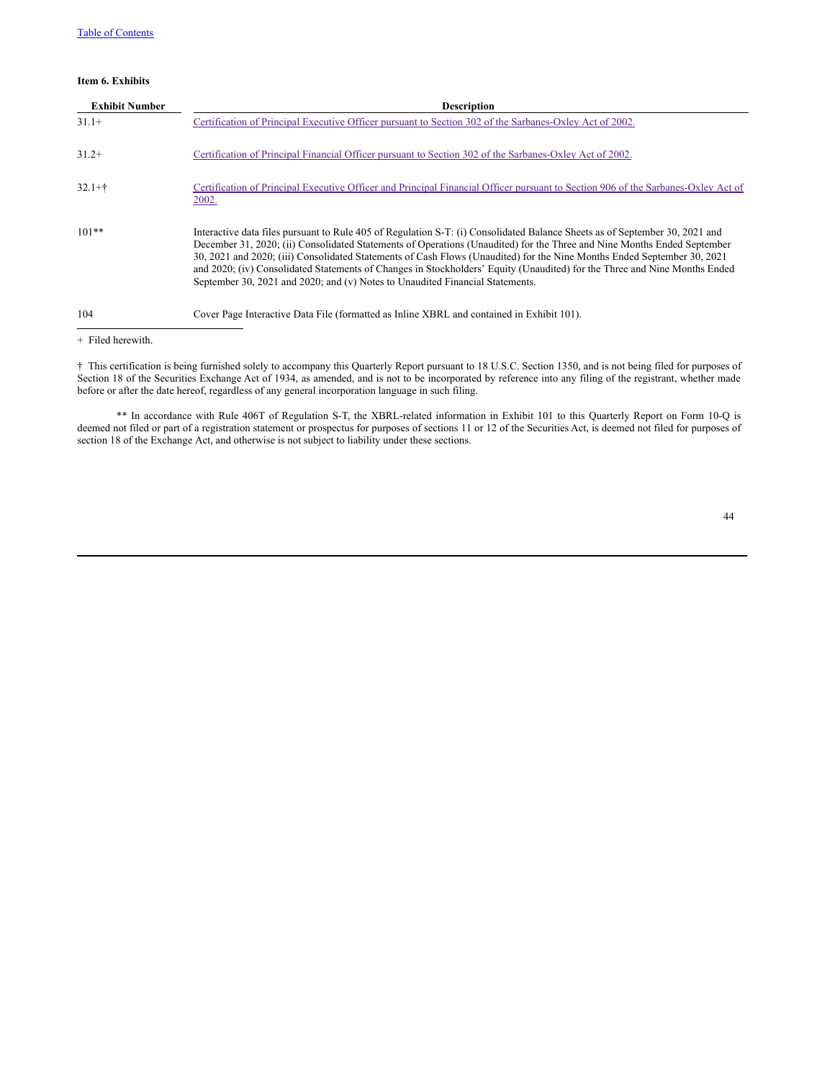# **Item 6. Exhibits**

| <b>Exhibit Number</b> | <b>Description</b>                                                                                                                                                                                                                                                                                                                                                                                                                                                                                                                                                                              |
|-----------------------|-------------------------------------------------------------------------------------------------------------------------------------------------------------------------------------------------------------------------------------------------------------------------------------------------------------------------------------------------------------------------------------------------------------------------------------------------------------------------------------------------------------------------------------------------------------------------------------------------|
| $31.1+$               | Certification of Principal Executive Officer pursuant to Section 302 of the Sarbanes-Oxley Act of 2002.                                                                                                                                                                                                                                                                                                                                                                                                                                                                                         |
| $31.2+$               | Certification of Principal Financial Officer pursuant to Section 302 of the Sarbanes-Oxley Act of 2002.                                                                                                                                                                                                                                                                                                                                                                                                                                                                                         |
| $32.1 +$ †            | Certification of Principal Executive Officer and Principal Financial Officer pursuant to Section 906 of the Sarbanes-Oxley Act of<br>2002.                                                                                                                                                                                                                                                                                                                                                                                                                                                      |
| $101**$               | Interactive data files pursuant to Rule 405 of Regulation S-T: (i) Consolidated Balance Sheets as of September 30, 2021 and<br>December 31, 2020; (ii) Consolidated Statements of Operations (Unaudited) for the Three and Nine Months Ended September<br>30, 2021 and 2020; (iii) Consolidated Statements of Cash Flows (Unaudited) for the Nine Months Ended September 30, 2021<br>and 2020; (iv) Consolidated Statements of Changes in Stockholders' Equity (Unaudited) for the Three and Nine Months Ended<br>September 30, 2021 and 2020; and (v) Notes to Unaudited Financial Statements. |
| 104                   | Cover Page Interactive Data File (formatted as Inline XBRL and contained in Exhibit 101).                                                                                                                                                                                                                                                                                                                                                                                                                                                                                                       |

+ Filed herewith.

† This certification is being furnished solely to accompany this Quarterly Report pursuant to 18 U.S.C. Section 1350, and is not being filed for purposes of Section 18 of the Securities Exchange Act of 1934, as amended, and is not to be incorporated by reference into any filing of the registrant, whether made before or after the date hereof, regardless of any general incorporation language in such filing.

\*\* In accordance with Rule 406T of Regulation S-T, the XBRL-related information in Exhibit 101 to this Quarterly Report on Form 10-Q is deemed not filed or part of a registration statement or prospectus for purposes of sections 11 or 12 of the Securities Act, is deemed not filed for purposes of section 18 of the Exchange Act, and otherwise is not subject to liability under these sections.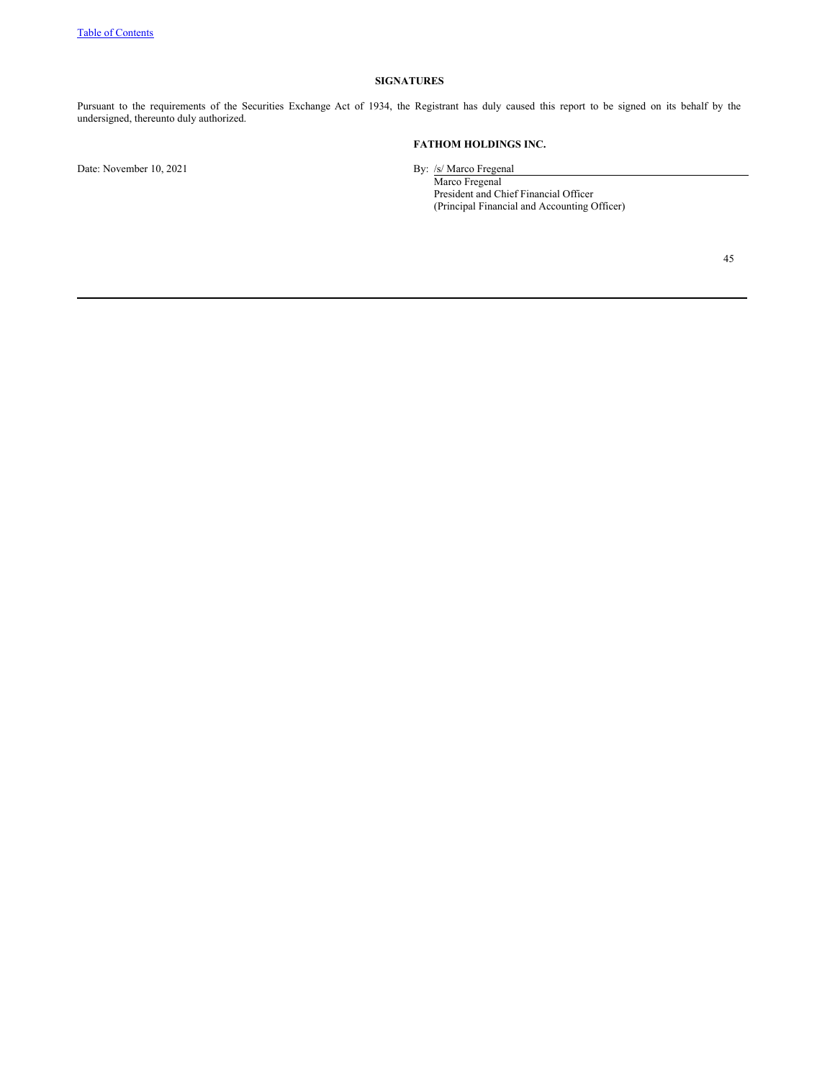# **SIGNATURES**

Pursuant to the requirements of the Securities Exchange Act of 1934, the Registrant has duly caused this report to be signed on its behalf by the undersigned, thereunto duly authorized.

# **FATHOM HOLDINGS INC.**

Date: November 10, 2021 By: /s/ Marco Fregenal

Marco Fregenal President and Chief Financial Officer (Principal Financial and Accounting Officer)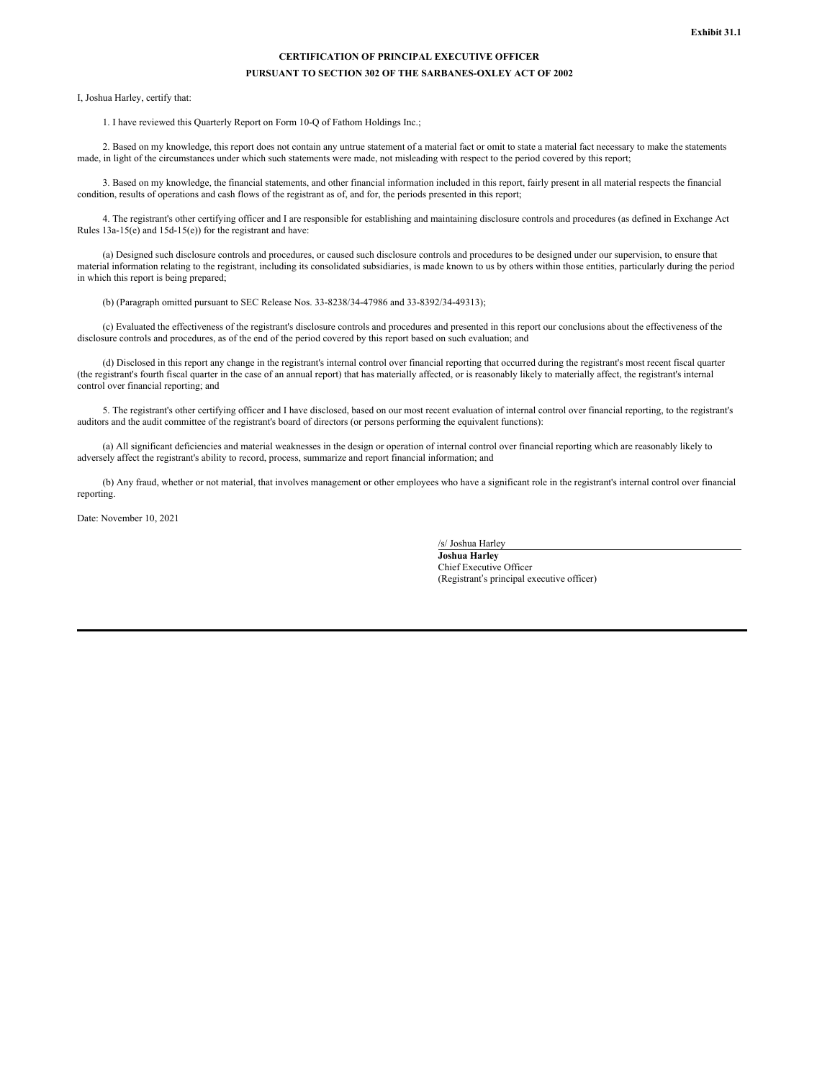# **CERTIFICATION OF PRINCIPAL EXECUTIVE OFFICER PURSUANT TO SECTION 302 OF THE SARBANES-OXLEY ACT OF 2002**

<span id="page-45-0"></span>I, Joshua Harley, certify that:

1. I have reviewed this Quarterly Report on Form 10-Q of Fathom Holdings Inc.;

2. Based on my knowledge, this report does not contain any untrue statement of a material fact or omit to state a material fact necessary to make the statements made, in light of the circumstances under which such statements were made, not misleading with respect to the period covered by this report;

3. Based on my knowledge, the financial statements, and other financial information included in this report, fairly present in all material respects the financial condition, results of operations and cash flows of the registrant as of, and for, the periods presented in this report;

4. The registrant's other certifying officer and I are responsible for establishing and maintaining disclosure controls and procedures (as defined in Exchange Act Rules 13a-15(e) and 15d-15(e)) for the registrant and have:

(a) Designed such disclosure controls and procedures, or caused such disclosure controls and procedures to be designed under our supervision, to ensure that material information relating to the registrant, including its consolidated subsidiaries, is made known to us by others within those entities, particularly during the period in which this report is being prepared;

(b) (Paragraph omitted pursuant to SEC Release Nos. 33-8238/34-47986 and 33-8392/34-49313);

(c) Evaluated the effectiveness of the registrant's disclosure controls and procedures and presented in this report our conclusions about the effectiveness of the disclosure controls and procedures, as of the end of the period covered by this report based on such evaluation; and

(d) Disclosed in this report any change in the registrant's internal control over financial reporting that occurred during the registrant's most recent fiscal quarter (the registrant's fourth fiscal quarter in the case of an annual report) that has materially affected, or is reasonably likely to materially affect, the registrant's internal control over financial reporting; and

5. The registrant's other certifying officer and I have disclosed, based on our most recent evaluation of internal control over financial reporting, to the registrant's auditors and the audit committee of the registrant's board of directors (or persons performing the equivalent functions):

(a) All significant deficiencies and material weaknesses in the design or operation of internal control over financial reporting which are reasonably likely to adversely affect the registrant's ability to record, process, summarize and report financial information; and

(b) Any fraud, whether or not material, that involves management or other employees who have a significant role in the registrant's internal control over financial reporting.

Date: November 10, 2021

/s/ Joshua Harley **Joshua Harley** Chief Executive Officer (Registrant's principal executive officer)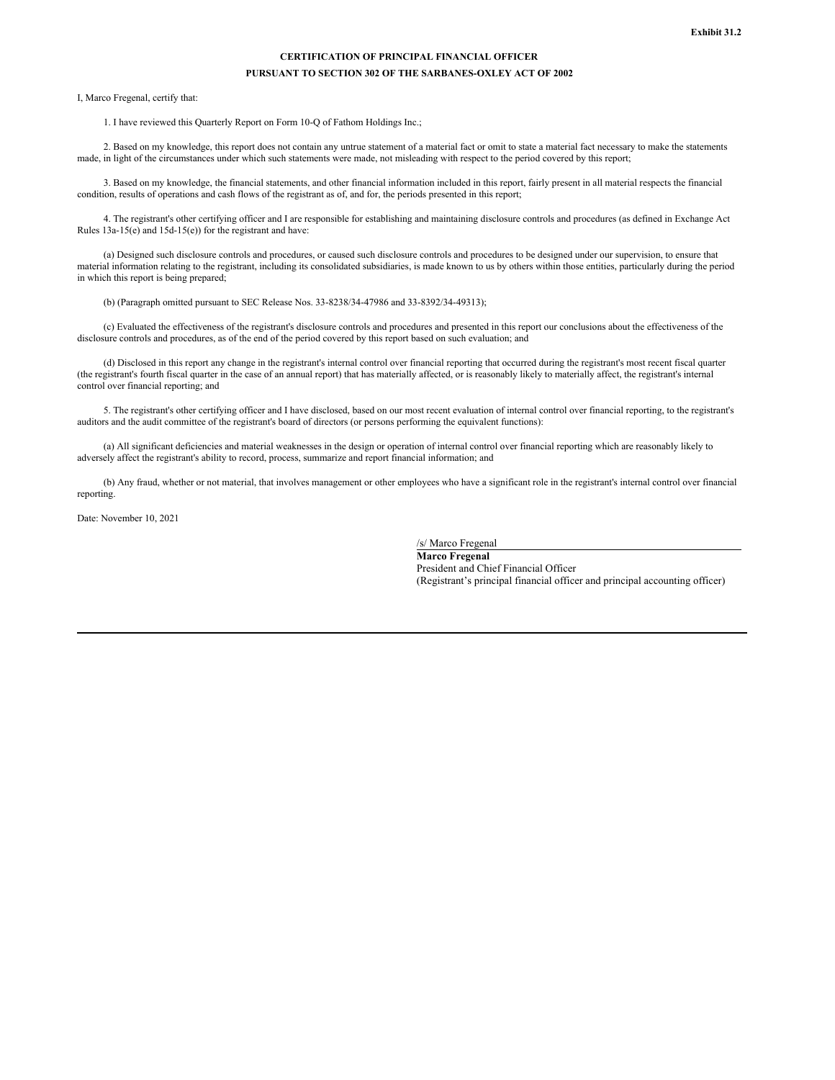# **CERTIFICATION OF PRINCIPAL FINANCIAL OFFICER PURSUANT TO SECTION 302 OF THE SARBANES-OXLEY ACT OF 2002**

<span id="page-46-0"></span>I, Marco Fregenal, certify that:

1. I have reviewed this Quarterly Report on Form 10-Q of Fathom Holdings Inc.;

2. Based on my knowledge, this report does not contain any untrue statement of a material fact or omit to state a material fact necessary to make the statements made, in light of the circumstances under which such statements were made, not misleading with respect to the period covered by this report;

3. Based on my knowledge, the financial statements, and other financial information included in this report, fairly present in all material respects the financial condition, results of operations and cash flows of the registrant as of, and for, the periods presented in this report;

4. The registrant's other certifying officer and I are responsible for establishing and maintaining disclosure controls and procedures (as defined in Exchange Act Rules 13a-15(e) and 15d-15(e)) for the registrant and have:

(a) Designed such disclosure controls and procedures, or caused such disclosure controls and procedures to be designed under our supervision, to ensure that material information relating to the registrant, including its consolidated subsidiaries, is made known to us by others within those entities, particularly during the period in which this report is being prepared;

(b) (Paragraph omitted pursuant to SEC Release Nos. 33-8238/34-47986 and 33-8392/34-49313);

(c) Evaluated the effectiveness of the registrant's disclosure controls and procedures and presented in this report our conclusions about the effectiveness of the disclosure controls and procedures, as of the end of the period covered by this report based on such evaluation; and

(d) Disclosed in this report any change in the registrant's internal control over financial reporting that occurred during the registrant's most recent fiscal quarter (the registrant's fourth fiscal quarter in the case of an annual report) that has materially affected, or is reasonably likely to materially affect, the registrant's internal control over financial reporting; and

5. The registrant's other certifying officer and I have disclosed, based on our most recent evaluation of internal control over financial reporting, to the registrant's auditors and the audit committee of the registrant's board of directors (or persons performing the equivalent functions):

(a) All significant deficiencies and material weaknesses in the design or operation of internal control over financial reporting which are reasonably likely to adversely affect the registrant's ability to record, process, summarize and report financial information; and

(b) Any fraud, whether or not material, that involves management or other employees who have a significant role in the registrant's internal control over financial reporting.

Date: November 10, 2021

/s/ Marco Fregenal

**Marco Fregenal** President and Chief Financial Officer (Registrant's principal financial officer and principal accounting officer)